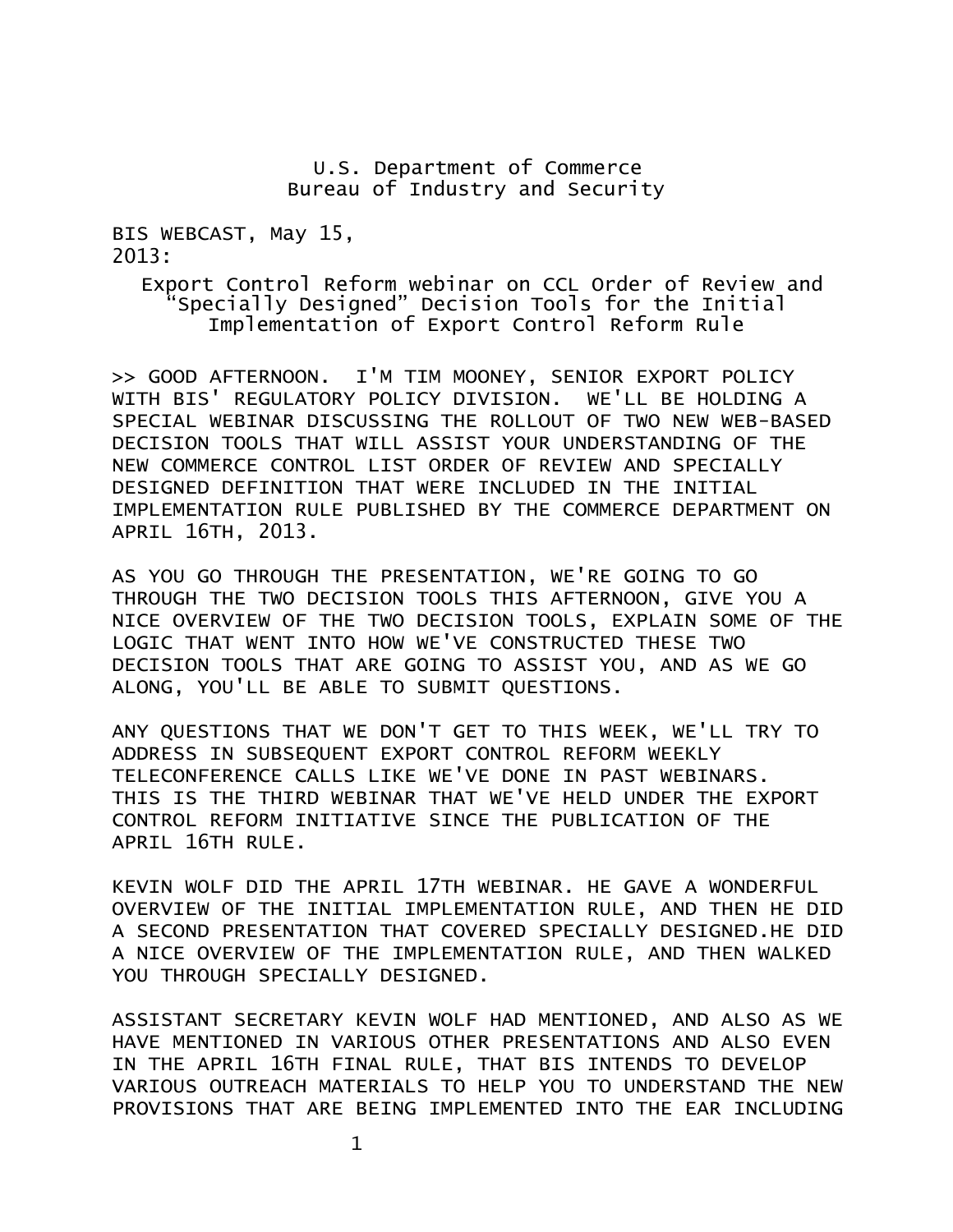## U.S. Department of Commerce Bureau of Industry and Security

BIS WEBCAST, May 15, 2013:

> Export Control Reform webinar on CCL Order of Review and "Specially Designed" Decision Tools for the Initial Implementation of Export Control Reform Rule

>> GOOD AFTERNOON. I'M TIM MOONEY, SENIOR EXPORT POLICY WITH BIS' REGULATORY POLICY DIVISION. WE'LL BE HOLDING A SPECIAL WEBINAR DISCUSSING THE ROLLOUT OF TWO NEW WEB-BASED DECISION TOOLS THAT WILL ASSIST YOUR UNDERSTANDING OF THE NEW COMMERCE CONTROL LIST ORDER OF REVIEW AND SPECIALLY DESIGNED DEFINITION THAT WERE INCLUDED IN THE INITIAL IMPLEMENTATION RULE PUBLISHED BY THE COMMERCE DEPARTMENT ON APRIL 16TH, 2013.

AS YOU GO THROUGH THE PRESENTATION, WE'RE GOING TO GO THROUGH THE TWO DECISION TOOLS THIS AFTERNOON, GIVE YOU A NICE OVERVIEW OF THE TWO DECISION TOOLS, EXPLAIN SOME OF THE LOGIC THAT WENT INTO HOW WE'VE CONSTRUCTED THESE TWO DECISION TOOLS THAT ARE GOING TO ASSIST YOU, AND AS WE GO ALONG, YOU'LL BE ABLE TO SUBMIT QUESTIONS.

ANY QUESTIONS THAT WE DON'T GET TO THIS WEEK, WE'LL TRY TO ADDRESS IN SUBSEQUENT EXPORT CONTROL REFORM WEEKLY TELECONFERENCE CALLS LIKE WE'VE DONE IN PAST WEBINARS. THIS IS THE THIRD WEBINAR THAT WE'VE HELD UNDER THE EXPORT CONTROL REFORM INITIATIVE SINCE THE PUBLICATION OF THE APRIL 16TH RULE.

KEVIN WOLF DID THE APRIL 17TH WEBINAR. HE GAVE A WONDERFUL OVERVIEW OF THE INITIAL IMPLEMENTATION RULE, AND THEN HE DID A SECOND PRESENTATION THAT COVERED SPECIALLY DESIGNED.HE DID A NICE OVERVIEW OF THE IMPLEMENTATION RULE, AND THEN WALKED YOU THROUGH SPECIALLY DESIGNED.

ASSISTANT SECRETARY KEVIN WOLF HAD MENTIONED, AND ALSO AS WE HAVE MENTIONED IN VARIOUS OTHER PRESENTATIONS AND ALSO EVEN IN THE APRIL 16TH FINAL RULE, THAT BIS INTENDS TO DEVELOP VARIOUS OUTREACH MATERIALS TO HELP YOU TO UNDERSTAND THE NEW PROVISIONS THAT ARE BEING IMPLEMENTED INTO THE EAR INCLUDING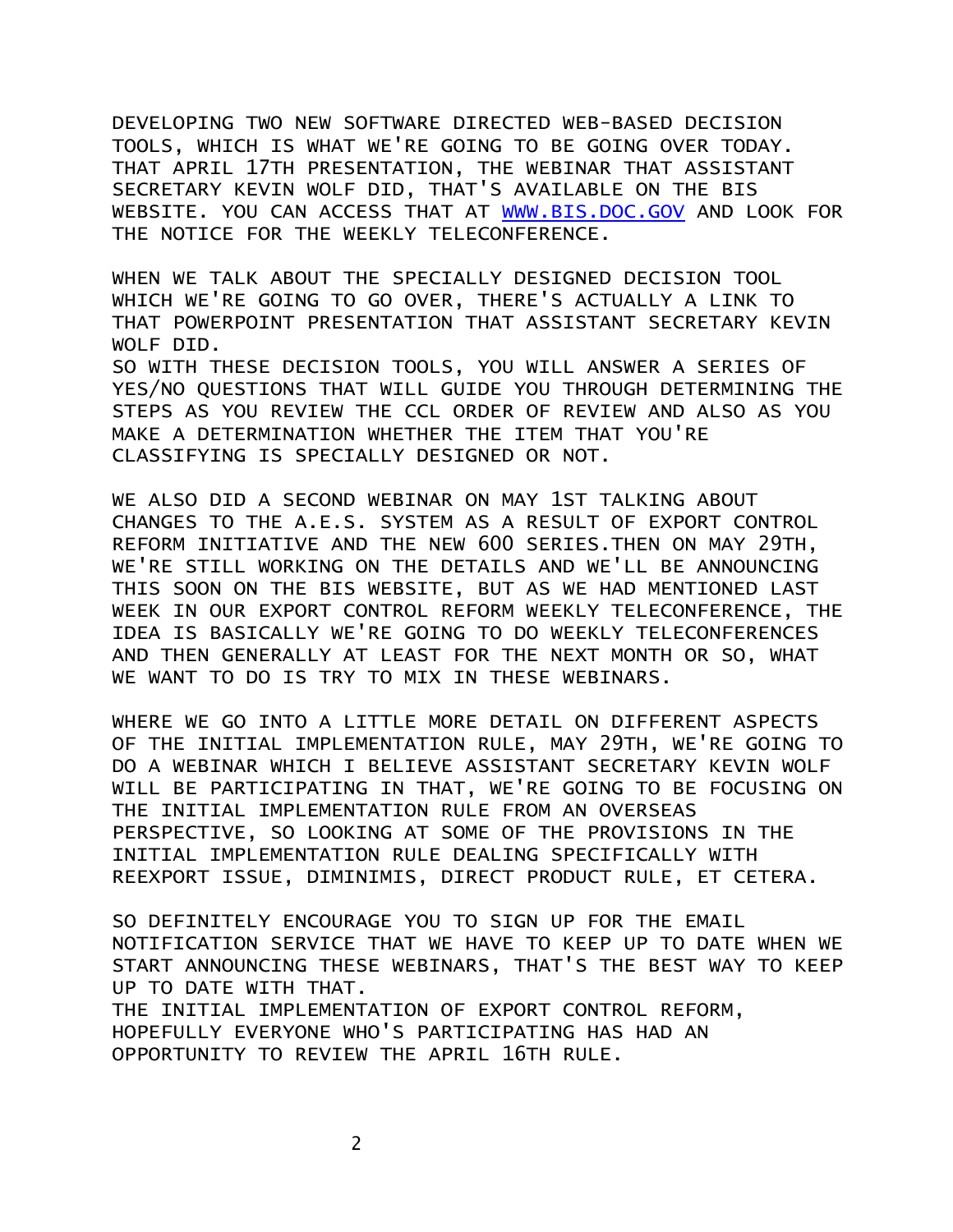DEVELOPING TWO NEW SOFTWARE DIRECTED WEB-BASED DECISION TOOLS, WHICH IS WHAT WE'RE GOING TO BE GOING OVER TODAY. THAT APRIL 17TH PRESENTATION, THE WEBINAR THAT ASSISTANT SECRETARY KEVIN WOLF DID, THAT'S AVAILABLE ON THE BIS WEBSITE. YOU CAN ACCESS THAT AT [WWW.BIS.DOC.GOV](http://www.bis.doc.gov/) AND LOOK FOR THE NOTICE FOR THE WEEKLY TELECONFERENCE.

WHEN WE TALK ABOUT THE SPECIALLY DESIGNED DECISION TOOL WHICH WE'RE GOING TO GO OVER, THERE'S ACTUALLY A LINK TO THAT POWERPOINT PRESENTATION THAT ASSISTANT SECRETARY KEVIN WOLF DTD.

SO WITH THESE DECISION TOOLS, YOU WILL ANSWER A SERIES OF YES/NO QUESTIONS THAT WILL GUIDE YOU THROUGH DETERMINING THE STEPS AS YOU REVIEW THE CCL ORDER OF REVIEW AND ALSO AS YOU MAKE A DETERMINATION WHETHER THE ITEM THAT YOU'RE CLASSIFYING IS SPECIALLY DESIGNED OR NOT.

WE ALSO DID A SECOND WEBINAR ON MAY 1ST TALKING ABOUT CHANGES TO THE A.E.S. SYSTEM AS A RESULT OF EXPORT CONTROL REFORM INITIATIVE AND THE NEW 600 SERIES.THEN ON MAY 29TH, WE'RE STILL WORKING ON THE DETAILS AND WE'LL BE ANNOUNCING THIS SOON ON THE BIS WEBSITE, BUT AS WE HAD MENTIONED LAST WEEK IN OUR EXPORT CONTROL REFORM WEEKLY TELECONFERENCE, THE IDEA IS BASICALLY WE'RE GOING TO DO WEEKLY TELECONFERENCES AND THEN GENERALLY AT LEAST FOR THE NEXT MONTH OR SO, WHAT WE WANT TO DO IS TRY TO MIX IN THESE WEBINARS.

WHERE WE GO INTO A LITTLE MORE DETAIL ON DIFFERENT ASPECTS OF THE INITIAL IMPLEMENTATION RULE, MAY 29TH, WE'RE GOING TO DO A WEBINAR WHICH I BELIEVE ASSISTANT SECRETARY KEVIN WOLF WILL BE PARTICIPATING IN THAT, WE'RE GOING TO BE FOCUSING ON THE INITIAL IMPLEMENTATION RULE FROM AN OVERSEAS PERSPECTIVE, SO LOOKING AT SOME OF THE PROVISIONS IN THE INITIAL IMPLEMENTATION RULE DEALING SPECIFICALLY WITH REEXPORT ISSUE, DIMINIMIS, DIRECT PRODUCT RULE, ET CETERA.

SO DEFINITELY ENCOURAGE YOU TO SIGN UP FOR THE EMAIL NOTIFICATION SERVICE THAT WE HAVE TO KEEP UP TO DATE WHEN WE START ANNOUNCING THESE WEBINARS, THAT'S THE BEST WAY TO KEEP UP TO DATE WITH THAT.

THE INITIAL IMPLEMENTATION OF EXPORT CONTROL REFORM, HOPEFULLY EVERYONE WHO'S PARTICIPATING HAS HAD AN OPPORTUNITY TO REVIEW THE APRIL 16TH RULE.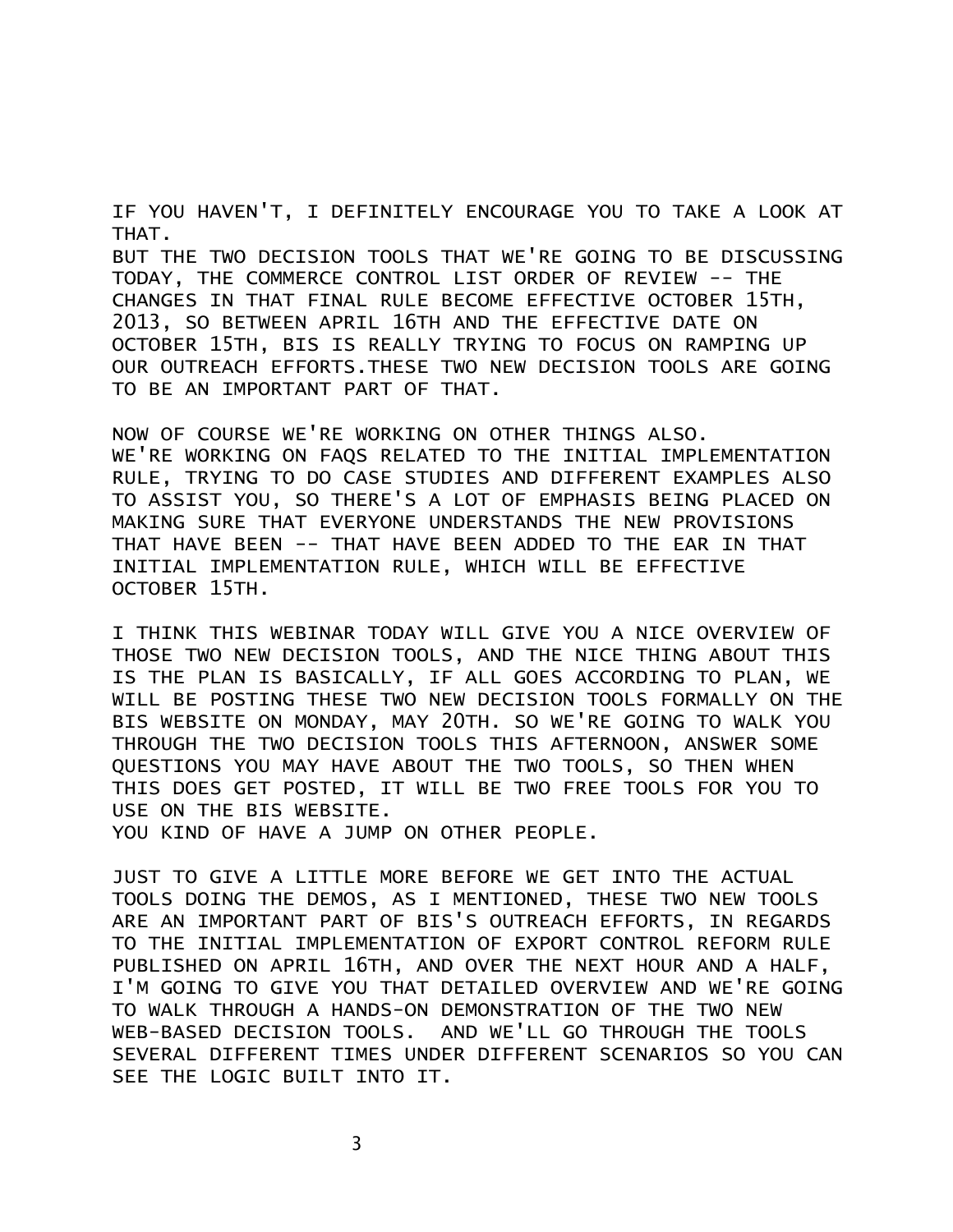IF YOU HAVEN'T, I DEFINITELY ENCOURAGE YOU TO TAKE A LOOK AT THAT.

BUT THE TWO DECISION TOOLS THAT WE'RE GOING TO BE DISCUSSING TODAY, THE COMMERCE CONTROL LIST ORDER OF REVIEW -- THE CHANGES IN THAT FINAL RULE BECOME EFFECTIVE OCTOBER 15TH, 2013, SO BETWEEN APRIL 16TH AND THE EFFECTIVE DATE ON OCTOBER 15TH, BIS IS REALLY TRYING TO FOCUS ON RAMPING UP OUR OUTREACH EFFORTS.THESE TWO NEW DECISION TOOLS ARE GOING TO BE AN IMPORTANT PART OF THAT.

NOW OF COURSE WE'RE WORKING ON OTHER THINGS ALSO. WE'RE WORKING ON FAQS RELATED TO THE INITIAL IMPLEMENTATION RULE, TRYING TO DO CASE STUDIES AND DIFFERENT EXAMPLES ALSO TO ASSIST YOU, SO THERE'S A LOT OF EMPHASIS BEING PLACED ON MAKING SURE THAT EVERYONE UNDERSTANDS THE NEW PROVISIONS THAT HAVE BEEN -- THAT HAVE BEEN ADDED TO THE EAR IN THAT INITIAL IMPLEMENTATION RULE, WHICH WILL BE EFFECTIVE OCTOBER 15TH.

I THINK THIS WEBINAR TODAY WILL GIVE YOU A NICE OVERVIEW OF THOSE TWO NEW DECISION TOOLS, AND THE NICE THING ABOUT THIS IS THE PLAN IS BASICALLY, IF ALL GOES ACCORDING TO PLAN, WE WILL BE POSTING THESE TWO NEW DECISION TOOLS FORMALLY ON THE BIS WEBSITE ON MONDAY, MAY 20TH. SO WE'RE GOING TO WALK YOU THROUGH THE TWO DECISION TOOLS THIS AFTERNOON, ANSWER SOME QUESTIONS YOU MAY HAVE ABOUT THE TWO TOOLS, SO THEN WHEN THIS DOES GET POSTED, IT WILL BE TWO FREE TOOLS FOR YOU TO USE ON THE BIS WEBSITE.

YOU KIND OF HAVE A JUMP ON OTHER PEOPLE.

JUST TO GIVE A LITTLE MORE BEFORE WE GET INTO THE ACTUAL TOOLS DOING THE DEMOS, AS I MENTIONED, THESE TWO NEW TOOLS ARE AN IMPORTANT PART OF BIS'S OUTREACH EFFORTS, IN REGARDS TO THE INITIAL IMPLEMENTATION OF EXPORT CONTROL REFORM RULE PUBLISHED ON APRIL 16TH, AND OVER THE NEXT HOUR AND A HALF, I'M GOING TO GIVE YOU THAT DETAILED OVERVIEW AND WE'RE GOING TO WALK THROUGH A HANDS-ON DEMONSTRATION OF THE TWO NEW WEB-BASED DECISION TOOLS. AND WE'LL GO THROUGH THE TOOLS SEVERAL DIFFERENT TIMES UNDER DIFFERENT SCENARIOS SO YOU CAN SEE THE LOGIC BUILT INTO IT.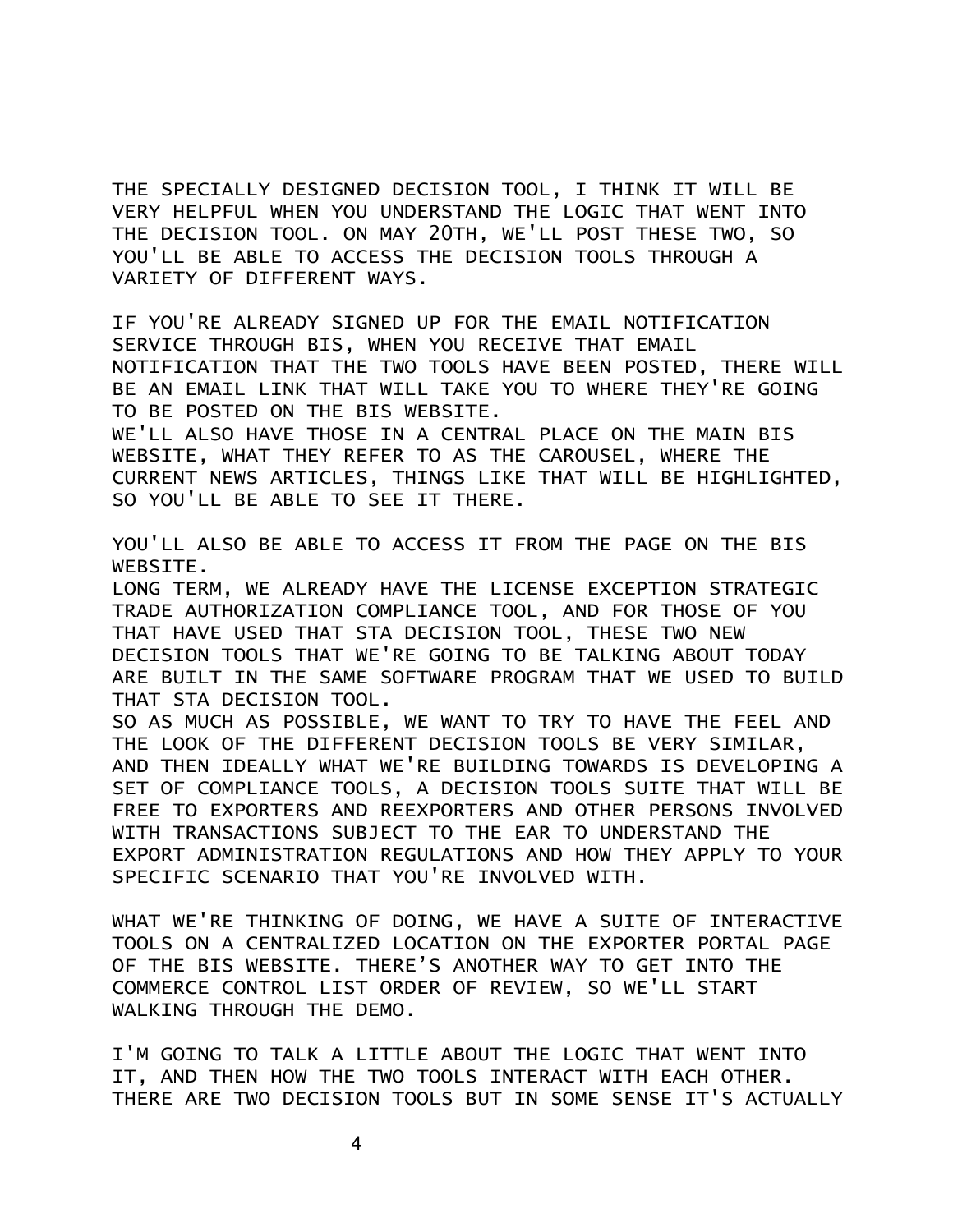THE SPECIALLY DESIGNED DECISION TOOL, I THINK IT WILL BE VERY HELPFUL WHEN YOU UNDERSTAND THE LOGIC THAT WENT INTO THE DECISION TOOL. ON MAY 20TH, WE'LL POST THESE TWO, SO YOU'LL BE ABLE TO ACCESS THE DECISION TOOLS THROUGH A VARIETY OF DIFFERENT WAYS.

IF YOU'RE ALREADY SIGNED UP FOR THE EMAIL NOTIFICATION SERVICE THROUGH BIS, WHEN YOU RECEIVE THAT EMAIL NOTIFICATION THAT THE TWO TOOLS HAVE BEEN POSTED, THERE WILL BE AN EMAIL LINK THAT WILL TAKE YOU TO WHERE THEY'RE GOING TO BE POSTED ON THE BIS WEBSITE.

WE'LL ALSO HAVE THOSE IN A CENTRAL PLACE ON THE MAIN BIS WEBSITE, WHAT THEY REFER TO AS THE CAROUSEL, WHERE THE CURRENT NEWS ARTICLES, THINGS LIKE THAT WILL BE HIGHLIGHTED, SO YOU'LL BE ABLE TO SEE IT THERE.

YOU'LL ALSO BE ABLE TO ACCESS IT FROM THE PAGE ON THE BIS WEBSITE.

LONG TERM, WE ALREADY HAVE THE LICENSE EXCEPTION STRATEGIC TRADE AUTHORIZATION COMPLIANCE TOOL, AND FOR THOSE OF YOU THAT HAVE USED THAT STA DECISION TOOL, THESE TWO NEW DECISION TOOLS THAT WE'RE GOING TO BE TALKING ABOUT TODAY ARE BUILT IN THE SAME SOFTWARE PROGRAM THAT WE USED TO BUILD THAT STA DECISION TOOL.

SO AS MUCH AS POSSIBLE, WE WANT TO TRY TO HAVE THE FEEL AND THE LOOK OF THE DIFFERENT DECISION TOOLS BE VERY SIMILAR, AND THEN IDEALLY WHAT WE'RE BUILDING TOWARDS IS DEVELOPING A SET OF COMPLIANCE TOOLS, A DECISION TOOLS SUITE THAT WILL BE FREE TO EXPORTERS AND REEXPORTERS AND OTHER PERSONS INVOLVED WITH TRANSACTIONS SUBJECT TO THE EAR TO UNDERSTAND THE EXPORT ADMINISTRATION REGULATIONS AND HOW THEY APPLY TO YOUR SPECIFIC SCENARIO THAT YOU'RE INVOLVED WITH.

WHAT WE'RE THINKING OF DOING, WE HAVE A SUITE OF INTERACTIVE TOOLS ON A CENTRALIZED LOCATION ON THE EXPORTER PORTAL PAGE OF THE BIS WEBSITE. THERE'S ANOTHER WAY TO GET INTO THE COMMERCE CONTROL LIST ORDER OF REVIEW, SO WE'LL START WALKING THROUGH THE DEMO.

I'M GOING TO TALK A LITTLE ABOUT THE LOGIC THAT WENT INTO IT, AND THEN HOW THE TWO TOOLS INTERACT WITH EACH OTHER. THERE ARE TWO DECISION TOOLS BUT IN SOME SENSE IT'S ACTUALLY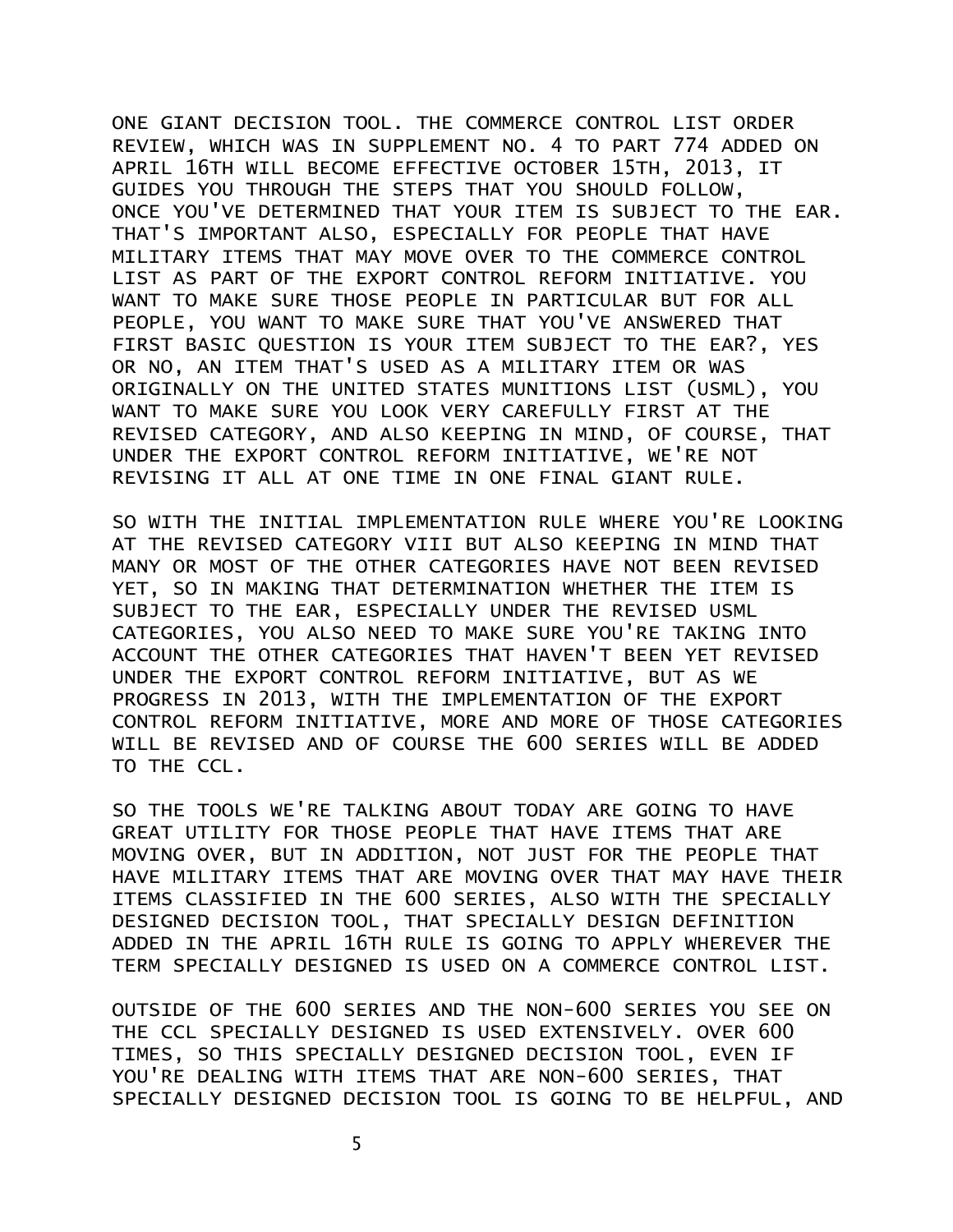ONE GIANT DECISION TOOL. THE COMMERCE CONTROL LIST ORDER REVIEW, WHICH WAS IN SUPPLEMENT NO. 4 TO PART 774 ADDED ON APRIL 16TH WILL BECOME EFFECTIVE OCTOBER 15TH, 2013, IT GUIDES YOU THROUGH THE STEPS THAT YOU SHOULD FOLLOW, ONCE YOU'VE DETERMINED THAT YOUR ITEM IS SUBJECT TO THE EAR. THAT'S IMPORTANT ALSO, ESPECIALLY FOR PEOPLE THAT HAVE MILITARY ITEMS THAT MAY MOVE OVER TO THE COMMERCE CONTROL LIST AS PART OF THE EXPORT CONTROL REFORM INITIATIVE. YOU WANT TO MAKE SURE THOSE PEOPLE IN PARTICULAR BUT FOR ALL PEOPLE, YOU WANT TO MAKE SURE THAT YOU'VE ANSWERED THAT FIRST BASIC QUESTION IS YOUR ITEM SUBJECT TO THE EAR?, YES OR NO, AN ITEM THAT'S USED AS A MILITARY ITEM OR WAS ORIGINALLY ON THE UNITED STATES MUNITIONS LIST (USML), YOU WANT TO MAKE SURE YOU LOOK VERY CAREFULLY FIRST AT THE REVISED CATEGORY, AND ALSO KEEPING IN MIND, OF COURSE, THAT UNDER THE EXPORT CONTROL REFORM INITIATIVE, WE'RE NOT REVISING IT ALL AT ONE TIME IN ONE FINAL GIANT RULE.

SO WITH THE INITIAL IMPLEMENTATION RULE WHERE YOU'RE LOOKING AT THE REVISED CATEGORY VIII BUT ALSO KEEPING IN MIND THAT MANY OR MOST OF THE OTHER CATEGORIES HAVE NOT BEEN REVISED YET, SO IN MAKING THAT DETERMINATION WHETHER THE ITEM IS SUBJECT TO THE EAR, ESPECIALLY UNDER THE REVISED USML CATEGORIES, YOU ALSO NEED TO MAKE SURE YOU'RE TAKING INTO ACCOUNT THE OTHER CATEGORIES THAT HAVEN'T BEEN YET REVISED UNDER THE EXPORT CONTROL REFORM INITIATIVE, BUT AS WE PROGRESS IN 2013, WITH THE IMPLEMENTATION OF THE EXPORT CONTROL REFORM INITIATIVE, MORE AND MORE OF THOSE CATEGORIES WILL BE REVISED AND OF COURSE THE 600 SERIES WILL BE ADDED TO THE CCL.

SO THE TOOLS WE'RE TALKING ABOUT TODAY ARE GOING TO HAVE GREAT UTILITY FOR THOSE PEOPLE THAT HAVE ITEMS THAT ARE MOVING OVER, BUT IN ADDITION, NOT JUST FOR THE PEOPLE THAT HAVE MILITARY ITEMS THAT ARE MOVING OVER THAT MAY HAVE THEIR ITEMS CLASSIFIED IN THE 600 SERIES, ALSO WITH THE SPECIALLY DESIGNED DECISION TOOL, THAT SPECIALLY DESIGN DEFINITION ADDED IN THE APRIL 16TH RULE IS GOING TO APPLY WHEREVER THE TERM SPECIALLY DESIGNED IS USED ON A COMMERCE CONTROL LIST.

OUTSIDE OF THE 600 SERIES AND THE NON-600 SERIES YOU SEE ON THE CCL SPECIALLY DESIGNED IS USED EXTENSIVELY. OVER 600 TIMES, SO THIS SPECIALLY DESIGNED DECISION TOOL, EVEN IF YOU'RE DEALING WITH ITEMS THAT ARE NON-600 SERIES, THAT SPECIALLY DESIGNED DECISION TOOL IS GOING TO BE HELPFUL, AND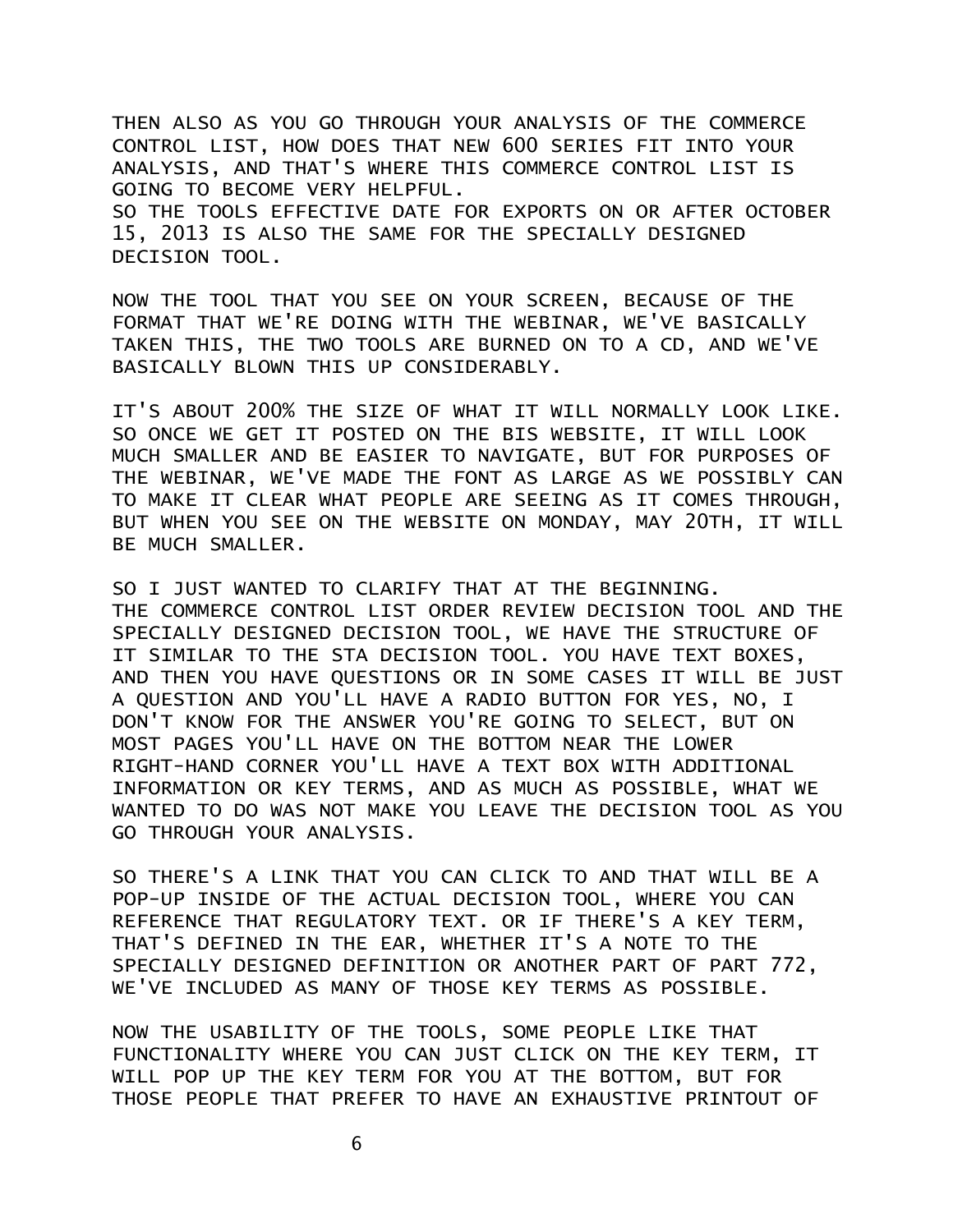THEN ALSO AS YOU GO THROUGH YOUR ANALYSIS OF THE COMMERCE CONTROL LIST, HOW DOES THAT NEW 600 SERIES FIT INTO YOUR ANALYSIS, AND THAT'S WHERE THIS COMMERCE CONTROL LIST IS GOING TO BECOME VERY HELPFUL. SO THE TOOLS EFFECTIVE DATE FOR EXPORTS ON OR AFTER OCTOBER 15, 2013 IS ALSO THE SAME FOR THE SPECIALLY DESIGNED DECISION TOOL.

NOW THE TOOL THAT YOU SEE ON YOUR SCREEN, BECAUSE OF THE FORMAT THAT WE'RE DOING WITH THE WEBINAR, WE'VE BASICALLY TAKEN THIS, THE TWO TOOLS ARE BURNED ON TO A CD, AND WE'VE BASICALLY BLOWN THIS UP CONSIDERABLY.

IT'S ABOUT 200% THE SIZE OF WHAT IT WILL NORMALLY LOOK LIKE. SO ONCE WE GET IT POSTED ON THE BIS WEBSITE, IT WILL LOOK MUCH SMALLER AND BE EASIER TO NAVIGATE, BUT FOR PURPOSES OF THE WEBINAR, WE'VE MADE THE FONT AS LARGE AS WE POSSIBLY CAN TO MAKE IT CLEAR WHAT PEOPLE ARE SEEING AS IT COMES THROUGH, BUT WHEN YOU SEE ON THE WEBSITE ON MONDAY, MAY 20TH, IT WILL BE MUCH SMALLER.

SO I JUST WANTED TO CLARIFY THAT AT THE BEGINNING. THE COMMERCE CONTROL LIST ORDER REVIEW DECISION TOOL AND THE SPECIALLY DESIGNED DECISION TOOL, WE HAVE THE STRUCTURE OF IT SIMILAR TO THE STA DECISION TOOL. YOU HAVE TEXT BOXES, AND THEN YOU HAVE QUESTIONS OR IN SOME CASES IT WILL BE JUST A QUESTION AND YOU'LL HAVE A RADIO BUTTON FOR YES, NO, I DON'T KNOW FOR THE ANSWER YOU'RE GOING TO SELECT, BUT ON MOST PAGES YOU'LL HAVE ON THE BOTTOM NEAR THE LOWER RIGHT-HAND CORNER YOU'LL HAVE A TEXT BOX WITH ADDITIONAL INFORMATION OR KEY TERMS, AND AS MUCH AS POSSIBLE, WHAT WE WANTED TO DO WAS NOT MAKE YOU LEAVE THE DECISION TOOL AS YOU GO THROUGH YOUR ANALYSIS.

SO THERE'S A LINK THAT YOU CAN CLICK TO AND THAT WILL BE A POP-UP INSIDE OF THE ACTUAL DECISION TOOL, WHERE YOU CAN REFERENCE THAT REGULATORY TEXT. OR IF THERE'S A KEY TERM, THAT'S DEFINED IN THE EAR, WHETHER IT'S A NOTE TO THE SPECIALLY DESIGNED DEFINITION OR ANOTHER PART OF PART 772, WE'VE INCLUDED AS MANY OF THOSE KEY TERMS AS POSSIBLE.

NOW THE USABILITY OF THE TOOLS, SOME PEOPLE LIKE THAT FUNCTIONALITY WHERE YOU CAN JUST CLICK ON THE KEY TERM, IT WILL POP UP THE KEY TERM FOR YOU AT THE BOTTOM, BUT FOR THOSE PEOPLE THAT PREFER TO HAVE AN EXHAUSTIVE PRINTOUT OF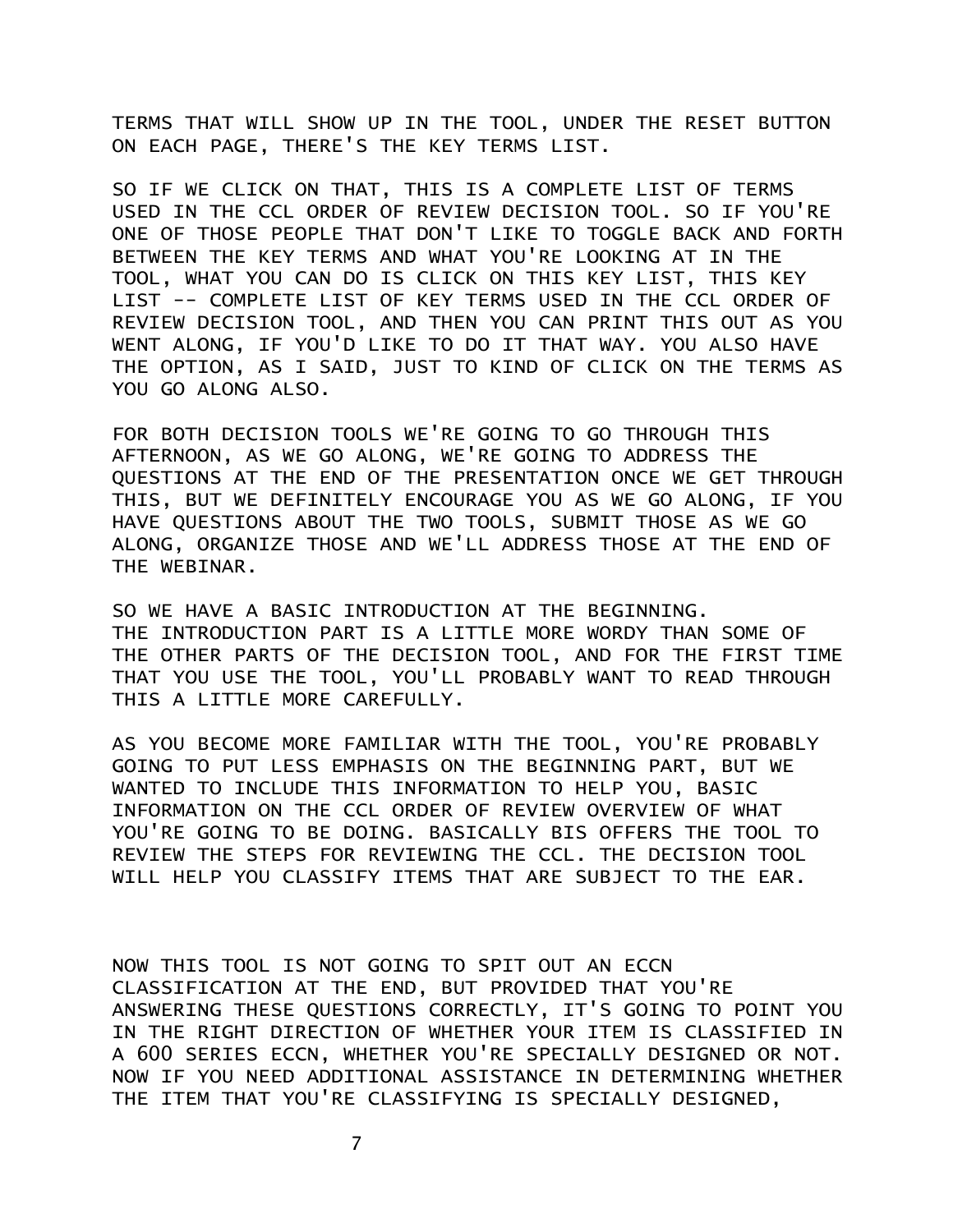TERMS THAT WILL SHOW UP IN THE TOOL, UNDER THE RESET BUTTON ON EACH PAGE, THERE'S THE KEY TERMS LIST.

SO IF WE CLICK ON THAT, THIS IS A COMPLETE LIST OF TERMS USED IN THE CCL ORDER OF REVIEW DECISION TOOL. SO IF YOU'RE ONE OF THOSE PEOPLE THAT DON'T LIKE TO TOGGLE BACK AND FORTH BETWEEN THE KEY TERMS AND WHAT YOU'RE LOOKING AT IN THE TOOL, WHAT YOU CAN DO IS CLICK ON THIS KEY LIST, THIS KEY LIST -- COMPLETE LIST OF KEY TERMS USED IN THE CCL ORDER OF REVIEW DECISION TOOL, AND THEN YOU CAN PRINT THIS OUT AS YOU WENT ALONG, IF YOU'D LIKE TO DO IT THAT WAY. YOU ALSO HAVE THE OPTION, AS I SAID, JUST TO KIND OF CLICK ON THE TERMS AS YOU GO ALONG ALSO.

FOR BOTH DECISION TOOLS WE'RE GOING TO GO THROUGH THIS AFTERNOON, AS WE GO ALONG, WE'RE GOING TO ADDRESS THE QUESTIONS AT THE END OF THE PRESENTATION ONCE WE GET THROUGH THIS, BUT WE DEFINITELY ENCOURAGE YOU AS WE GO ALONG, IF YOU HAVE QUESTIONS ABOUT THE TWO TOOLS, SUBMIT THOSE AS WE GO ALONG, ORGANIZE THOSE AND WE'LL ADDRESS THOSE AT THE END OF THE WEBINAR.

SO WE HAVE A BASIC INTRODUCTION AT THE BEGINNING. THE INTRODUCTION PART IS A LITTLE MORE WORDY THAN SOME OF THE OTHER PARTS OF THE DECISION TOOL, AND FOR THE FIRST TIME THAT YOU USE THE TOOL, YOU'LL PROBABLY WANT TO READ THROUGH THIS A LITTLE MORE CAREFULLY.

AS YOU BECOME MORE FAMILIAR WITH THE TOOL, YOU'RE PROBABLY GOING TO PUT LESS EMPHASIS ON THE BEGINNING PART, BUT WE WANTED TO INCLUDE THIS INFORMATION TO HELP YOU, BASIC INFORMATION ON THE CCL ORDER OF REVIEW OVERVIEW OF WHAT YOU'RE GOING TO BE DOING. BASICALLY BIS OFFERS THE TOOL TO REVIEW THE STEPS FOR REVIEWING THE CCL. THE DECISION TOOL WILL HELP YOU CLASSIFY ITEMS THAT ARE SUBJECT TO THE EAR.

NOW THIS TOOL IS NOT GOING TO SPIT OUT AN ECCN CLASSIFICATION AT THE END, BUT PROVIDED THAT YOU'RE ANSWERING THESE QUESTIONS CORRECTLY, IT'S GOING TO POINT YOU IN THE RIGHT DIRECTION OF WHETHER YOUR ITEM IS CLASSIFIED IN A 600 SERIES ECCN, WHETHER YOU'RE SPECIALLY DESIGNED OR NOT. NOW IF YOU NEED ADDITIONAL ASSISTANCE IN DETERMINING WHETHER THE ITEM THAT YOU'RE CLASSIFYING IS SPECIALLY DESIGNED,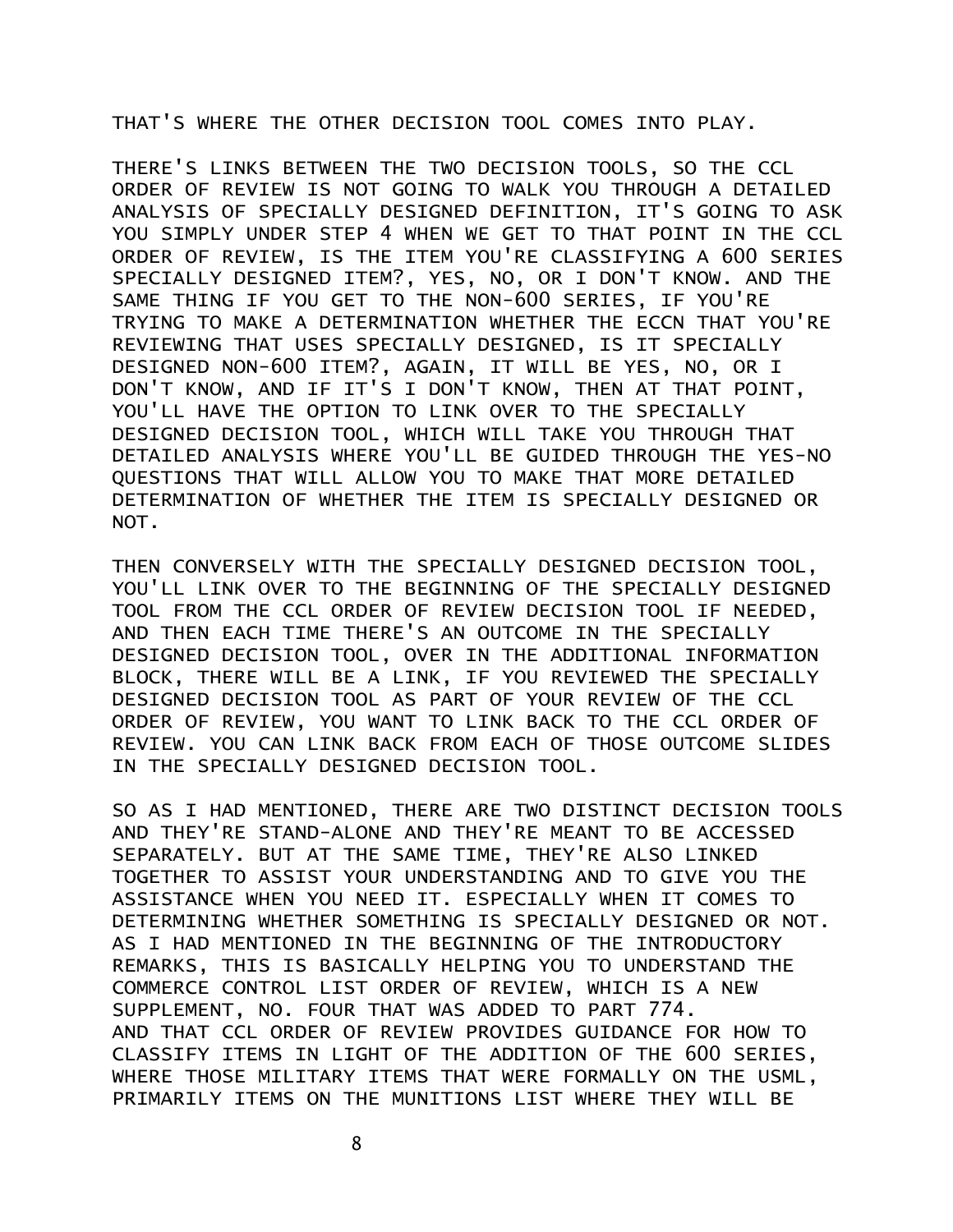THAT'S WHERE THE OTHER DECISION TOOL COMES INTO PLAY.

THERE'S LINKS BETWEEN THE TWO DECISION TOOLS, SO THE CCL ORDER OF REVIEW IS NOT GOING TO WALK YOU THROUGH A DETAILED ANALYSIS OF SPECIALLY DESIGNED DEFINITION, IT'S GOING TO ASK YOU SIMPLY UNDER STEP 4 WHEN WE GET TO THAT POINT IN THE CCL ORDER OF REVIEW, IS THE ITEM YOU'RE CLASSIFYING A 600 SERIES SPECIALLY DESIGNED ITEM?, YES, NO, OR I DON'T KNOW. AND THE SAME THING IF YOU GET TO THE NON-600 SERIES, IF YOU'RE TRYING TO MAKE A DETERMINATION WHETHER THE ECCN THAT YOU'RE REVIEWING THAT USES SPECIALLY DESIGNED, IS IT SPECIALLY DESIGNED NON-600 ITEM?, AGAIN, IT WILL BE YES, NO, OR I DON'T KNOW, AND IF IT'S I DON'T KNOW, THEN AT THAT POINT, YOU'LL HAVE THE OPTION TO LINK OVER TO THE SPECIALLY DESIGNED DECISION TOOL, WHICH WILL TAKE YOU THROUGH THAT DETAILED ANALYSIS WHERE YOU'LL BE GUIDED THROUGH THE YES-NO QUESTIONS THAT WILL ALLOW YOU TO MAKE THAT MORE DETAILED DETERMINATION OF WHETHER THE ITEM IS SPECIALLY DESIGNED OR NOT.

THEN CONVERSELY WITH THE SPECIALLY DESIGNED DECISION TOOL, YOU'LL LINK OVER TO THE BEGINNING OF THE SPECIALLY DESIGNED TOOL FROM THE CCL ORDER OF REVIEW DECISION TOOL IF NEEDED, AND THEN EACH TIME THERE'S AN OUTCOME IN THE SPECIALLY DESIGNED DECISION TOOL, OVER IN THE ADDITIONAL INFORMATION BLOCK, THERE WILL BE A LINK, IF YOU REVIEWED THE SPECIALLY DESIGNED DECISION TOOL AS PART OF YOUR REVIEW OF THE CCL ORDER OF REVIEW, YOU WANT TO LINK BACK TO THE CCL ORDER OF REVIEW. YOU CAN LINK BACK FROM EACH OF THOSE OUTCOME SLIDES IN THE SPECIALLY DESIGNED DECISION TOOL.

SO AS I HAD MENTIONED, THERE ARE TWO DISTINCT DECISION TOOLS AND THEY'RE STAND-ALONE AND THEY'RE MEANT TO BE ACCESSED SEPARATELY. BUT AT THE SAME TIME, THEY'RE ALSO LINKED TOGETHER TO ASSIST YOUR UNDERSTANDING AND TO GIVE YOU THE ASSISTANCE WHEN YOU NEED IT. ESPECIALLY WHEN IT COMES TO DETERMINING WHETHER SOMETHING IS SPECIALLY DESIGNED OR NOT. AS I HAD MENTIONED IN THE BEGINNING OF THE INTRODUCTORY REMARKS, THIS IS BASICALLY HELPING YOU TO UNDERSTAND THE COMMERCE CONTROL LIST ORDER OF REVIEW, WHICH IS A NEW SUPPLEMENT, NO. FOUR THAT WAS ADDED TO PART 774. AND THAT CCL ORDER OF REVIEW PROVIDES GUIDANCE FOR HOW TO CLASSIFY ITEMS IN LIGHT OF THE ADDITION OF THE 600 SERIES, WHERE THOSE MILITARY ITEMS THAT WERE FORMALLY ON THE USML, PRIMARILY ITEMS ON THE MUNITIONS LIST WHERE THEY WILL BE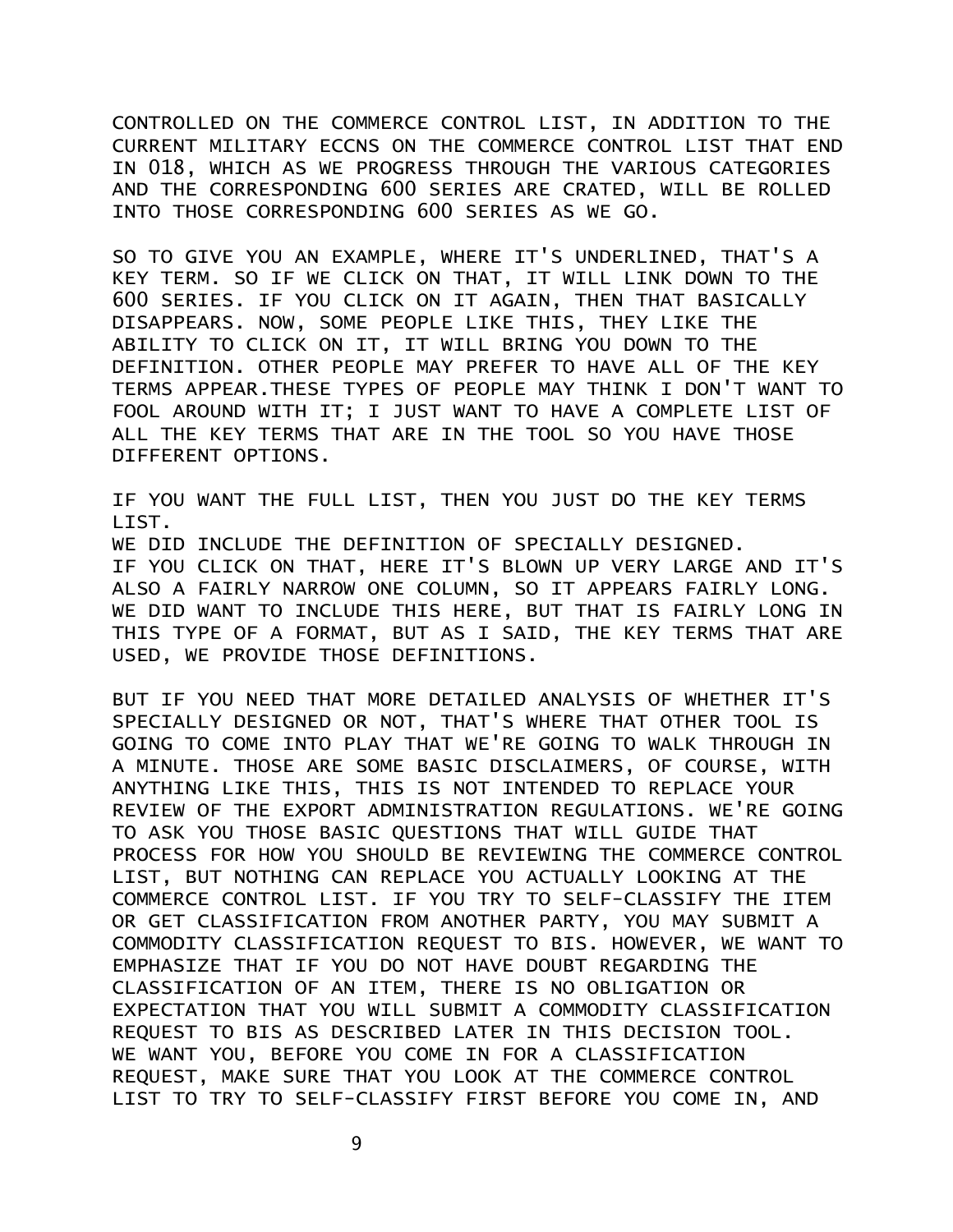CONTROLLED ON THE COMMERCE CONTROL LIST, IN ADDITION TO THE CURRENT MILITARY ECCNS ON THE COMMERCE CONTROL LIST THAT END IN 018, WHICH AS WE PROGRESS THROUGH THE VARIOUS CATEGORIES AND THE CORRESPONDING 600 SERIES ARE CRATED, WILL BE ROLLED INTO THOSE CORRESPONDING 600 SERIES AS WE GO.

SO TO GIVE YOU AN EXAMPLE, WHERE IT'S UNDERLINED, THAT'S A KEY TERM. SO IF WE CLICK ON THAT, IT WILL LINK DOWN TO THE 600 SERIES. IF YOU CLICK ON IT AGAIN, THEN THAT BASICALLY DISAPPEARS. NOW, SOME PEOPLE LIKE THIS, THEY LIKE THE ABILITY TO CLICK ON IT, IT WILL BRING YOU DOWN TO THE DEFINITION. OTHER PEOPLE MAY PREFER TO HAVE ALL OF THE KEY TERMS APPEAR.THESE TYPES OF PEOPLE MAY THINK I DON'T WANT TO FOOL AROUND WITH IT; I JUST WANT TO HAVE A COMPLETE LIST OF ALL THE KEY TERMS THAT ARE IN THE TOOL SO YOU HAVE THOSE DIFFERENT OPTIONS.

IF YOU WANT THE FULL LIST, THEN YOU JUST DO THE KEY TERMS LIST. WE DID INCLUDE THE DEFINITION OF SPECIALLY DESIGNED. IF YOU CLICK ON THAT, HERE IT'S BLOWN UP VERY LARGE AND IT'S ALSO A FAIRLY NARROW ONE COLUMN, SO IT APPEARS FAIRLY LONG. WE DID WANT TO INCLUDE THIS HERE, BUT THAT IS FAIRLY LONG IN THIS TYPE OF A FORMAT, BUT AS I SAID, THE KEY TERMS THAT ARE USED, WE PROVIDE THOSE DEFINITIONS.

BUT IF YOU NEED THAT MORE DETAILED ANALYSIS OF WHETHER IT'S SPECIALLY DESIGNED OR NOT, THAT'S WHERE THAT OTHER TOOL IS GOING TO COME INTO PLAY THAT WE'RE GOING TO WALK THROUGH IN A MINUTE. THOSE ARE SOME BASIC DISCLAIMERS, OF COURSE, WITH ANYTHING LIKE THIS, THIS IS NOT INTENDED TO REPLACE YOUR REVIEW OF THE EXPORT ADMINISTRATION REGULATIONS. WE'RE GOING TO ASK YOU THOSE BASIC QUESTIONS THAT WILL GUIDE THAT PROCESS FOR HOW YOU SHOULD BE REVIEWING THE COMMERCE CONTROL LIST, BUT NOTHING CAN REPLACE YOU ACTUALLY LOOKING AT THE COMMERCE CONTROL LIST. IF YOU TRY TO SELF-CLASSIFY THE ITEM OR GET CLASSIFICATION FROM ANOTHER PARTY, YOU MAY SUBMIT A COMMODITY CLASSIFICATION REQUEST TO BIS. HOWEVER, WE WANT TO EMPHASIZE THAT IF YOU DO NOT HAVE DOUBT REGARDING THE CLASSIFICATION OF AN ITEM, THERE IS NO OBLIGATION OR EXPECTATION THAT YOU WILL SUBMIT A COMMODITY CLASSIFICATION REQUEST TO BIS AS DESCRIBED LATER IN THIS DECISION TOOL. WE WANT YOU, BEFORE YOU COME IN FOR A CLASSIFICATION REQUEST, MAKE SURE THAT YOU LOOK AT THE COMMERCE CONTROL LIST TO TRY TO SELF-CLASSIFY FIRST BEFORE YOU COME IN, AND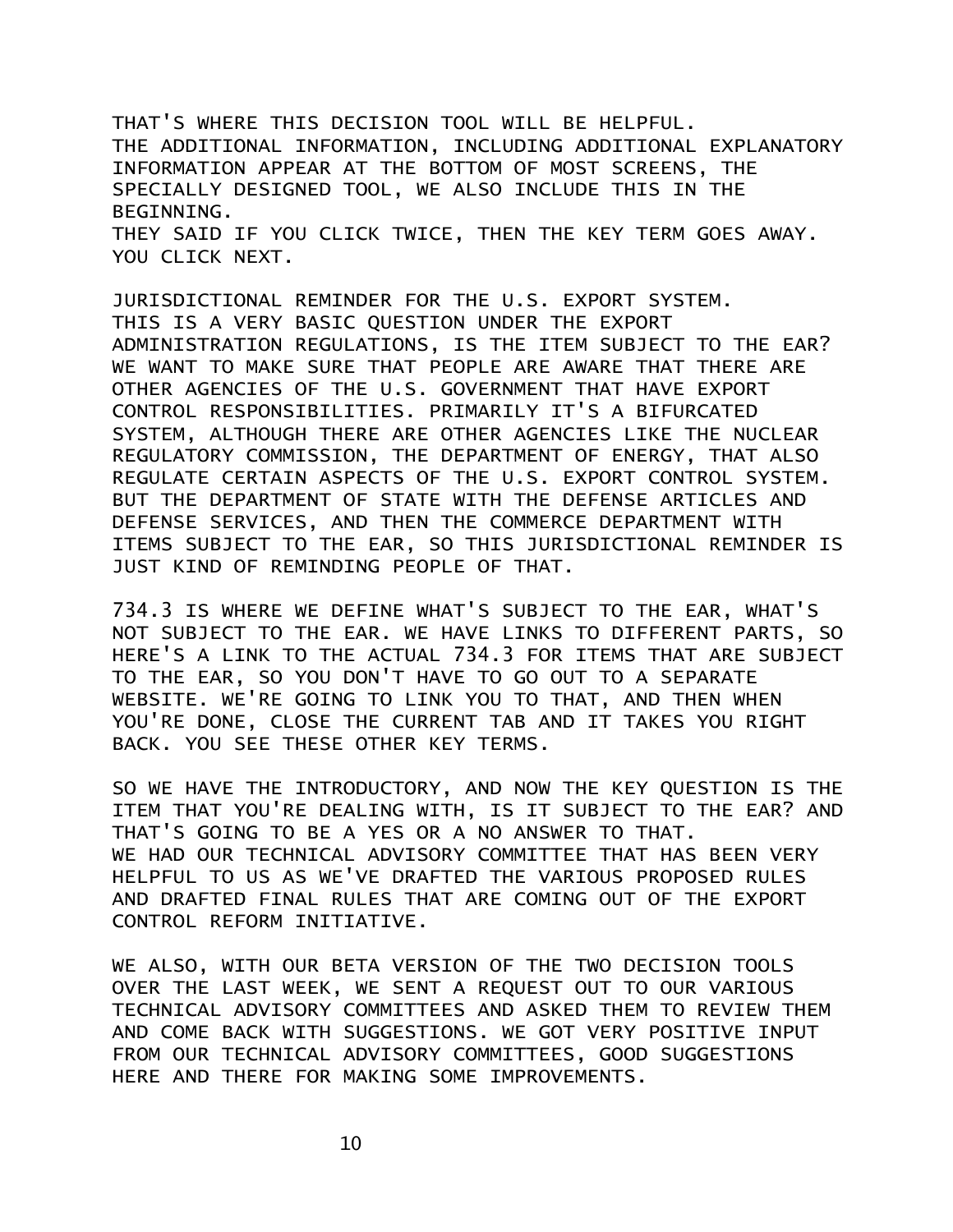THAT'S WHERE THIS DECISION TOOL WILL BE HELPFUL. THE ADDITIONAL INFORMATION, INCLUDING ADDITIONAL EXPLANATORY INFORMATION APPEAR AT THE BOTTOM OF MOST SCREENS, THE SPECIALLY DESIGNED TOOL, WE ALSO INCLUDE THIS IN THE BEGINNING. THEY SAID IF YOU CLICK TWICE, THEN THE KEY TERM GOES AWAY. YOU CLICK NEXT.

JURISDICTIONAL REMINDER FOR THE U.S. EXPORT SYSTEM. THIS IS A VERY BASIC QUESTION UNDER THE EXPORT ADMINISTRATION REGULATIONS, IS THE ITEM SUBJECT TO THE EAR? WE WANT TO MAKE SURE THAT PEOPLE ARE AWARE THAT THERE ARE OTHER AGENCIES OF THE U.S. GOVERNMENT THAT HAVE EXPORT CONTROL RESPONSIBILITIES. PRIMARILY IT'S A BIFURCATED SYSTEM, ALTHOUGH THERE ARE OTHER AGENCIES LIKE THE NUCLEAR REGULATORY COMMISSION, THE DEPARTMENT OF ENERGY, THAT ALSO REGULATE CERTAIN ASPECTS OF THE U.S. EXPORT CONTROL SYSTEM. BUT THE DEPARTMENT OF STATE WITH THE DEFENSE ARTICLES AND DEFENSE SERVICES, AND THEN THE COMMERCE DEPARTMENT WITH ITEMS SUBJECT TO THE EAR, SO THIS JURISDICTIONAL REMINDER IS JUST KIND OF REMINDING PEOPLE OF THAT.

734.3 IS WHERE WE DEFINE WHAT'S SUBJECT TO THE EAR, WHAT'S NOT SUBJECT TO THE EAR. WE HAVE LINKS TO DIFFERENT PARTS, SO HERE'S A LINK TO THE ACTUAL 734.3 FOR ITEMS THAT ARE SUBJECT TO THE EAR, SO YOU DON'T HAVE TO GO OUT TO A SEPARATE WEBSITE. WE'RE GOING TO LINK YOU TO THAT, AND THEN WHEN YOU'RE DONE, CLOSE THE CURRENT TAB AND IT TAKES YOU RIGHT BACK. YOU SEE THESE OTHER KEY TERMS.

SO WE HAVE THE INTRODUCTORY, AND NOW THE KEY QUESTION IS THE ITEM THAT YOU'RE DEALING WITH, IS IT SUBJECT TO THE EAR? AND THAT'S GOING TO BE A YES OR A NO ANSWER TO THAT. WE HAD OUR TECHNICAL ADVISORY COMMITTEE THAT HAS BEEN VERY HELPFUL TO US AS WE'VE DRAFTED THE VARIOUS PROPOSED RULES AND DRAFTED FINAL RULES THAT ARE COMING OUT OF THE EXPORT CONTROL REFORM INITIATIVE.

WE ALSO, WITH OUR BETA VERSION OF THE TWO DECISION TOOLS OVER THE LAST WEEK, WE SENT A REQUEST OUT TO OUR VARIOUS TECHNICAL ADVISORY COMMITTEES AND ASKED THEM TO REVIEW THEM AND COME BACK WITH SUGGESTIONS. WE GOT VERY POSITIVE INPUT FROM OUR TECHNICAL ADVISORY COMMITTEES, GOOD SUGGESTIONS HERE AND THERE FOR MAKING SOME IMPROVEMENTS.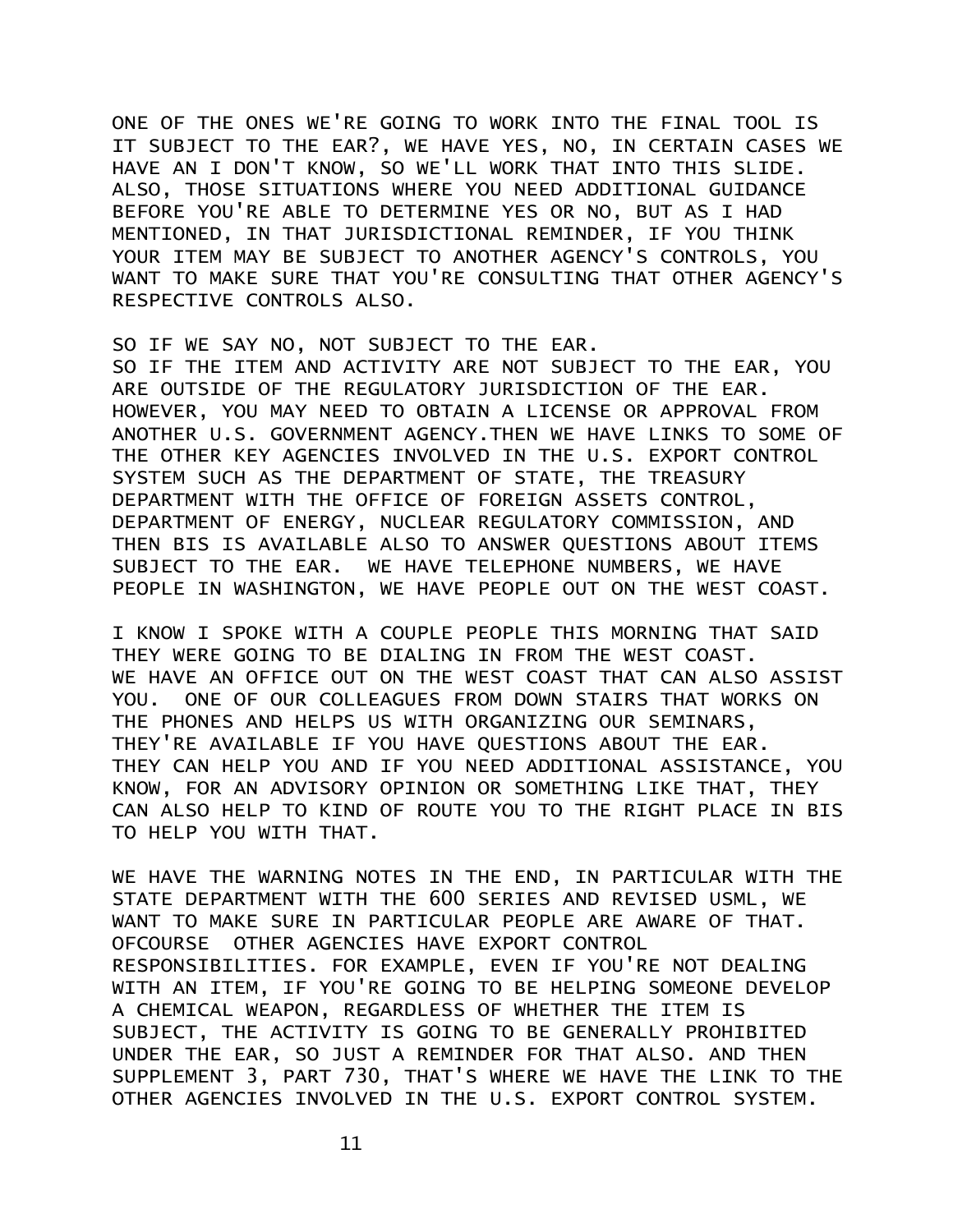ONE OF THE ONES WE'RE GOING TO WORK INTO THE FINAL TOOL IS IT SUBJECT TO THE EAR?, WE HAVE YES, NO, IN CERTAIN CASES WE HAVE AN I DON'T KNOW, SO WE'LL WORK THAT INTO THIS SLIDE. ALSO, THOSE SITUATIONS WHERE YOU NEED ADDITIONAL GUIDANCE BEFORE YOU'RE ABLE TO DETERMINE YES OR NO, BUT AS I HAD MENTIONED, IN THAT JURISDICTIONAL REMINDER, IF YOU THINK YOUR ITEM MAY BE SUBJECT TO ANOTHER AGENCY'S CONTROLS, YOU WANT TO MAKE SURE THAT YOU'RE CONSULTING THAT OTHER AGENCY'S RESPECTIVE CONTROLS ALSO.

SO IF WE SAY NO, NOT SUBJECT TO THE EAR. SO IF THE ITEM AND ACTIVITY ARE NOT SUBJECT TO THE EAR, YOU ARE OUTSIDE OF THE REGULATORY JURISDICTION OF THE EAR. HOWEVER, YOU MAY NEED TO OBTAIN A LICENSE OR APPROVAL FROM ANOTHER U.S. GOVERNMENT AGENCY.THEN WE HAVE LINKS TO SOME OF THE OTHER KEY AGENCIES INVOLVED IN THE U.S. EXPORT CONTROL SYSTEM SUCH AS THE DEPARTMENT OF STATE, THE TREASURY DEPARTMENT WITH THE OFFICE OF FOREIGN ASSETS CONTROL, DEPARTMENT OF ENERGY, NUCLEAR REGULATORY COMMISSION, AND THEN BIS IS AVAILABLE ALSO TO ANSWER QUESTIONS ABOUT ITEMS SUBJECT TO THE EAR. WE HAVE TELEPHONE NUMBERS, WE HAVE PEOPLE IN WASHINGTON, WE HAVE PEOPLE OUT ON THE WEST COAST.

I KNOW I SPOKE WITH A COUPLE PEOPLE THIS MORNING THAT SAID THEY WERE GOING TO BE DIALING IN FROM THE WEST COAST. WE HAVE AN OFFICE OUT ON THE WEST COAST THAT CAN ALSO ASSIST YOU. ONE OF OUR COLLEAGUES FROM DOWN STAIRS THAT WORKS ON THE PHONES AND HELPS US WITH ORGANIZING OUR SEMINARS, THEY'RE AVAILABLE IF YOU HAVE QUESTIONS ABOUT THE EAR. THEY CAN HELP YOU AND IF YOU NEED ADDITIONAL ASSISTANCE, YOU KNOW, FOR AN ADVISORY OPINION OR SOMETHING LIKE THAT, THEY CAN ALSO HELP TO KIND OF ROUTE YOU TO THE RIGHT PLACE IN BIS TO HELP YOU WITH THAT.

WE HAVE THE WARNING NOTES IN THE END, IN PARTICULAR WITH THE STATE DEPARTMENT WITH THE 600 SERIES AND REVISED USML, WE WANT TO MAKE SURE IN PARTICULAR PEOPLE ARE AWARE OF THAT. OFCOURSE OTHER AGENCIES HAVE EXPORT CONTROL RESPONSIBILITIES. FOR EXAMPLE, EVEN IF YOU'RE NOT DEALING WITH AN ITEM, IF YOU'RE GOING TO BE HELPING SOMEONE DEVELOP A CHEMICAL WEAPON, REGARDLESS OF WHETHER THE ITEM IS SUBJECT, THE ACTIVITY IS GOING TO BE GENERALLY PROHIBITED UNDER THE EAR, SO JUST A REMINDER FOR THAT ALSO. AND THEN SUPPLEMENT 3, PART 730, THAT'S WHERE WE HAVE THE LINK TO THE OTHER AGENCIES INVOLVED IN THE U.S. EXPORT CONTROL SYSTEM.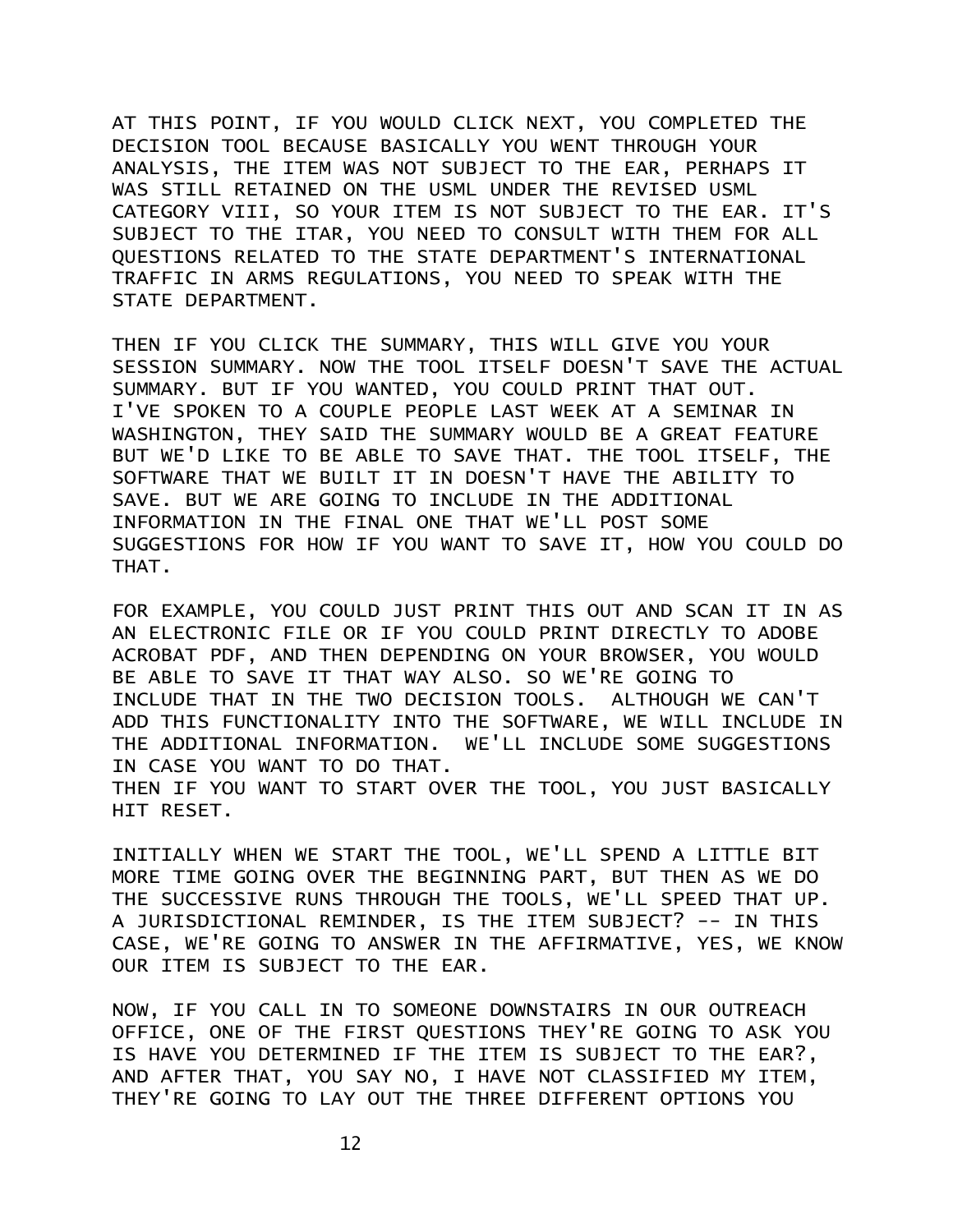AT THIS POINT, IF YOU WOULD CLICK NEXT, YOU COMPLETED THE DECISION TOOL BECAUSE BASICALLY YOU WENT THROUGH YOUR ANALYSIS, THE ITEM WAS NOT SUBJECT TO THE EAR, PERHAPS IT WAS STILL RETAINED ON THE USML UNDER THE REVISED USML CATEGORY VIII, SO YOUR ITEM IS NOT SUBJECT TO THE EAR. IT'S SUBJECT TO THE ITAR, YOU NEED TO CONSULT WITH THEM FOR ALL QUESTIONS RELATED TO THE STATE DEPARTMENT'S INTERNATIONAL TRAFFIC IN ARMS REGULATIONS, YOU NEED TO SPEAK WITH THE STATE DEPARTMENT.

THEN IF YOU CLICK THE SUMMARY, THIS WILL GIVE YOU YOUR SESSION SUMMARY. NOW THE TOOL ITSELF DOESN'T SAVE THE ACTUAL SUMMARY. BUT IF YOU WANTED, YOU COULD PRINT THAT OUT. I'VE SPOKEN TO A COUPLE PEOPLE LAST WEEK AT A SEMINAR IN WASHINGTON, THEY SAID THE SUMMARY WOULD BE A GREAT FEATURE BUT WE'D LIKE TO BE ABLE TO SAVE THAT. THE TOOL ITSELF, THE SOFTWARE THAT WE BUILT IT IN DOESN'T HAVE THE ABILITY TO SAVE. BUT WE ARE GOING TO INCLUDE IN THE ADDITIONAL INFORMATION IN THE FINAL ONE THAT WE'LL POST SOME SUGGESTIONS FOR HOW IF YOU WANT TO SAVE IT, HOW YOU COULD DO THAT.

FOR EXAMPLE, YOU COULD JUST PRINT THIS OUT AND SCAN IT IN AS AN ELECTRONIC FILE OR IF YOU COULD PRINT DIRECTLY TO ADOBE ACROBAT PDF, AND THEN DEPENDING ON YOUR BROWSER, YOU WOULD BE ABLE TO SAVE IT THAT WAY ALSO. SO WE'RE GOING TO INCLUDE THAT IN THE TWO DECISION TOOLS. ALTHOUGH WE CAN'T ADD THIS FUNCTIONALITY INTO THE SOFTWARE, WE WILL INCLUDE IN THE ADDITIONAL INFORMATION. WE'LL INCLUDE SOME SUGGESTIONS IN CASE YOU WANT TO DO THAT. THEN IF YOU WANT TO START OVER THE TOOL, YOU JUST BASICALLY HIT RESET.

INITIALLY WHEN WE START THE TOOL, WE'LL SPEND A LITTLE BIT MORE TIME GOING OVER THE BEGINNING PART, BUT THEN AS WE DO THE SUCCESSIVE RUNS THROUGH THE TOOLS, WE'LL SPEED THAT UP. A JURISDICTIONAL REMINDER, IS THE ITEM SUBJECT? -- IN THIS CASE, WE'RE GOING TO ANSWER IN THE AFFIRMATIVE, YES, WE KNOW OUR ITEM IS SUBJECT TO THE EAR.

NOW, IF YOU CALL IN TO SOMEONE DOWNSTAIRS IN OUR OUTREACH OFFICE, ONE OF THE FIRST QUESTIONS THEY'RE GOING TO ASK YOU IS HAVE YOU DETERMINED IF THE ITEM IS SUBJECT TO THE EAR?, AND AFTER THAT, YOU SAY NO, I HAVE NOT CLASSIFIED MY ITEM, THEY'RE GOING TO LAY OUT THE THREE DIFFERENT OPTIONS YOU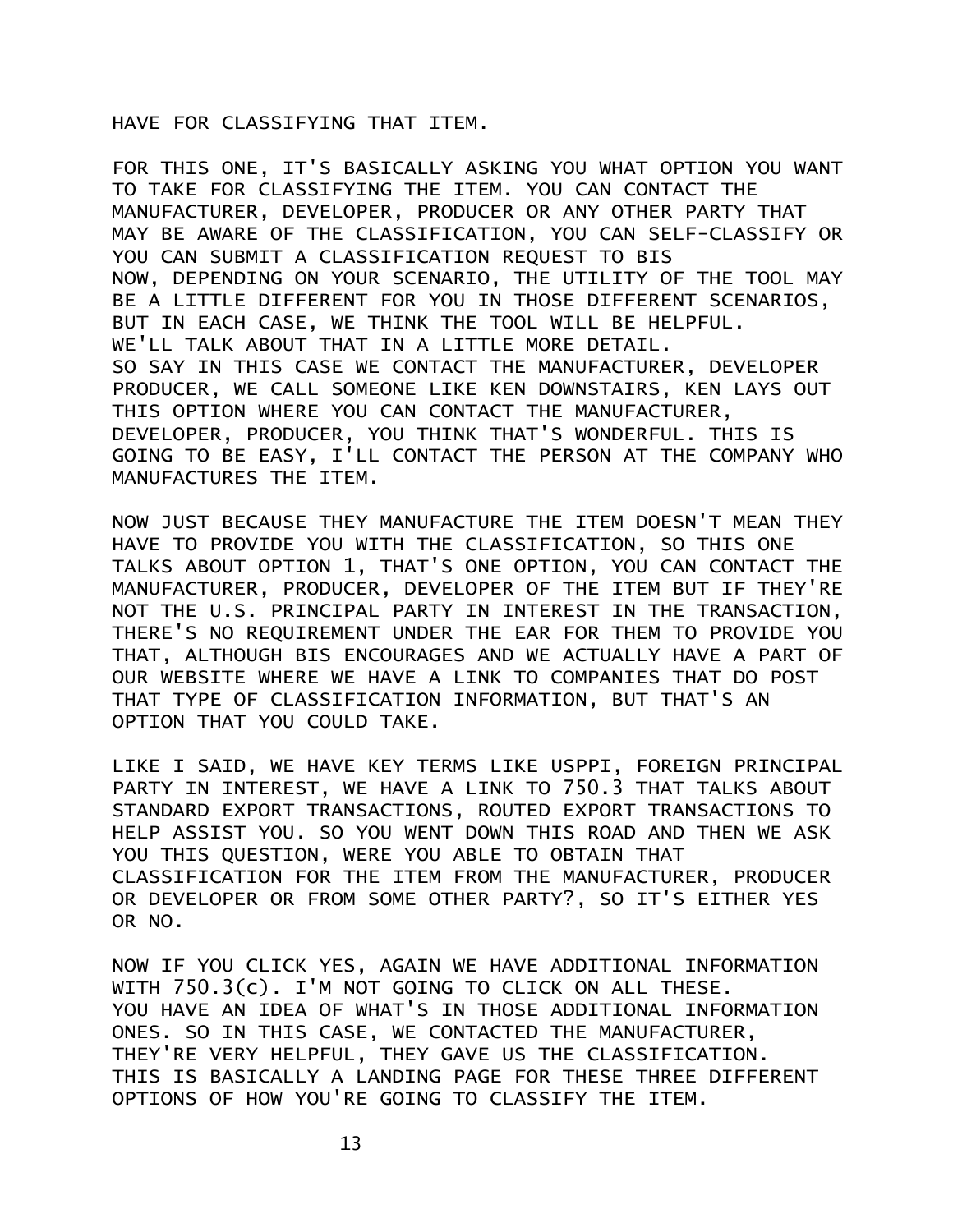## HAVE FOR CLASSIFYING THAT ITEM.

FOR THIS ONE, IT'S BASICALLY ASKING YOU WHAT OPTION YOU WANT TO TAKE FOR CLASSIFYING THE ITEM. YOU CAN CONTACT THE MANUFACTURER, DEVELOPER, PRODUCER OR ANY OTHER PARTY THAT MAY BE AWARE OF THE CLASSIFICATION, YOU CAN SELF-CLASSIFY OR YOU CAN SUBMIT A CLASSIFICATION REQUEST TO BIS NOW, DEPENDING ON YOUR SCENARIO, THE UTILITY OF THE TOOL MAY BE A LITTLE DIFFERENT FOR YOU IN THOSE DIFFERENT SCENARIOS, BUT IN EACH CASE, WE THINK THE TOOL WILL BE HELPFUL. WE'LL TALK ABOUT THAT IN A LITTLE MORE DETAIL. SO SAY IN THIS CASE WE CONTACT THE MANUFACTURER, DEVELOPER PRODUCER, WE CALL SOMEONE LIKE KEN DOWNSTAIRS, KEN LAYS OUT THIS OPTION WHERE YOU CAN CONTACT THE MANUFACTURER, DEVELOPER, PRODUCER, YOU THINK THAT'S WONDERFUL. THIS IS GOING TO BE EASY, I'LL CONTACT THE PERSON AT THE COMPANY WHO MANUFACTURES THE ITEM.

NOW JUST BECAUSE THEY MANUFACTURE THE ITEM DOESN'T MEAN THEY HAVE TO PROVIDE YOU WITH THE CLASSIFICATION, SO THIS ONE TALKS ABOUT OPTION 1, THAT'S ONE OPTION, YOU CAN CONTACT THE MANUFACTURER, PRODUCER, DEVELOPER OF THE ITEM BUT IF THEY'RE NOT THE U.S. PRINCIPAL PARTY IN INTEREST IN THE TRANSACTION, THERE'S NO REQUIREMENT UNDER THE EAR FOR THEM TO PROVIDE YOU THAT, ALTHOUGH BIS ENCOURAGES AND WE ACTUALLY HAVE A PART OF OUR WEBSITE WHERE WE HAVE A LINK TO COMPANIES THAT DO POST THAT TYPE OF CLASSIFICATION INFORMATION, BUT THAT'S AN OPTION THAT YOU COULD TAKE.

LIKE I SAID, WE HAVE KEY TERMS LIKE USPPI, FOREIGN PRINCIPAL PARTY IN INTEREST, WE HAVE A LINK TO 750.3 THAT TALKS ABOUT STANDARD EXPORT TRANSACTIONS, ROUTED EXPORT TRANSACTIONS TO HELP ASSIST YOU. SO YOU WENT DOWN THIS ROAD AND THEN WE ASK YOU THIS QUESTION, WERE YOU ABLE TO OBTAIN THAT CLASSIFICATION FOR THE ITEM FROM THE MANUFACTURER, PRODUCER OR DEVELOPER OR FROM SOME OTHER PARTY?, SO IT'S EITHER YES OR NO.

NOW IF YOU CLICK YES, AGAIN WE HAVE ADDITIONAL INFORMATION WITH 750.3(c). I'M NOT GOING TO CLICK ON ALL THESE. YOU HAVE AN IDEA OF WHAT'S IN THOSE ADDITIONAL INFORMATION ONES. SO IN THIS CASE, WE CONTACTED THE MANUFACTURER, THEY'RE VERY HELPFUL, THEY GAVE US THE CLASSIFICATION. THIS IS BASICALLY A LANDING PAGE FOR THESE THREE DIFFERENT OPTIONS OF HOW YOU'RE GOING TO CLASSIFY THE ITEM.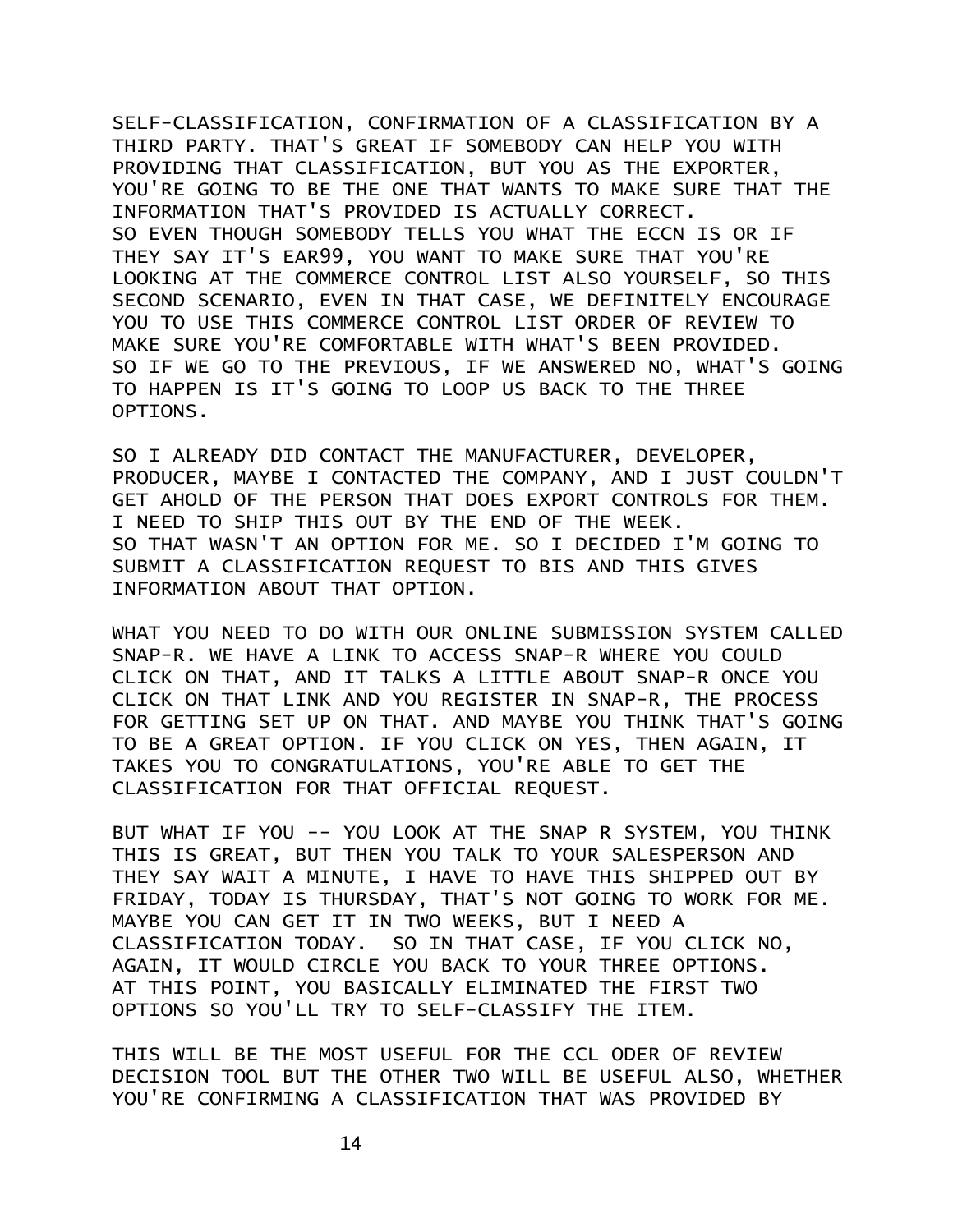SELF-CLASSIFICATION, CONFIRMATION OF A CLASSIFICATION BY A THIRD PARTY. THAT'S GREAT IF SOMEBODY CAN HELP YOU WITH PROVIDING THAT CLASSIFICATION, BUT YOU AS THE EXPORTER, YOU'RE GOING TO BE THE ONE THAT WANTS TO MAKE SURE THAT THE INFORMATION THAT'S PROVIDED IS ACTUALLY CORRECT. SO EVEN THOUGH SOMEBODY TELLS YOU WHAT THE ECCN IS OR IF THEY SAY IT'S EAR99, YOU WANT TO MAKE SURE THAT YOU'RE LOOKING AT THE COMMERCE CONTROL LIST ALSO YOURSELF, SO THIS SECOND SCENARIO, EVEN IN THAT CASE, WE DEFINITELY ENCOURAGE YOU TO USE THIS COMMERCE CONTROL LIST ORDER OF REVIEW TO MAKE SURE YOU'RE COMFORTABLE WITH WHAT'S BEEN PROVIDED. SO IF WE GO TO THE PREVIOUS, IF WE ANSWERED NO, WHAT'S GOING TO HAPPEN IS IT'S GOING TO LOOP US BACK TO THE THREE OPTIONS.

SO I ALREADY DID CONTACT THE MANUFACTURER, DEVELOPER, PRODUCER, MAYBE I CONTACTED THE COMPANY, AND I JUST COULDN'T GET AHOLD OF THE PERSON THAT DOES EXPORT CONTROLS FOR THEM. I NEED TO SHIP THIS OUT BY THE END OF THE WEEK. SO THAT WASN'T AN OPTION FOR ME. SO I DECIDED I'M GOING TO SUBMIT A CLASSIFICATION REQUEST TO BIS AND THIS GIVES INFORMATION ABOUT THAT OPTION.

WHAT YOU NEED TO DO WITH OUR ONLINE SUBMISSION SYSTEM CALLED SNAP-R. WE HAVE A LINK TO ACCESS SNAP-R WHERE YOU COULD CLICK ON THAT, AND IT TALKS A LITTLE ABOUT SNAP-R ONCE YOU CLICK ON THAT LINK AND YOU REGISTER IN SNAP-R, THE PROCESS FOR GETTING SET UP ON THAT. AND MAYBE YOU THINK THAT'S GOING TO BE A GREAT OPTION. IF YOU CLICK ON YES, THEN AGAIN, IT TAKES YOU TO CONGRATULATIONS, YOU'RE ABLE TO GET THE CLASSIFICATION FOR THAT OFFICIAL REQUEST.

BUT WHAT IF YOU -- YOU LOOK AT THE SNAP R SYSTEM, YOU THINK THIS IS GREAT, BUT THEN YOU TALK TO YOUR SALESPERSON AND THEY SAY WAIT A MINUTE, I HAVE TO HAVE THIS SHIPPED OUT BY FRIDAY, TODAY IS THURSDAY, THAT'S NOT GOING TO WORK FOR ME. MAYBE YOU CAN GET IT IN TWO WEEKS, BUT I NEED A CLASSIFICATION TODAY. SO IN THAT CASE, IF YOU CLICK NO, AGAIN, IT WOULD CIRCLE YOU BACK TO YOUR THREE OPTIONS. AT THIS POINT, YOU BASICALLY ELIMINATED THE FIRST TWO OPTIONS SO YOU'LL TRY TO SELF-CLASSIFY THE ITEM.

THIS WILL BE THE MOST USEFUL FOR THE CCL ODER OF REVIEW DECISION TOOL BUT THE OTHER TWO WILL BE USEFUL ALSO, WHETHER YOU'RE CONFIRMING A CLASSIFICATION THAT WAS PROVIDED BY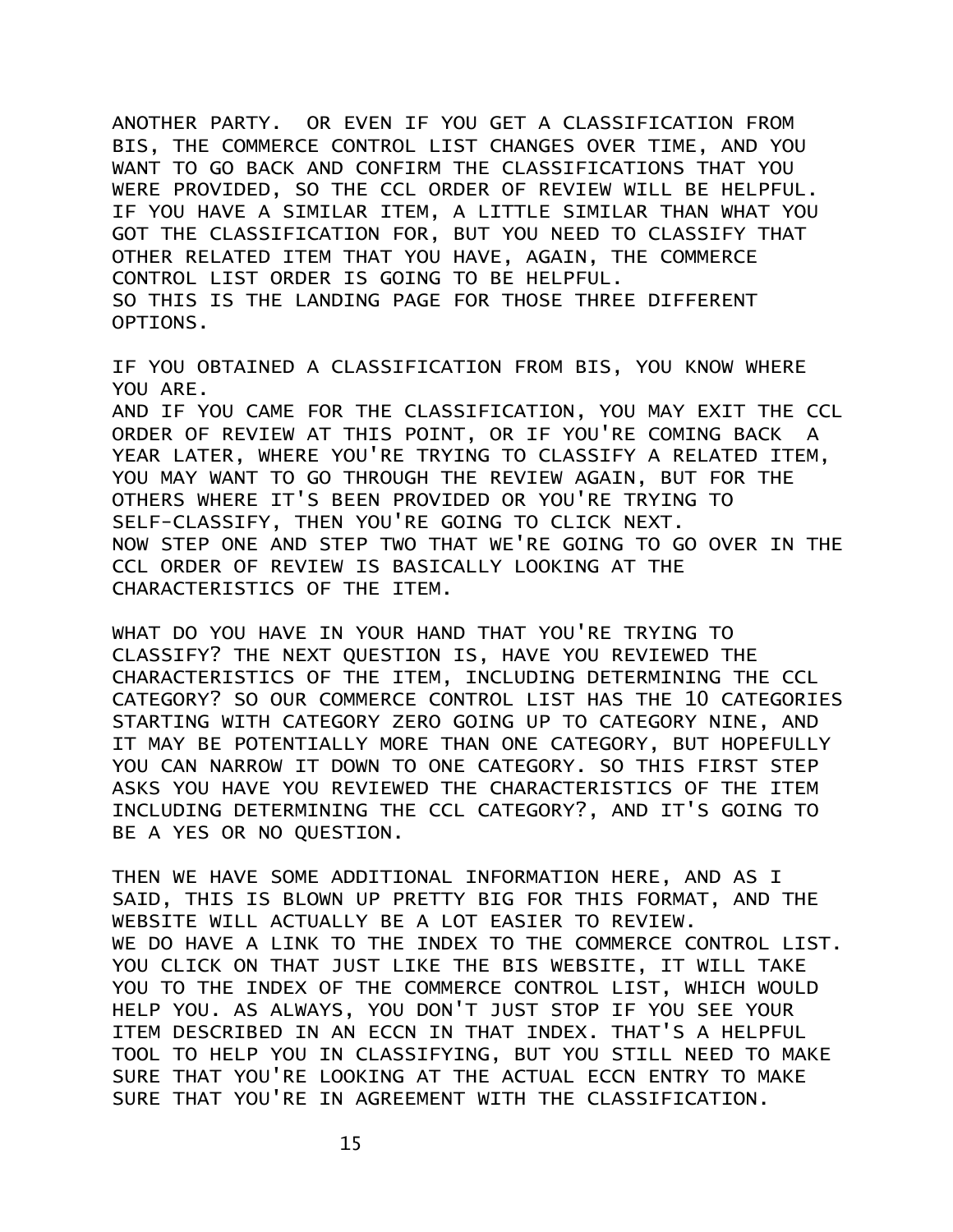ANOTHER PARTY. OR EVEN IF YOU GET A CLASSIFICATION FROM BIS, THE COMMERCE CONTROL LIST CHANGES OVER TIME, AND YOU WANT TO GO BACK AND CONFIRM THE CLASSIFICATIONS THAT YOU WERE PROVIDED, SO THE CCL ORDER OF REVIEW WILL BE HELPFUL. IF YOU HAVE A SIMILAR ITEM, A LITTLE SIMILAR THAN WHAT YOU GOT THE CLASSIFICATION FOR, BUT YOU NEED TO CLASSIFY THAT OTHER RELATED ITEM THAT YOU HAVE, AGAIN, THE COMMERCE CONTROL LIST ORDER IS GOING TO BE HELPFUL. SO THIS IS THE LANDING PAGE FOR THOSE THREE DIFFERENT OPTIONS.

IF YOU OBTAINED A CLASSIFICATION FROM BIS, YOU KNOW WHERE YOU ARE. AND IF YOU CAME FOR THE CLASSIFICATION, YOU MAY EXIT THE CCL ORDER OF REVIEW AT THIS POINT, OR IF YOU'RE COMING BACK A YEAR LATER, WHERE YOU'RE TRYING TO CLASSIFY A RELATED ITEM, YOU MAY WANT TO GO THROUGH THE REVIEW AGAIN, BUT FOR THE OTHERS WHERE IT'S BEEN PROVIDED OR YOU'RE TRYING TO SELF-CLASSIFY, THEN YOU'RE GOING TO CLICK NEXT. NOW STEP ONE AND STEP TWO THAT WE'RE GOING TO GO OVER IN THE CCL ORDER OF REVIEW IS BASICALLY LOOKING AT THE CHARACTERISTICS OF THE ITEM.

WHAT DO YOU HAVE IN YOUR HAND THAT YOU'RE TRYING TO CLASSIFY? THE NEXT QUESTION IS, HAVE YOU REVIEWED THE CHARACTERISTICS OF THE ITEM, INCLUDING DETERMINING THE CCL CATEGORY? SO OUR COMMERCE CONTROL LIST HAS THE 10 CATEGORIES STARTING WITH CATEGORY ZERO GOING UP TO CATEGORY NINE, AND IT MAY BE POTENTIALLY MORE THAN ONE CATEGORY, BUT HOPEFULLY YOU CAN NARROW IT DOWN TO ONE CATEGORY. SO THIS FIRST STEP ASKS YOU HAVE YOU REVIEWED THE CHARACTERISTICS OF THE ITEM INCLUDING DETERMINING THE CCL CATEGORY?, AND IT'S GOING TO BE A YES OR NO QUESTION.

THEN WE HAVE SOME ADDITIONAL INFORMATION HERE, AND AS I SAID, THIS IS BLOWN UP PRETTY BIG FOR THIS FORMAT, AND THE WEBSITE WILL ACTUALLY BE A LOT EASIER TO REVIEW. WE DO HAVE A LINK TO THE INDEX TO THE COMMERCE CONTROL LIST. YOU CLICK ON THAT JUST LIKE THE BIS WEBSITE, IT WILL TAKE YOU TO THE INDEX OF THE COMMERCE CONTROL LIST, WHICH WOULD HELP YOU. AS ALWAYS, YOU DON'T JUST STOP IF YOU SEE YOUR ITEM DESCRIBED IN AN ECCN IN THAT INDEX. THAT'S A HELPFUL TOOL TO HELP YOU IN CLASSIFYING, BUT YOU STILL NEED TO MAKE SURE THAT YOU'RE LOOKING AT THE ACTUAL ECCN ENTRY TO MAKE SURE THAT YOU'RE IN AGREEMENT WITH THE CLASSIFICATION.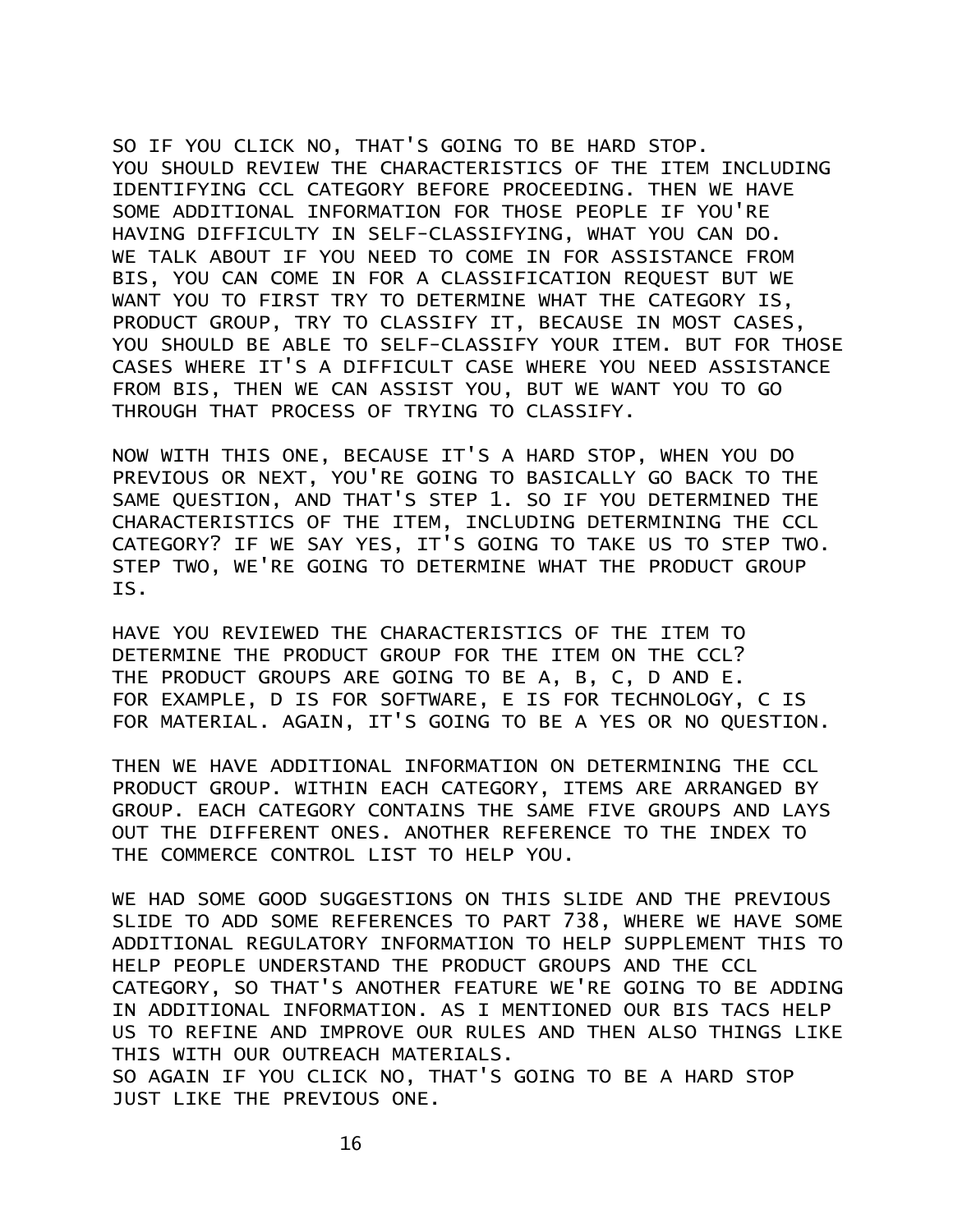SO IF YOU CLICK NO, THAT'S GOING TO BE HARD STOP. YOU SHOULD REVIEW THE CHARACTERISTICS OF THE ITEM INCLUDING IDENTIFYING CCL CATEGORY BEFORE PROCEEDING. THEN WE HAVE SOME ADDITIONAL INFORMATION FOR THOSE PEOPLE IF YOU'RE HAVING DIFFICULTY IN SELF-CLASSIFYING, WHAT YOU CAN DO. WE TALK ABOUT IF YOU NEED TO COME IN FOR ASSISTANCE FROM BIS, YOU CAN COME IN FOR A CLASSIFICATION REQUEST BUT WE WANT YOU TO FIRST TRY TO DETERMINE WHAT THE CATEGORY IS, PRODUCT GROUP, TRY TO CLASSIFY IT, BECAUSE IN MOST CASES, YOU SHOULD BE ABLE TO SELF-CLASSIFY YOUR ITEM. BUT FOR THOSE CASES WHERE IT'S A DIFFICULT CASE WHERE YOU NEED ASSISTANCE FROM BIS, THEN WE CAN ASSIST YOU, BUT WE WANT YOU TO GO THROUGH THAT PROCESS OF TRYING TO CLASSIFY.

NOW WITH THIS ONE, BECAUSE IT'S A HARD STOP, WHEN YOU DO PREVIOUS OR NEXT, YOU'RE GOING TO BASICALLY GO BACK TO THE SAME QUESTION, AND THAT'S STEP 1. SO IF YOU DETERMINED THE CHARACTERISTICS OF THE ITEM, INCLUDING DETERMINING THE CCL CATEGORY? IF WE SAY YES, IT'S GOING TO TAKE US TO STEP TWO. STEP TWO, WE'RE GOING TO DETERMINE WHAT THE PRODUCT GROUP IS.

HAVE YOU REVIEWED THE CHARACTERISTICS OF THE ITEM TO DETERMINE THE PRODUCT GROUP FOR THE ITEM ON THE CCL? THE PRODUCT GROUPS ARE GOING TO BE A, B, C, D AND E. FOR EXAMPLE, D IS FOR SOFTWARE, E IS FOR TECHNOLOGY, C IS FOR MATERIAL. AGAIN, IT'S GOING TO BE A YES OR NO QUESTION.

THEN WE HAVE ADDITIONAL INFORMATION ON DETERMINING THE CCL PRODUCT GROUP. WITHIN EACH CATEGORY, ITEMS ARE ARRANGED BY GROUP. EACH CATEGORY CONTAINS THE SAME FIVE GROUPS AND LAYS OUT THE DIFFERENT ONES. ANOTHER REFERENCE TO THE INDEX TO THE COMMERCE CONTROL LIST TO HELP YOU.

WE HAD SOME GOOD SUGGESTIONS ON THIS SLIDE AND THE PREVIOUS SLIDE TO ADD SOME REFERENCES TO PART 738, WHERE WE HAVE SOME ADDITIONAL REGULATORY INFORMATION TO HELP SUPPLEMENT THIS TO HELP PEOPLE UNDERSTAND THE PRODUCT GROUPS AND THE CCL CATEGORY, SO THAT'S ANOTHER FEATURE WE'RE GOING TO BE ADDING IN ADDITIONAL INFORMATION. AS I MENTIONED OUR BIS TACS HELP US TO REFINE AND IMPROVE OUR RULES AND THEN ALSO THINGS LIKE THIS WITH OUR OUTREACH MATERIALS.

SO AGAIN IF YOU CLICK NO, THAT'S GOING TO BE A HARD STOP JUST LIKE THE PREVIOUS ONE.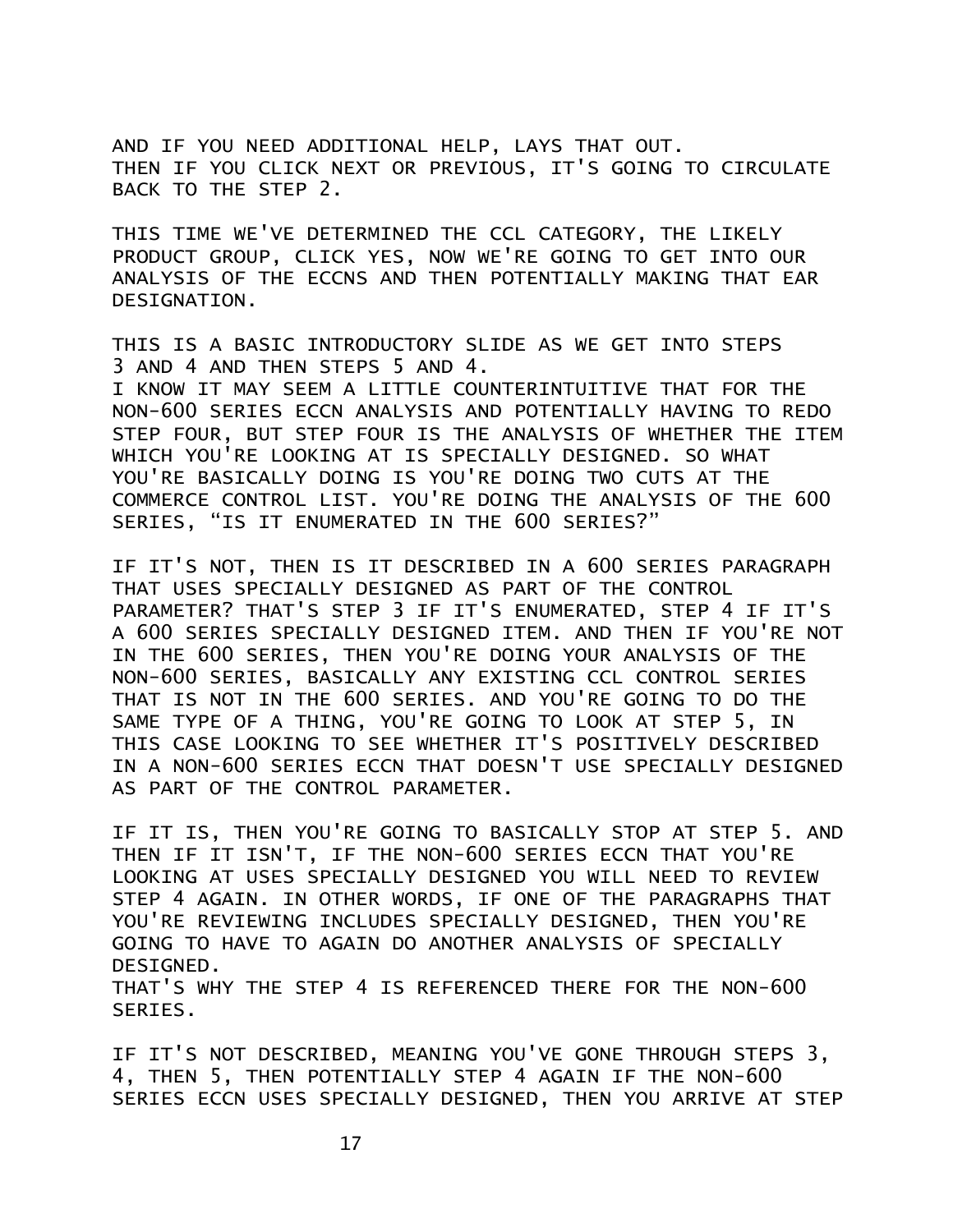AND IF YOU NEED ADDITIONAL HELP, LAYS THAT OUT. THEN IF YOU CLICK NEXT OR PREVIOUS, IT'S GOING TO CIRCULATE BACK TO THE STEP 2.

THIS TIME WE'VE DETERMINED THE CCL CATEGORY, THE LIKELY PRODUCT GROUP, CLICK YES, NOW WE'RE GOING TO GET INTO OUR ANALYSIS OF THE ECCNS AND THEN POTENTIALLY MAKING THAT EAR DESIGNATION.

THIS IS A BASIC INTRODUCTORY SLIDE AS WE GET INTO STEPS 3 AND 4 AND THEN STEPS 5 AND 4.

I KNOW IT MAY SEEM A LITTLE COUNTERINTUITIVE THAT FOR THE NON-600 SERIES ECCN ANALYSIS AND POTENTIALLY HAVING TO REDO STEP FOUR, BUT STEP FOUR IS THE ANALYSIS OF WHETHER THE ITEM WHICH YOU'RE LOOKING AT IS SPECIALLY DESIGNED. SO WHAT YOU'RE BASICALLY DOING IS YOU'RE DOING TWO CUTS AT THE COMMERCE CONTROL LIST. YOU'RE DOING THE ANALYSIS OF THE 600 SERIES, "IS IT ENUMERATED IN THE 600 SERIES?"

IF IT'S NOT, THEN IS IT DESCRIBED IN A 600 SERIES PARAGRAPH THAT USES SPECIALLY DESIGNED AS PART OF THE CONTROL PARAMETER? THAT'S STEP 3 IF IT'S ENUMERATED, STEP 4 IF IT'S A 600 SERIES SPECIALLY DESIGNED ITEM. AND THEN IF YOU'RE NOT IN THE 600 SERIES, THEN YOU'RE DOING YOUR ANALYSIS OF THE NON-600 SERIES, BASICALLY ANY EXISTING CCL CONTROL SERIES THAT IS NOT IN THE 600 SERIES. AND YOU'RE GOING TO DO THE SAME TYPE OF A THING, YOU'RE GOING TO LOOK AT STEP 5, IN THIS CASE LOOKING TO SEE WHETHER IT'S POSITIVELY DESCRIBED IN A NON-600 SERIES ECCN THAT DOESN'T USE SPECIALLY DESIGNED AS PART OF THE CONTROL PARAMETER.

IF IT IS, THEN YOU'RE GOING TO BASICALLY STOP AT STEP 5. AND THEN IF IT ISN'T, IF THE NON-600 SERIES ECCN THAT YOU'RE LOOKING AT USES SPECIALLY DESIGNED YOU WILL NEED TO REVIEW STEP 4 AGAIN. IN OTHER WORDS, IF ONE OF THE PARAGRAPHS THAT YOU'RE REVIEWING INCLUDES SPECIALLY DESIGNED, THEN YOU'RE GOING TO HAVE TO AGAIN DO ANOTHER ANALYSIS OF SPECIALLY DESIGNED.

THAT'S WHY THE STEP 4 IS REFERENCED THERE FOR THE NON-600 SERIES.

IF IT'S NOT DESCRIBED, MEANING YOU'VE GONE THROUGH STEPS 3, 4, THEN 5, THEN POTENTIALLY STEP 4 AGAIN IF THE NON-600 SERIES ECCN USES SPECIALLY DESIGNED, THEN YOU ARRIVE AT STEP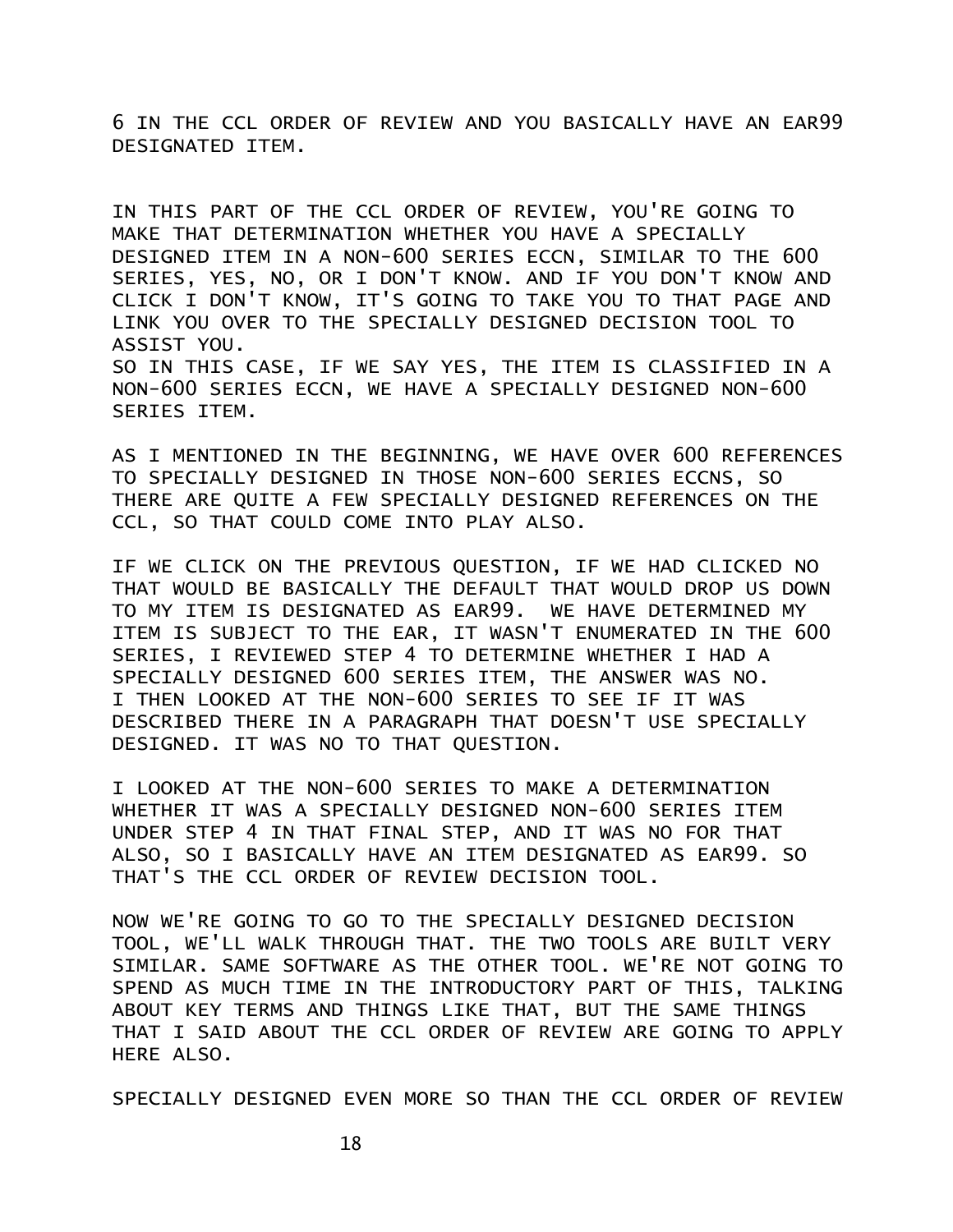6 IN THE CCL ORDER OF REVIEW AND YOU BASICALLY HAVE AN EAR99 DESIGNATED ITEM.

IN THIS PART OF THE CCL ORDER OF REVIEW, YOU'RE GOING TO MAKE THAT DETERMINATION WHETHER YOU HAVE A SPECIALLY DESIGNED ITEM IN A NON-600 SERIES ECCN, SIMILAR TO THE 600 SERIES, YES, NO, OR I DON'T KNOW. AND IF YOU DON'T KNOW AND CLICK I DON'T KNOW, IT'S GOING TO TAKE YOU TO THAT PAGE AND LINK YOU OVER TO THE SPECIALLY DESIGNED DECISION TOOL TO ASSIST YOU. SO IN THIS CASE, IF WE SAY YES, THE ITEM IS CLASSIFIED IN A NON-600 SERIES ECCN, WE HAVE A SPECIALLY DESIGNED NON-600 SERIES ITEM.

AS I MENTIONED IN THE BEGINNING, WE HAVE OVER 600 REFERENCES TO SPECIALLY DESIGNED IN THOSE NON-600 SERIES ECCNS, SO THERE ARE QUITE A FEW SPECIALLY DESIGNED REFERENCES ON THE CCL, SO THAT COULD COME INTO PLAY ALSO.

IF WE CLICK ON THE PREVIOUS QUESTION, IF WE HAD CLICKED NO THAT WOULD BE BASICALLY THE DEFAULT THAT WOULD DROP US DOWN TO MY ITEM IS DESIGNATED AS EAR99. WE HAVE DETERMINED MY ITEM IS SUBJECT TO THE EAR, IT WASN'T ENUMERATED IN THE 600 SERIES, I REVIEWED STEP 4 TO DETERMINE WHETHER I HAD A SPECIALLY DESIGNED 600 SERIES ITEM, THE ANSWER WAS NO. I THEN LOOKED AT THE NON-600 SERIES TO SEE IF IT WAS DESCRIBED THERE IN A PARAGRAPH THAT DOESN'T USE SPECIALLY DESIGNED. IT WAS NO TO THAT QUESTION.

I LOOKED AT THE NON-600 SERIES TO MAKE A DETERMINATION WHETHER IT WAS A SPECIALLY DESIGNED NON-600 SERIES ITEM UNDER STEP 4 IN THAT FINAL STEP, AND IT WAS NO FOR THAT ALSO, SO I BASICALLY HAVE AN ITEM DESIGNATED AS EAR99. SO THAT'S THE CCL ORDER OF REVIEW DECISION TOOL.

NOW WE'RE GOING TO GO TO THE SPECIALLY DESIGNED DECISION TOOL, WE'LL WALK THROUGH THAT. THE TWO TOOLS ARE BUILT VERY SIMILAR. SAME SOFTWARE AS THE OTHER TOOL. WE'RE NOT GOING TO SPEND AS MUCH TIME IN THE INTRODUCTORY PART OF THIS, TALKING ABOUT KEY TERMS AND THINGS LIKE THAT, BUT THE SAME THINGS THAT I SAID ABOUT THE CCL ORDER OF REVIEW ARE GOING TO APPLY HERE ALSO.

SPECIALLY DESIGNED EVEN MORE SO THAN THE CCL ORDER OF REVIEW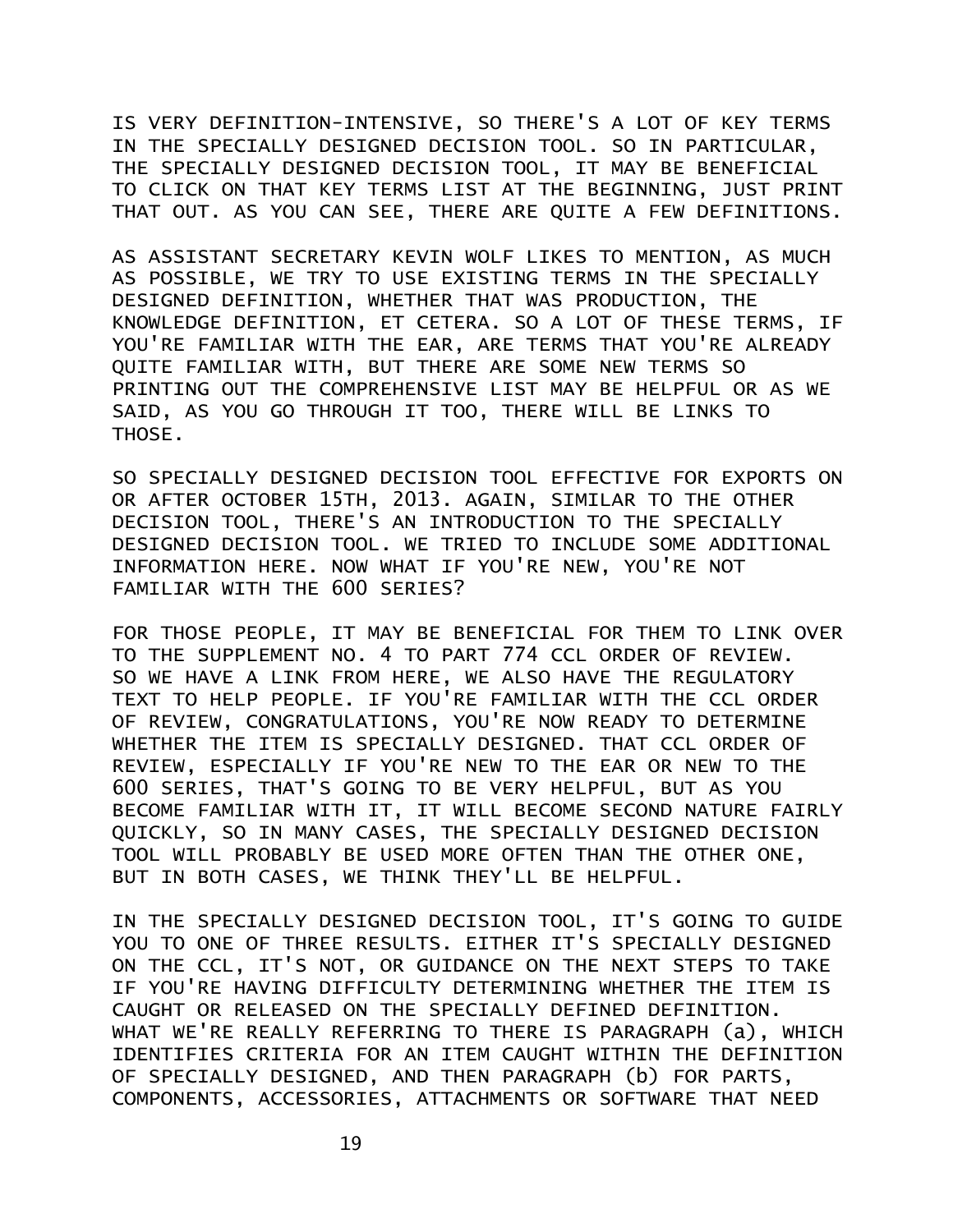IS VERY DEFINITION-INTENSIVE, SO THERE'S A LOT OF KEY TERMS IN THE SPECIALLY DESIGNED DECISION TOOL. SO IN PARTICULAR, THE SPECIALLY DESIGNED DECISION TOOL, IT MAY BE BENEFICIAL TO CLICK ON THAT KEY TERMS LIST AT THE BEGINNING, JUST PRINT THAT OUT. AS YOU CAN SEE, THERE ARE QUITE A FEW DEFINITIONS.

AS ASSISTANT SECRETARY KEVIN WOLF LIKES TO MENTION, AS MUCH AS POSSIBLE, WE TRY TO USE EXISTING TERMS IN THE SPECIALLY DESIGNED DEFINITION, WHETHER THAT WAS PRODUCTION, THE KNOWLEDGE DEFINITION, ET CETERA. SO A LOT OF THESE TERMS, IF YOU'RE FAMILIAR WITH THE EAR, ARE TERMS THAT YOU'RE ALREADY QUITE FAMILIAR WITH, BUT THERE ARE SOME NEW TERMS SO PRINTING OUT THE COMPREHENSIVE LIST MAY BE HELPFUL OR AS WE SAID, AS YOU GO THROUGH IT TOO, THERE WILL BE LINKS TO THOSE.

SO SPECIALLY DESIGNED DECISION TOOL EFFECTIVE FOR EXPORTS ON OR AFTER OCTOBER 15TH, 2013. AGAIN, SIMILAR TO THE OTHER DECISION TOOL, THERE'S AN INTRODUCTION TO THE SPECIALLY DESIGNED DECISION TOOL. WE TRIED TO INCLUDE SOME ADDITIONAL INFORMATION HERE. NOW WHAT IF YOU'RE NEW, YOU'RE NOT FAMILIAR WITH THE 600 SERIES?

FOR THOSE PEOPLE, IT MAY BE BENEFICIAL FOR THEM TO LINK OVER TO THE SUPPLEMENT NO. 4 TO PART 774 CCL ORDER OF REVIEW. SO WE HAVE A LINK FROM HERE, WE ALSO HAVE THE REGULATORY TEXT TO HELP PEOPLE. IF YOU'RE FAMILIAR WITH THE CCL ORDER OF REVIEW, CONGRATULATIONS, YOU'RE NOW READY TO DETERMINE WHETHER THE ITEM IS SPECIALLY DESIGNED. THAT CCL ORDER OF REVIEW, ESPECIALLY IF YOU'RE NEW TO THE EAR OR NEW TO THE 600 SERIES, THAT'S GOING TO BE VERY HELPFUL, BUT AS YOU BECOME FAMILIAR WITH IT, IT WILL BECOME SECOND NATURE FAIRLY QUICKLY, SO IN MANY CASES, THE SPECIALLY DESIGNED DECISION TOOL WILL PROBABLY BE USED MORE OFTEN THAN THE OTHER ONE, BUT IN BOTH CASES, WE THINK THEY'LL BE HELPFUL.

IN THE SPECIALLY DESIGNED DECISION TOOL, IT'S GOING TO GUIDE YOU TO ONE OF THREE RESULTS. EITHER IT'S SPECIALLY DESIGNED ON THE CCL, IT'S NOT, OR GUIDANCE ON THE NEXT STEPS TO TAKE IF YOU'RE HAVING DIFFICULTY DETERMINING WHETHER THE ITEM IS CAUGHT OR RELEASED ON THE SPECIALLY DEFINED DEFINITION. WHAT WE'RE REALLY REFERRING TO THERE IS PARAGRAPH (a), WHICH IDENTIFIES CRITERIA FOR AN ITEM CAUGHT WITHIN THE DEFINITION OF SPECIALLY DESIGNED, AND THEN PARAGRAPH (b) FOR PARTS, COMPONENTS, ACCESSORIES, ATTACHMENTS OR SOFTWARE THAT NEED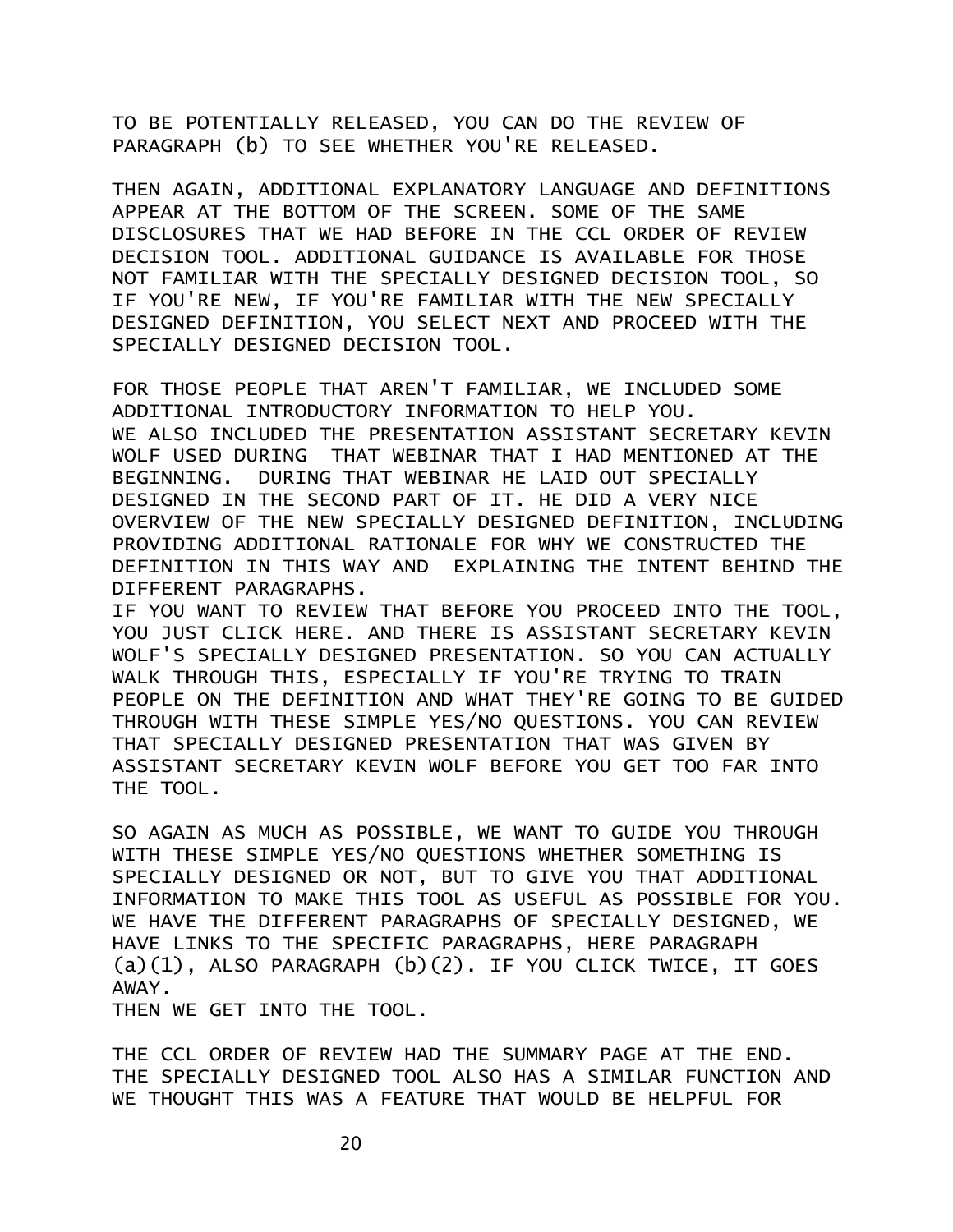TO BE POTENTIALLY RELEASED, YOU CAN DO THE REVIEW OF PARAGRAPH (b) TO SEE WHETHER YOU'RE RELEASED.

THEN AGAIN, ADDITIONAL EXPLANATORY LANGUAGE AND DEFINITIONS APPEAR AT THE BOTTOM OF THE SCREEN. SOME OF THE SAME DISCLOSURES THAT WE HAD BEFORE IN THE CCL ORDER OF REVIEW DECISION TOOL. ADDITIONAL GUIDANCE IS AVAILABLE FOR THOSE NOT FAMILIAR WITH THE SPECIALLY DESIGNED DECISION TOOL, SO IF YOU'RE NEW, IF YOU'RE FAMILIAR WITH THE NEW SPECIALLY DESIGNED DEFINITION, YOU SELECT NEXT AND PROCEED WITH THE SPECIALLY DESIGNED DECISION TOOL.

FOR THOSE PEOPLE THAT AREN'T FAMILIAR, WE INCLUDED SOME ADDITIONAL INTRODUCTORY INFORMATION TO HELP YOU. WE ALSO INCLUDED THE PRESENTATION ASSISTANT SECRETARY KEVIN WOLF USED DURING THAT WEBINAR THAT I HAD MENTIONED AT THE BEGINNING. DURING THAT WEBINAR HE LAID OUT SPECIALLY DESIGNED IN THE SECOND PART OF IT. HE DID A VERY NICE OVERVIEW OF THE NEW SPECIALLY DESIGNED DEFINITION, INCLUDING PROVIDING ADDITIONAL RATIONALE FOR WHY WE CONSTRUCTED THE DEFINITION IN THIS WAY AND EXPLAINING THE INTENT BEHIND THE DIFFERENT PARAGRAPHS.

IF YOU WANT TO REVIEW THAT BEFORE YOU PROCEED INTO THE TOOL, YOU JUST CLICK HERE. AND THERE IS ASSISTANT SECRETARY KEVIN WOLF'S SPECIALLY DESIGNED PRESENTATION. SO YOU CAN ACTUALLY WALK THROUGH THIS, ESPECIALLY IF YOU'RE TRYING TO TRAIN PEOPLE ON THE DEFINITION AND WHAT THEY'RE GOING TO BE GUIDED THROUGH WITH THESE SIMPLE YES/NO QUESTIONS. YOU CAN REVIEW THAT SPECIALLY DESIGNED PRESENTATION THAT WAS GIVEN BY ASSISTANT SECRETARY KEVIN WOLF BEFORE YOU GET TOO FAR INTO THE TOOL.

SO AGAIN AS MUCH AS POSSIBLE, WE WANT TO GUIDE YOU THROUGH WITH THESE SIMPLE YES/NO QUESTIONS WHETHER SOMETHING IS SPECIALLY DESIGNED OR NOT, BUT TO GIVE YOU THAT ADDITIONAL INFORMATION TO MAKE THIS TOOL AS USEFUL AS POSSIBLE FOR YOU. WE HAVE THE DIFFERENT PARAGRAPHS OF SPECIALLY DESIGNED, WE HAVE LINKS TO THE SPECIFIC PARAGRAPHS, HERE PARAGRAPH  $(a)(1)$ , ALSO PARAGRAPH  $(b)(2)$ . IF YOU CLICK TWICE, IT GOES AWAY.

THEN WE GET INTO THE TOOL.

THE CCL ORDER OF REVIEW HAD THE SUMMARY PAGE AT THE END. THE SPECIALLY DESIGNED TOOL ALSO HAS A SIMILAR FUNCTION AND WE THOUGHT THIS WAS A FEATURE THAT WOULD BE HELPFUL FOR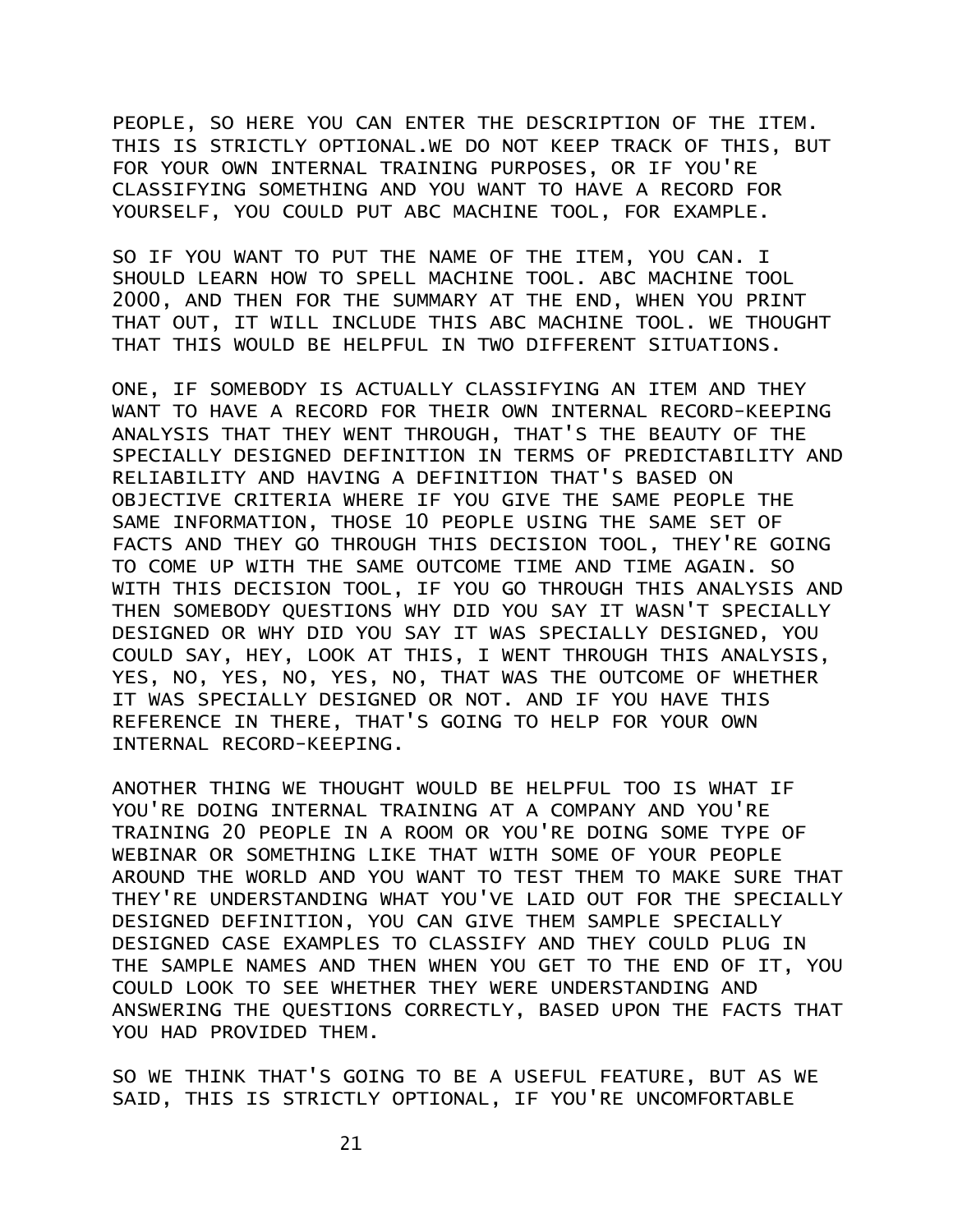PEOPLE, SO HERE YOU CAN ENTER THE DESCRIPTION OF THE ITEM. THIS IS STRICTLY OPTIONAL.WE DO NOT KEEP TRACK OF THIS, BUT FOR YOUR OWN INTERNAL TRAINING PURPOSES, OR IF YOU'RE CLASSIFYING SOMETHING AND YOU WANT TO HAVE A RECORD FOR YOURSELF, YOU COULD PUT ABC MACHINE TOOL, FOR EXAMPLE.

SO IF YOU WANT TO PUT THE NAME OF THE ITEM, YOU CAN. I SHOULD LEARN HOW TO SPELL MACHINE TOOL. ABC MACHINE TOOL 2000, AND THEN FOR THE SUMMARY AT THE END, WHEN YOU PRINT THAT OUT, IT WILL INCLUDE THIS ABC MACHINE TOOL. WE THOUGHT THAT THIS WOULD BE HELPFUL IN TWO DIFFERENT SITUATIONS.

ONE, IF SOMEBODY IS ACTUALLY CLASSIFYING AN ITEM AND THEY WANT TO HAVE A RECORD FOR THEIR OWN INTERNAL RECORD-KEEPING ANALYSIS THAT THEY WENT THROUGH, THAT'S THE BEAUTY OF THE SPECIALLY DESIGNED DEFINITION IN TERMS OF PREDICTABILITY AND RELIABILITY AND HAVING A DEFINITION THAT'S BASED ON OBJECTIVE CRITERIA WHERE IF YOU GIVE THE SAME PEOPLE THE SAME INFORMATION, THOSE 10 PEOPLE USING THE SAME SET OF FACTS AND THEY GO THROUGH THIS DECISION TOOL, THEY'RE GOING TO COME UP WITH THE SAME OUTCOME TIME AND TIME AGAIN. SO WITH THIS DECISION TOOL, IF YOU GO THROUGH THIS ANALYSIS AND THEN SOMEBODY QUESTIONS WHY DID YOU SAY IT WASN'T SPECIALLY DESIGNED OR WHY DID YOU SAY IT WAS SPECIALLY DESIGNED, YOU COULD SAY, HEY, LOOK AT THIS, I WENT THROUGH THIS ANALYSIS, YES, NO, YES, NO, YES, NO, THAT WAS THE OUTCOME OF WHETHER IT WAS SPECIALLY DESIGNED OR NOT. AND IF YOU HAVE THIS REFERENCE IN THERE, THAT'S GOING TO HELP FOR YOUR OWN INTERNAL RECORD-KEEPING.

ANOTHER THING WE THOUGHT WOULD BE HELPFUL TOO IS WHAT IF YOU'RE DOING INTERNAL TRAINING AT A COMPANY AND YOU'RE TRAINING 20 PEOPLE IN A ROOM OR YOU'RE DOING SOME TYPE OF WEBINAR OR SOMETHING LIKE THAT WITH SOME OF YOUR PEOPLE AROUND THE WORLD AND YOU WANT TO TEST THEM TO MAKE SURE THAT THEY'RE UNDERSTANDING WHAT YOU'VE LAID OUT FOR THE SPECIALLY DESIGNED DEFINITION, YOU CAN GIVE THEM SAMPLE SPECIALLY DESIGNED CASE EXAMPLES TO CLASSIFY AND THEY COULD PLUG IN THE SAMPLE NAMES AND THEN WHEN YOU GET TO THE END OF IT, YOU COULD LOOK TO SEE WHETHER THEY WERE UNDERSTANDING AND ANSWERING THE QUESTIONS CORRECTLY, BASED UPON THE FACTS THAT YOU HAD PROVIDED THEM.

SO WE THINK THAT'S GOING TO BE A USEFUL FEATURE, BUT AS WE SAID, THIS IS STRICTLY OPTIONAL, IF YOU'RE UNCOMFORTABLE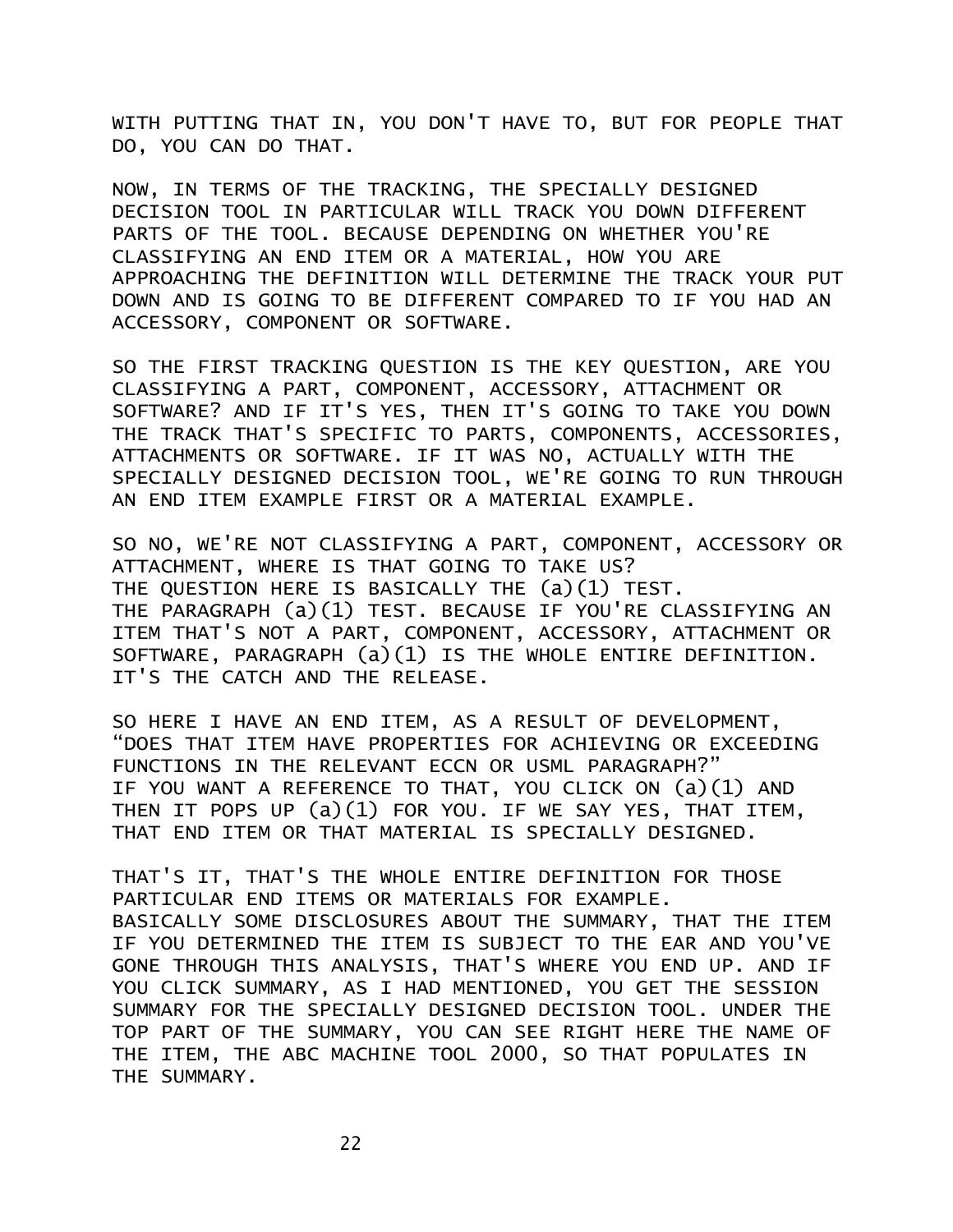WITH PUTTING THAT IN, YOU DON'T HAVE TO, BUT FOR PEOPLE THAT DO, YOU CAN DO THAT.

NOW, IN TERMS OF THE TRACKING, THE SPECIALLY DESIGNED DECISION TOOL IN PARTICULAR WILL TRACK YOU DOWN DIFFERENT PARTS OF THE TOOL. BECAUSE DEPENDING ON WHETHER YOU'RE CLASSIFYING AN END ITEM OR A MATERIAL, HOW YOU ARE APPROACHING THE DEFINITION WILL DETERMINE THE TRACK YOUR PUT DOWN AND IS GOING TO BE DIFFERENT COMPARED TO IF YOU HAD AN ACCESSORY, COMPONENT OR SOFTWARE.

SO THE FIRST TRACKING QUESTION IS THE KEY QUESTION, ARE YOU CLASSIFYING A PART, COMPONENT, ACCESSORY, ATTACHMENT OR SOFTWARE? AND IF IT'S YES, THEN IT'S GOING TO TAKE YOU DOWN THE TRACK THAT'S SPECIFIC TO PARTS, COMPONENTS, ACCESSORIES, ATTACHMENTS OR SOFTWARE. IF IT WAS NO, ACTUALLY WITH THE SPECIALLY DESIGNED DECISION TOOL, WE'RE GOING TO RUN THROUGH AN END ITEM EXAMPLE FIRST OR A MATERIAL EXAMPLE.

SO NO, WE'RE NOT CLASSIFYING A PART, COMPONENT, ACCESSORY OR ATTACHMENT, WHERE IS THAT GOING TO TAKE US? THE QUESTION HERE IS BASICALLY THE (a)(1) TEST. THE PARAGRAPH (a)(1) TEST. BECAUSE IF YOU'RE CLASSIFYING AN ITEM THAT'S NOT A PART, COMPONENT, ACCESSORY, ATTACHMENT OR SOFTWARE, PARAGRAPH (a)(1) IS THE WHOLE ENTIRE DEFINITION. IT'S THE CATCH AND THE RELEASE.

SO HERE I HAVE AN END ITEM, AS A RESULT OF DEVELOPMENT, "DOES THAT ITEM HAVE PROPERTIES FOR ACHIEVING OR EXCEEDING FUNCTIONS IN THE RELEVANT ECCN OR USML PARAGRAPH?" IF YOU WANT A REFERENCE TO THAT, YOU CLICK ON (a)(1) AND THEN IT POPS UP (a)(1) FOR YOU. IF WE SAY YES, THAT ITEM, THAT END ITEM OR THAT MATERIAL IS SPECIALLY DESIGNED.

THAT'S IT, THAT'S THE WHOLE ENTIRE DEFINITION FOR THOSE PARTICULAR END ITEMS OR MATERIALS FOR EXAMPLE. BASICALLY SOME DISCLOSURES ABOUT THE SUMMARY, THAT THE ITEM IF YOU DETERMINED THE ITEM IS SUBJECT TO THE EAR AND YOU'VE GONE THROUGH THIS ANALYSIS, THAT'S WHERE YOU END UP. AND IF YOU CLICK SUMMARY, AS I HAD MENTIONED, YOU GET THE SESSION SUMMARY FOR THE SPECIALLY DESIGNED DECISION TOOL. UNDER THE TOP PART OF THE SUMMARY, YOU CAN SEE RIGHT HERE THE NAME OF THE ITEM, THE ABC MACHINE TOOL 2000, SO THAT POPULATES IN THE SUMMARY.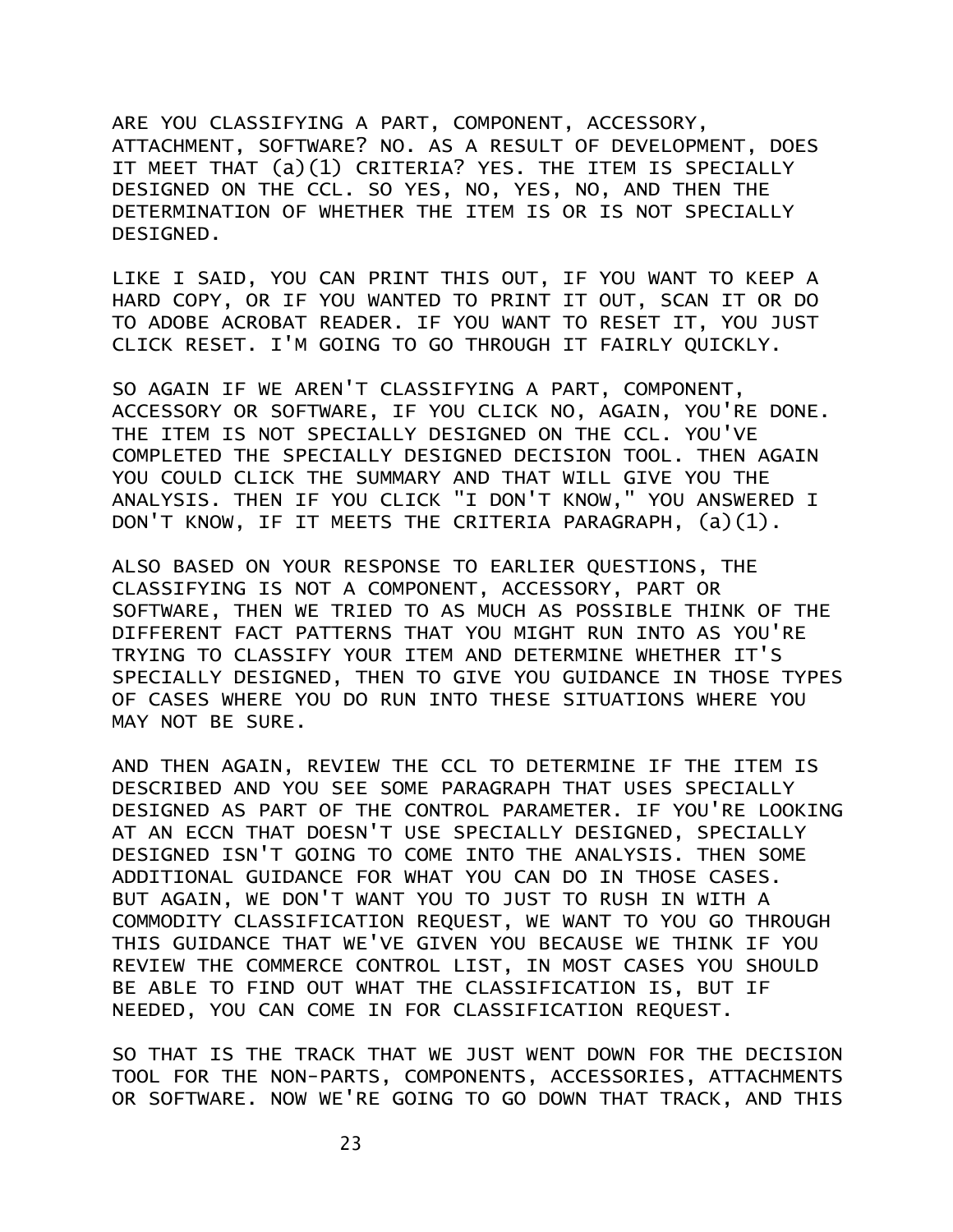ARE YOU CLASSIFYING A PART, COMPONENT, ACCESSORY, ATTACHMENT, SOFTWARE? NO. AS A RESULT OF DEVELOPMENT, DOES IT MEET THAT (a)(1) CRITERIA? YES. THE ITEM IS SPECIALLY DESIGNED ON THE CCL. SO YES, NO, YES, NO, AND THEN THE DETERMINATION OF WHETHER THE ITEM IS OR IS NOT SPECIALLY DESIGNED.

LIKE I SAID, YOU CAN PRINT THIS OUT, IF YOU WANT TO KEEP A HARD COPY, OR IF YOU WANTED TO PRINT IT OUT, SCAN IT OR DO TO ADOBE ACROBAT READER. IF YOU WANT TO RESET IT, YOU JUST CLICK RESET. I'M GOING TO GO THROUGH IT FAIRLY QUICKLY.

SO AGAIN IF WE AREN'T CLASSIFYING A PART, COMPONENT, ACCESSORY OR SOFTWARE, IF YOU CLICK NO, AGAIN, YOU'RE DONE. THE ITEM IS NOT SPECIALLY DESIGNED ON THE CCL. YOU'VE COMPLETED THE SPECIALLY DESIGNED DECISION TOOL. THEN AGAIN YOU COULD CLICK THE SUMMARY AND THAT WILL GIVE YOU THE ANALYSIS. THEN IF YOU CLICK "I DON'T KNOW," YOU ANSWERED I DON'T KNOW, IF IT MEETS THE CRITERIA PARAGRAPH, (a)(1).

ALSO BASED ON YOUR RESPONSE TO EARLIER QUESTIONS, THE CLASSIFYING IS NOT A COMPONENT, ACCESSORY, PART OR SOFTWARE, THEN WE TRIED TO AS MUCH AS POSSIBLE THINK OF THE DIFFERENT FACT PATTERNS THAT YOU MIGHT RUN INTO AS YOU'RE TRYING TO CLASSIFY YOUR ITEM AND DETERMINE WHETHER IT'S SPECIALLY DESIGNED, THEN TO GIVE YOU GUIDANCE IN THOSE TYPES OF CASES WHERE YOU DO RUN INTO THESE SITUATIONS WHERE YOU MAY NOT BE SURE.

AND THEN AGAIN, REVIEW THE CCL TO DETERMINE IF THE ITEM IS DESCRIBED AND YOU SEE SOME PARAGRAPH THAT USES SPECIALLY DESIGNED AS PART OF THE CONTROL PARAMETER. IF YOU'RE LOOKING AT AN ECCN THAT DOESN'T USE SPECIALLY DESIGNED, SPECIALLY DESIGNED ISN'T GOING TO COME INTO THE ANALYSIS. THEN SOME ADDITIONAL GUIDANCE FOR WHAT YOU CAN DO IN THOSE CASES. BUT AGAIN, WE DON'T WANT YOU TO JUST TO RUSH IN WITH A COMMODITY CLASSIFICATION REQUEST, WE WANT TO YOU GO THROUGH THIS GUIDANCE THAT WE'VE GIVEN YOU BECAUSE WE THINK IF YOU REVIEW THE COMMERCE CONTROL LIST, IN MOST CASES YOU SHOULD BE ABLE TO FIND OUT WHAT THE CLASSIFICATION IS, BUT IF NEEDED, YOU CAN COME IN FOR CLASSIFICATION REQUEST.

SO THAT IS THE TRACK THAT WE JUST WENT DOWN FOR THE DECISION TOOL FOR THE NON-PARTS, COMPONENTS, ACCESSORIES, ATTACHMENTS OR SOFTWARE. NOW WE'RE GOING TO GO DOWN THAT TRACK, AND THIS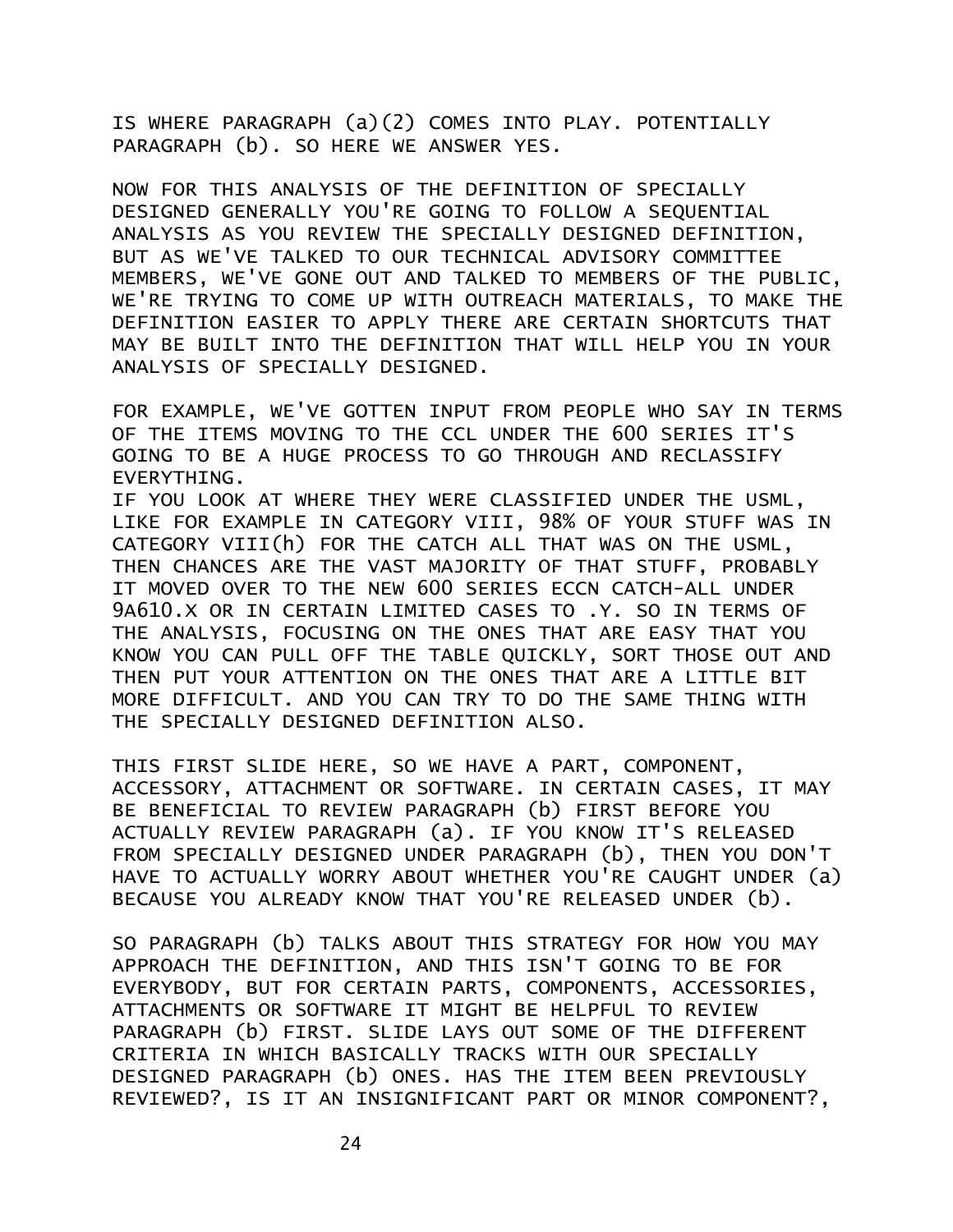IS WHERE PARAGRAPH (a)(2) COMES INTO PLAY. POTENTIALLY PARAGRAPH (b). SO HERE WE ANSWER YES.

NOW FOR THIS ANALYSIS OF THE DEFINITION OF SPECIALLY DESIGNED GENERALLY YOU'RE GOING TO FOLLOW A SEQUENTIAL ANALYSIS AS YOU REVIEW THE SPECIALLY DESIGNED DEFINITION, BUT AS WE'VE TALKED TO OUR TECHNICAL ADVISORY COMMITTEE MEMBERS, WE'VE GONE OUT AND TALKED TO MEMBERS OF THE PUBLIC, WE'RE TRYING TO COME UP WITH OUTREACH MATERIALS, TO MAKE THE DEFINITION EASIER TO APPLY THERE ARE CERTAIN SHORTCUTS THAT MAY BE BUILT INTO THE DEFINITION THAT WILL HELP YOU IN YOUR ANALYSIS OF SPECIALLY DESIGNED.

FOR EXAMPLE, WE'VE GOTTEN INPUT FROM PEOPLE WHO SAY IN TERMS OF THE ITEMS MOVING TO THE CCL UNDER THE 600 SERIES IT'S GOING TO BE A HUGE PROCESS TO GO THROUGH AND RECLASSIFY EVERYTHING.

IF YOU LOOK AT WHERE THEY WERE CLASSIFIED UNDER THE USML, LIKE FOR EXAMPLE IN CATEGORY VIII, 98% OF YOUR STUFF WAS IN CATEGORY VIII(h) FOR THE CATCH ALL THAT WAS ON THE USML, THEN CHANCES ARE THE VAST MAJORITY OF THAT STUFF, PROBABLY IT MOVED OVER TO THE NEW 600 SERIES ECCN CATCH-ALL UNDER 9A610.X OR IN CERTAIN LIMITED CASES TO .Y. SO IN TERMS OF THE ANALYSIS, FOCUSING ON THE ONES THAT ARE EASY THAT YOU KNOW YOU CAN PULL OFF THE TABLE QUICKLY, SORT THOSE OUT AND THEN PUT YOUR ATTENTION ON THE ONES THAT ARE A LITTLE BIT MORE DIFFICULT. AND YOU CAN TRY TO DO THE SAME THING WITH THE SPECIALLY DESIGNED DEFINITION ALSO.

THIS FIRST SLIDE HERE, SO WE HAVE A PART, COMPONENT, ACCESSORY, ATTACHMENT OR SOFTWARE. IN CERTAIN CASES, IT MAY BE BENEFICIAL TO REVIEW PARAGRAPH (b) FIRST BEFORE YOU ACTUALLY REVIEW PARAGRAPH (a). IF YOU KNOW IT'S RELEASED FROM SPECIALLY DESIGNED UNDER PARAGRAPH (b), THEN YOU DON'T HAVE TO ACTUALLY WORRY ABOUT WHETHER YOU'RE CAUGHT UNDER (a) BECAUSE YOU ALREADY KNOW THAT YOU'RE RELEASED UNDER (b).

SO PARAGRAPH (b) TALKS ABOUT THIS STRATEGY FOR HOW YOU MAY APPROACH THE DEFINITION, AND THIS ISN'T GOING TO BE FOR EVERYBODY, BUT FOR CERTAIN PARTS, COMPONENTS, ACCESSORIES, ATTACHMENTS OR SOFTWARE IT MIGHT BE HELPFUL TO REVIEW PARAGRAPH (b) FIRST. SLIDE LAYS OUT SOME OF THE DIFFERENT CRITERIA IN WHICH BASICALLY TRACKS WITH OUR SPECIALLY DESIGNED PARAGRAPH (b) ONES. HAS THE ITEM BEEN PREVIOUSLY REVIEWED?, IS IT AN INSIGNIFICANT PART OR MINOR COMPONENT?,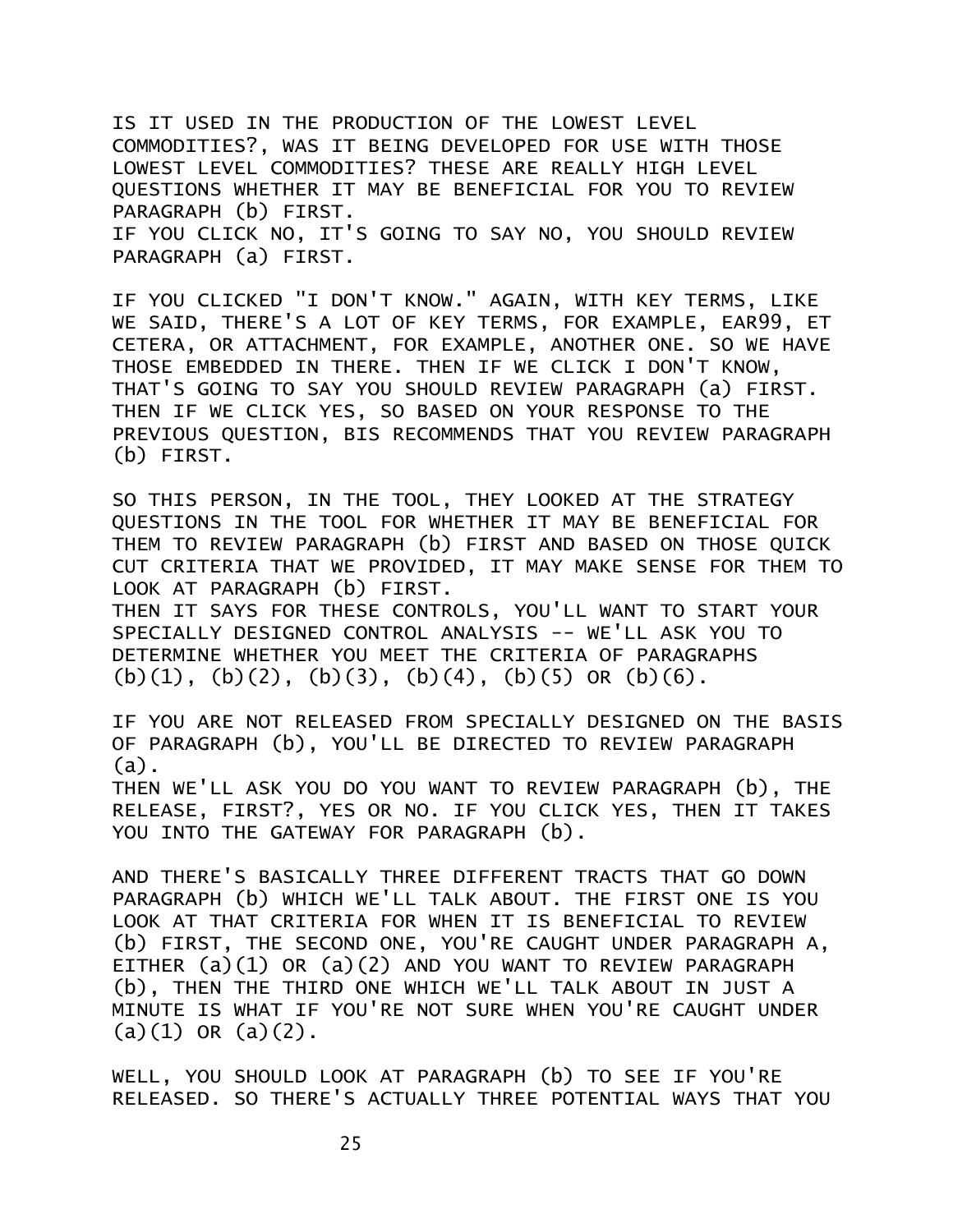IS IT USED IN THE PRODUCTION OF THE LOWEST LEVEL COMMODITIES?, WAS IT BEING DEVELOPED FOR USE WITH THOSE LOWEST LEVEL COMMODITIES? THESE ARE REALLY HIGH LEVEL QUESTIONS WHETHER IT MAY BE BENEFICIAL FOR YOU TO REVIEW PARAGRAPH (b) FIRST. IF YOU CLICK NO, IT'S GOING TO SAY NO, YOU SHOULD REVIEW PARAGRAPH (a) FIRST.

IF YOU CLICKED "I DON'T KNOW." AGAIN, WITH KEY TERMS, LIKE WE SAID, THERE'S A LOT OF KEY TERMS, FOR EXAMPLE, EAR99, ET CETERA, OR ATTACHMENT, FOR EXAMPLE, ANOTHER ONE. SO WE HAVE THOSE EMBEDDED IN THERE. THEN IF WE CLICK I DON'T KNOW, THAT'S GOING TO SAY YOU SHOULD REVIEW PARAGRAPH (a) FIRST. THEN IF WE CLICK YES, SO BASED ON YOUR RESPONSE TO THE PREVIOUS QUESTION, BIS RECOMMENDS THAT YOU REVIEW PARAGRAPH (b) FIRST.

SO THIS PERSON, IN THE TOOL, THEY LOOKED AT THE STRATEGY QUESTIONS IN THE TOOL FOR WHETHER IT MAY BE BENEFICIAL FOR THEM TO REVIEW PARAGRAPH (b) FIRST AND BASED ON THOSE QUICK CUT CRITERIA THAT WE PROVIDED, IT MAY MAKE SENSE FOR THEM TO LOOK AT PARAGRAPH (b) FIRST.

THEN IT SAYS FOR THESE CONTROLS, YOU'LL WANT TO START YOUR SPECIALLY DESIGNED CONTROL ANALYSIS -- WE'LL ASK YOU TO DETERMINE WHETHER YOU MEET THE CRITERIA OF PARAGRAPHS (b)(1), (b)(2), (b)(3), (b)(4), (b)(5) OR (b)(6).

IF YOU ARE NOT RELEASED FROM SPECIALLY DESIGNED ON THE BASIS OF PARAGRAPH (b), YOU'LL BE DIRECTED TO REVIEW PARAGRAPH (a).

THEN WE'LL ASK YOU DO YOU WANT TO REVIEW PARAGRAPH (b), THE RELEASE, FIRST?, YES OR NO. IF YOU CLICK YES, THEN IT TAKES YOU INTO THE GATEWAY FOR PARAGRAPH (b).

AND THERE'S BASICALLY THREE DIFFERENT TRACTS THAT GO DOWN PARAGRAPH (b) WHICH WE'LL TALK ABOUT. THE FIRST ONE IS YOU LOOK AT THAT CRITERIA FOR WHEN IT IS BENEFICIAL TO REVIEW (b) FIRST, THE SECOND ONE, YOU'RE CAUGHT UNDER PARAGRAPH A, EITHER (a)(1) OR (a)(2) AND YOU WANT TO REVIEW PARAGRAPH (b), THEN THE THIRD ONE WHICH WE'LL TALK ABOUT IN JUST A MINUTE IS WHAT IF YOU'RE NOT SURE WHEN YOU'RE CAUGHT UNDER  $(a)(1)$  OR  $(a)(2)$ .

WELL, YOU SHOULD LOOK AT PARAGRAPH (b) TO SEE IF YOU'RE RELEASED. SO THERE'S ACTUALLY THREE POTENTIAL WAYS THAT YOU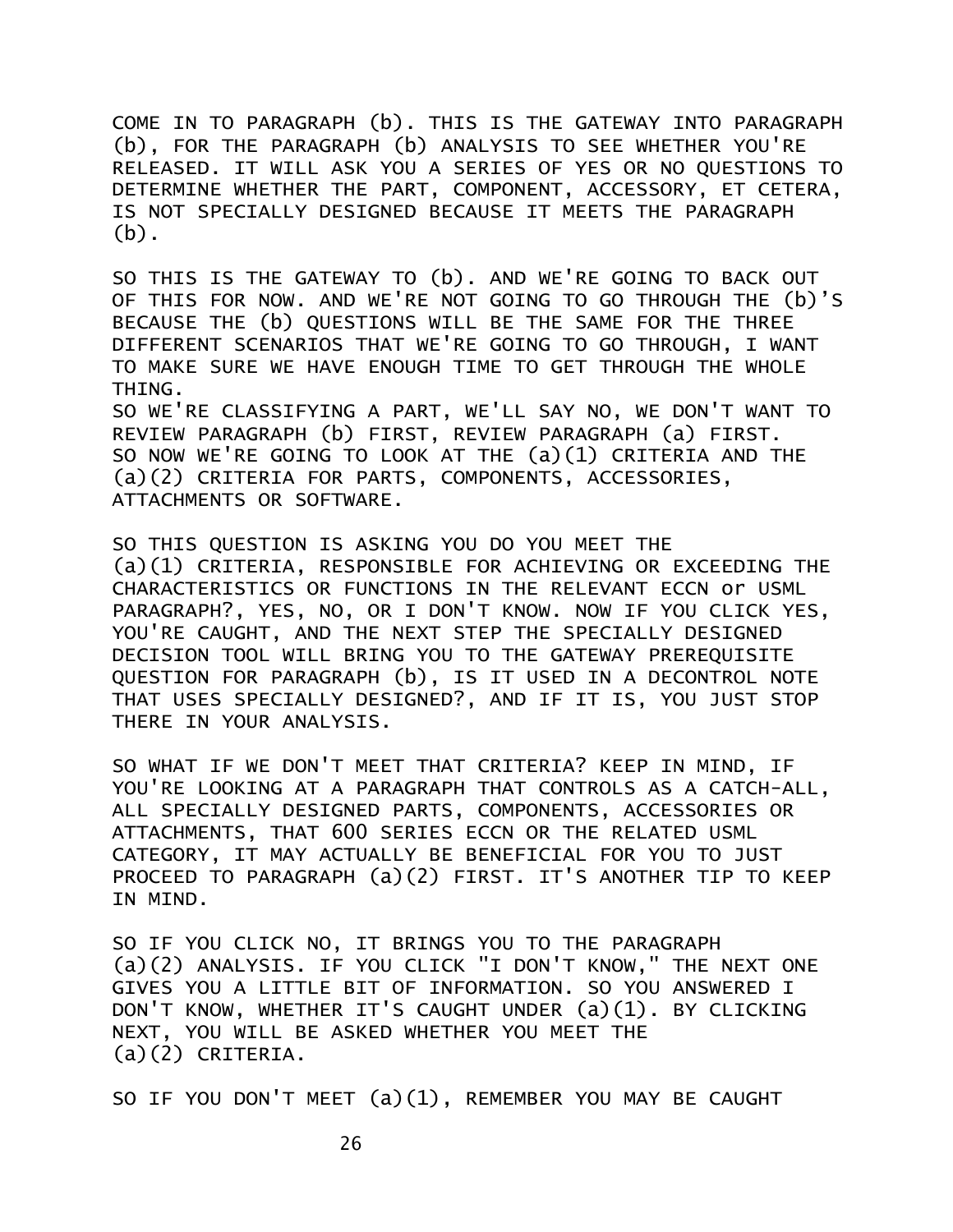COME IN TO PARAGRAPH (b). THIS IS THE GATEWAY INTO PARAGRAPH (b), FOR THE PARAGRAPH (b) ANALYSIS TO SEE WHETHER YOU'RE RELEASED. IT WILL ASK YOU A SERIES OF YES OR NO QUESTIONS TO DETERMINE WHETHER THE PART, COMPONENT, ACCESSORY, ET CETERA, IS NOT SPECIALLY DESIGNED BECAUSE IT MEETS THE PARAGRAPH  $(h)$ .

SO THIS IS THE GATEWAY TO (b). AND WE'RE GOING TO BACK OUT OF THIS FOR NOW. AND WE'RE NOT GOING TO GO THROUGH THE (b)'S BECAUSE THE (b) QUESTIONS WILL BE THE SAME FOR THE THREE DIFFERENT SCENARIOS THAT WE'RE GOING TO GO THROUGH, I WANT TO MAKE SURE WE HAVE ENOUGH TIME TO GET THROUGH THE WHOLE THING.

SO WE'RE CLASSIFYING A PART, WE'LL SAY NO, WE DON'T WANT TO REVIEW PARAGRAPH (b) FIRST, REVIEW PARAGRAPH (a) FIRST. SO NOW WE'RE GOING TO LOOK AT THE (a)(1) CRITERIA AND THE (a)(2) CRITERIA FOR PARTS, COMPONENTS, ACCESSORIES, ATTACHMENTS OR SOFTWARE.

SO THIS QUESTION IS ASKING YOU DO YOU MEET THE (a)(1) CRITERIA, RESPONSIBLE FOR ACHIEVING OR EXCEEDING THE CHARACTERISTICS OR FUNCTIONS IN THE RELEVANT ECCN or USML PARAGRAPH?, YES, NO, OR I DON'T KNOW. NOW IF YOU CLICK YES, YOU'RE CAUGHT, AND THE NEXT STEP THE SPECIALLY DESIGNED DECISION TOOL WILL BRING YOU TO THE GATEWAY PREREQUISITE QUESTION FOR PARAGRAPH (b), IS IT USED IN A DECONTROL NOTE THAT USES SPECIALLY DESIGNED?, AND IF IT IS, YOU JUST STOP THERE IN YOUR ANALYSIS.

SO WHAT IF WE DON'T MEET THAT CRITERIA? KEEP IN MIND, IF YOU'RE LOOKING AT A PARAGRAPH THAT CONTROLS AS A CATCH-ALL, ALL SPECIALLY DESIGNED PARTS, COMPONENTS, ACCESSORIES OR ATTACHMENTS, THAT 600 SERIES ECCN OR THE RELATED USML CATEGORY, IT MAY ACTUALLY BE BENEFICIAL FOR YOU TO JUST PROCEED TO PARAGRAPH (a)(2) FIRST. IT'S ANOTHER TIP TO KEEP IN MIND.

SO IF YOU CLICK NO, IT BRINGS YOU TO THE PARAGRAPH (a)(2) ANALYSIS. IF YOU CLICK "I DON'T KNOW," THE NEXT ONE GIVES YOU A LITTLE BIT OF INFORMATION. SO YOU ANSWERED I DON'T KNOW, WHETHER IT'S CAUGHT UNDER (a)(1). BY CLICKING NEXT, YOU WILL BE ASKED WHETHER YOU MEET THE (a)(2) CRITERIA.

SO IF YOU DON'T MEET (a)(1), REMEMBER YOU MAY BE CAUGHT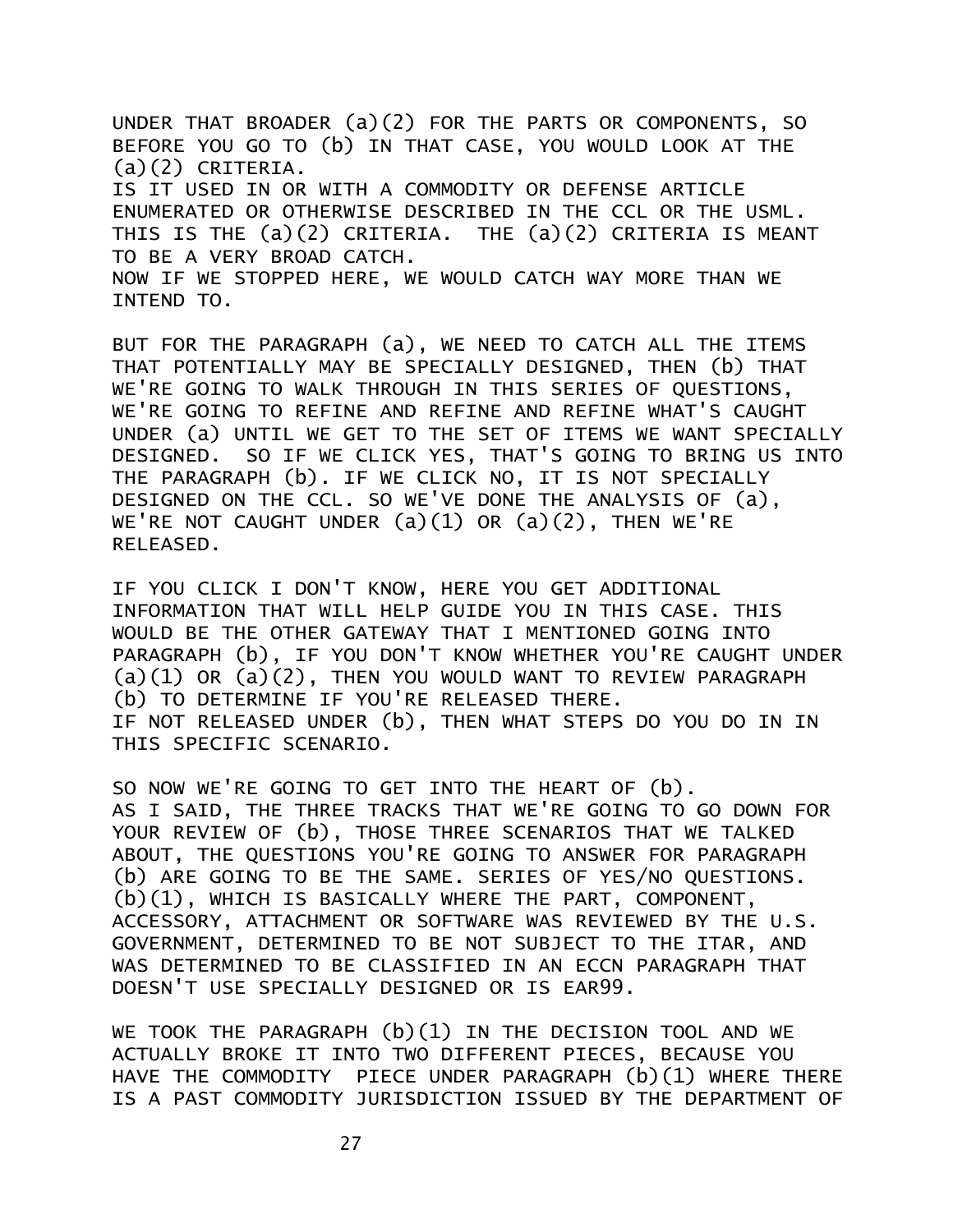UNDER THAT BROADER (a)(2) FOR THE PARTS OR COMPONENTS, SO BEFORE YOU GO TO (b) IN THAT CASE, YOU WOULD LOOK AT THE (a)(2) CRITERIA. IS IT USED IN OR WITH A COMMODITY OR DEFENSE ARTICLE ENUMERATED OR OTHERWISE DESCRIBED IN THE CCL OR THE USML. THIS IS THE (a)(2) CRITERIA. THE (a)(2) CRITERIA IS MEANT TO BE A VERY BROAD CATCH. NOW IF WE STOPPED HERE, WE WOULD CATCH WAY MORE THAN WE INTEND TO.

BUT FOR THE PARAGRAPH (a), WE NEED TO CATCH ALL THE ITEMS THAT POTENTIALLY MAY BE SPECIALLY DESIGNED, THEN (b) THAT WE'RE GOING TO WALK THROUGH IN THIS SERIES OF QUESTIONS, WE'RE GOING TO REFINE AND REFINE AND REFINE WHAT'S CAUGHT UNDER (a) UNTIL WE GET TO THE SET OF ITEMS WE WANT SPECIALLY DESIGNED. SO IF WE CLICK YES, THAT'S GOING TO BRING US INTO THE PARAGRAPH (b). IF WE CLICK NO, IT IS NOT SPECIALLY DESIGNED ON THE CCL. SO WE'VE DONE THE ANALYSIS OF (a), WE'RE NOT CAUGHT UNDER  $(a)(1)$  OR  $(a)(2)$ , THEN WE'RE RELEASED.

IF YOU CLICK I DON'T KNOW, HERE YOU GET ADDITIONAL INFORMATION THAT WILL HELP GUIDE YOU IN THIS CASE. THIS WOULD BE THE OTHER GATEWAY THAT I MENTIONED GOING INTO PARAGRAPH (b), IF YOU DON'T KNOW WHETHER YOU'RE CAUGHT UNDER  $(a)(1)$  OR  $(a)(2)$ , THEN YOU WOULD WANT TO REVIEW PARAGRAPH (b) TO DETERMINE IF YOU'RE RELEASED THERE. IF NOT RELEASED UNDER (b), THEN WHAT STEPS DO YOU DO IN IN THIS SPECIFIC SCENARIO.

SO NOW WE'RE GOING TO GET INTO THE HEART OF (b). AS I SAID, THE THREE TRACKS THAT WE'RE GOING TO GO DOWN FOR YOUR REVIEW OF (b), THOSE THREE SCENARIOS THAT WE TALKED ABOUT, THE QUESTIONS YOU'RE GOING TO ANSWER FOR PARAGRAPH (b) ARE GOING TO BE THE SAME. SERIES OF YES/NO QUESTIONS. (b)(1), WHICH IS BASICALLY WHERE THE PART, COMPONENT, ACCESSORY, ATTACHMENT OR SOFTWARE WAS REVIEWED BY THE U.S. GOVERNMENT, DETERMINED TO BE NOT SUBJECT TO THE ITAR, AND WAS DETERMINED TO BE CLASSIFIED IN AN ECCN PARAGRAPH THAT DOESN'T USE SPECIALLY DESIGNED OR IS EAR99.

WE TOOK THE PARAGRAPH (b)(1) IN THE DECISION TOOL AND WE ACTUALLY BROKE IT INTO TWO DIFFERENT PIECES, BECAUSE YOU HAVE THE COMMODITY PIECE UNDER PARAGRAPH (b)(1) WHERE THERE IS A PAST COMMODITY JURISDICTION ISSUED BY THE DEPARTMENT OF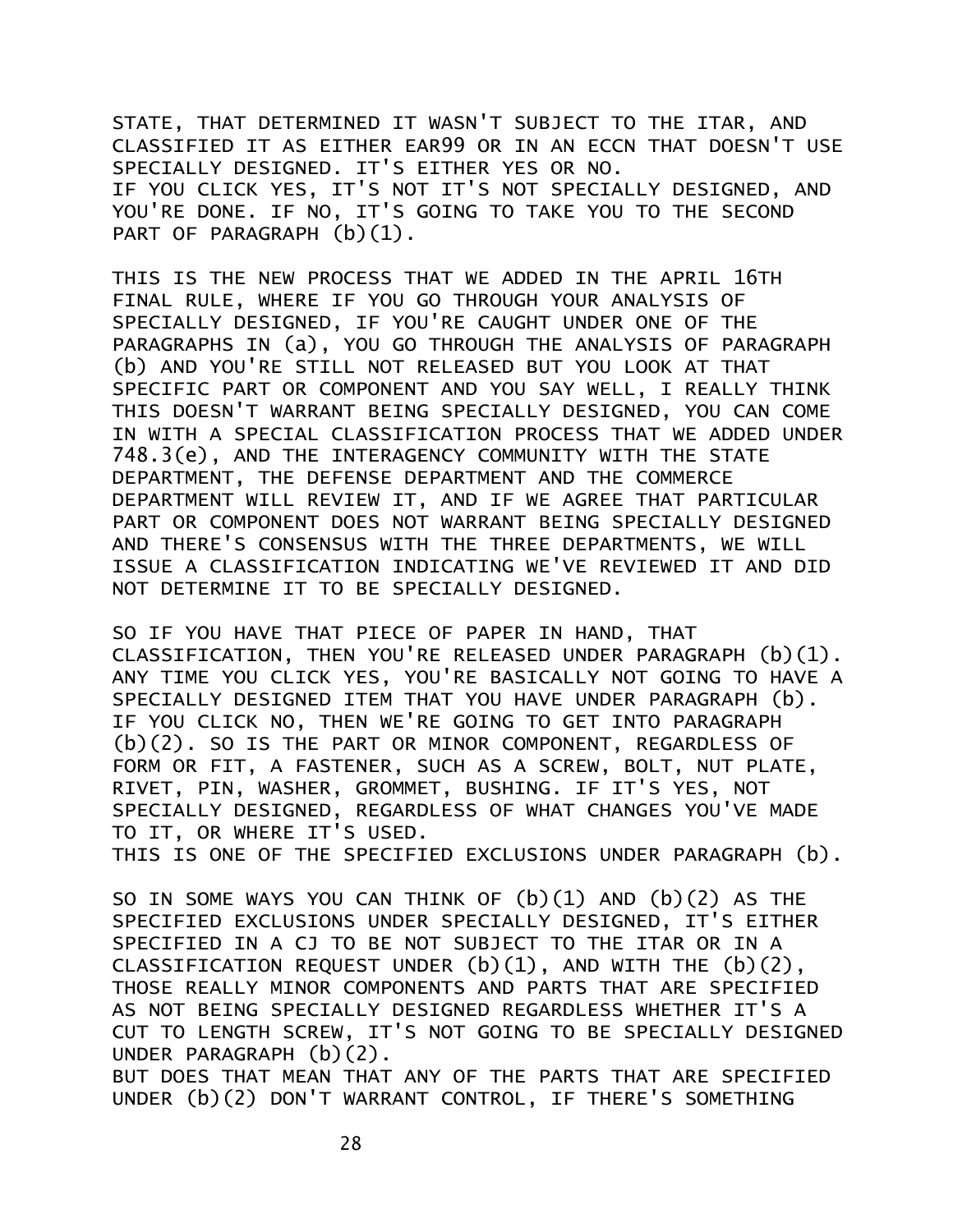STATE, THAT DETERMINED IT WASN'T SUBJECT TO THE ITAR, AND CLASSIFIED IT AS EITHER EAR99 OR IN AN ECCN THAT DOESN'T USE SPECIALLY DESIGNED. IT'S EITHER YES OR NO. IF YOU CLICK YES, IT'S NOT IT'S NOT SPECIALLY DESIGNED, AND YOU'RE DONE. IF NO, IT'S GOING TO TAKE YOU TO THE SECOND PART OF PARAGRAPH (b)(1).

THIS IS THE NEW PROCESS THAT WE ADDED IN THE APRIL 16TH FINAL RULE, WHERE IF YOU GO THROUGH YOUR ANALYSIS OF SPECIALLY DESIGNED, IF YOU'RE CAUGHT UNDER ONE OF THE PARAGRAPHS IN (a), YOU GO THROUGH THE ANALYSIS OF PARAGRAPH (b) AND YOU'RE STILL NOT RELEASED BUT YOU LOOK AT THAT SPECIFIC PART OR COMPONENT AND YOU SAY WELL, I REALLY THINK THIS DOESN'T WARRANT BEING SPECIALLY DESIGNED, YOU CAN COME IN WITH A SPECIAL CLASSIFICATION PROCESS THAT WE ADDED UNDER 748.3(e), AND THE INTERAGENCY COMMUNITY WITH THE STATE DEPARTMENT, THE DEFENSE DEPARTMENT AND THE COMMERCE DEPARTMENT WILL REVIEW IT, AND IF WE AGREE THAT PARTICULAR PART OR COMPONENT DOES NOT WARRANT BEING SPECIALLY DESIGNED AND THERE'S CONSENSUS WITH THE THREE DEPARTMENTS, WE WILL ISSUE A CLASSIFICATION INDICATING WE'VE REVIEWED IT AND DID NOT DETERMINE IT TO BE SPECIALLY DESIGNED.

SO IF YOU HAVE THAT PIECE OF PAPER IN HAND, THAT CLASSIFICATION, THEN YOU'RE RELEASED UNDER PARAGRAPH (b)(1). ANY TIME YOU CLICK YES, YOU'RE BASICALLY NOT GOING TO HAVE A SPECIALLY DESIGNED ITEM THAT YOU HAVE UNDER PARAGRAPH (b). IF YOU CLICK NO, THEN WE'RE GOING TO GET INTO PARAGRAPH (b)(2). SO IS THE PART OR MINOR COMPONENT, REGARDLESS OF FORM OR FIT, A FASTENER, SUCH AS A SCREW, BOLT, NUT PLATE, RIVET, PIN, WASHER, GROMMET, BUSHING. IF IT'S YES, NOT SPECIALLY DESIGNED, REGARDLESS OF WHAT CHANGES YOU'VE MADE TO IT, OR WHERE IT'S USED.

THIS IS ONE OF THE SPECIFIED EXCLUSIONS UNDER PARAGRAPH (b).

SO IN SOME WAYS YOU CAN THINK OF (b)(1) AND (b)(2) AS THE SPECIFIED EXCLUSIONS UNDER SPECIALLY DESIGNED, IT'S EITHER SPECIFIED IN A CJ TO BE NOT SUBJECT TO THE ITAR OR IN A CLASSIFICATION REQUEST UNDER  $(b)(1)$ , AND WITH THE  $(b)(2)$ , THOSE REALLY MINOR COMPONENTS AND PARTS THAT ARE SPECIFIED AS NOT BEING SPECIALLY DESIGNED REGARDLESS WHETHER IT'S A CUT TO LENGTH SCREW, IT'S NOT GOING TO BE SPECIALLY DESIGNED UNDER PARAGRAPH (b)(2).

BUT DOES THAT MEAN THAT ANY OF THE PARTS THAT ARE SPECIFIED UNDER (b)(2) DON'T WARRANT CONTROL, IF THERE'S SOMETHING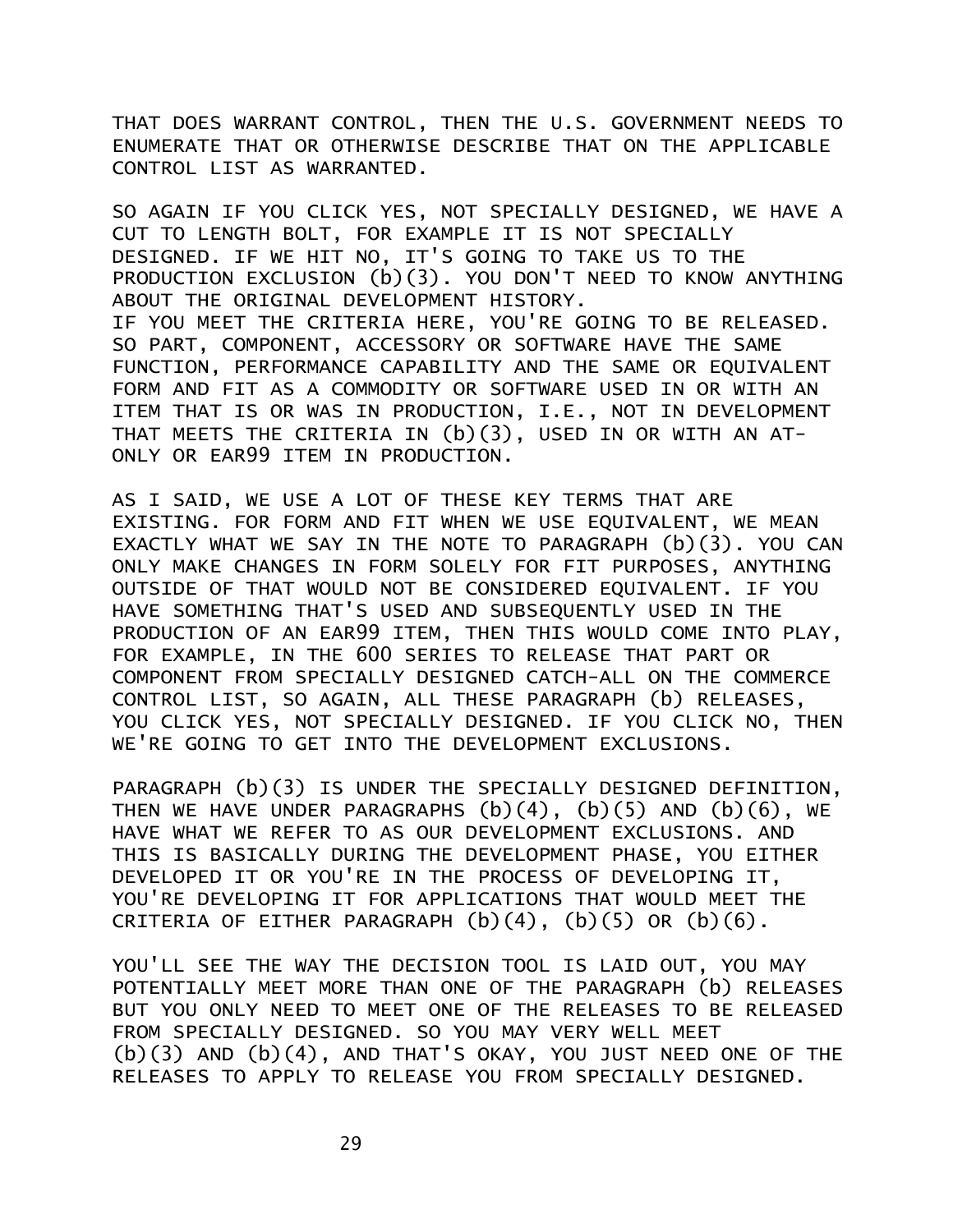THAT DOES WARRANT CONTROL, THEN THE U.S. GOVERNMENT NEEDS TO ENUMERATE THAT OR OTHERWISE DESCRIBE THAT ON THE APPLICABLE CONTROL LIST AS WARRANTED.

SO AGAIN IF YOU CLICK YES, NOT SPECIALLY DESIGNED, WE HAVE A CUT TO LENGTH BOLT, FOR EXAMPLE IT IS NOT SPECIALLY DESIGNED. IF WE HIT NO, IT'S GOING TO TAKE US TO THE PRODUCTION EXCLUSION (b)(3). YOU DON'T NEED TO KNOW ANYTHING ABOUT THE ORIGINAL DEVELOPMENT HISTORY. IF YOU MEET THE CRITERIA HERE, YOU'RE GOING TO BE RELEASED. SO PART, COMPONENT, ACCESSORY OR SOFTWARE HAVE THE SAME FUNCTION, PERFORMANCE CAPABILITY AND THE SAME OR EQUIVALENT FORM AND FIT AS A COMMODITY OR SOFTWARE USED IN OR WITH AN ITEM THAT IS OR WAS IN PRODUCTION, I.E., NOT IN DEVELOPMENT THAT MEETS THE CRITERIA IN (b)(3), USED IN OR WITH AN AT-ONLY OR EAR99 ITEM IN PRODUCTION.

AS I SAID, WE USE A LOT OF THESE KEY TERMS THAT ARE EXISTING. FOR FORM AND FIT WHEN WE USE EQUIVALENT, WE MEAN EXACTLY WHAT WE SAY IN THE NOTE TO PARAGRAPH (b)(3). YOU CAN ONLY MAKE CHANGES IN FORM SOLELY FOR FIT PURPOSES, ANYTHING OUTSIDE OF THAT WOULD NOT BE CONSIDERED EQUIVALENT. IF YOU HAVE SOMETHING THAT'S USED AND SUBSEQUENTLY USED IN THE PRODUCTION OF AN EAR99 ITEM, THEN THIS WOULD COME INTO PLAY, FOR EXAMPLE, IN THE 600 SERIES TO RELEASE THAT PART OR COMPONENT FROM SPECIALLY DESIGNED CATCH-ALL ON THE COMMERCE CONTROL LIST, SO AGAIN, ALL THESE PARAGRAPH (b) RELEASES, YOU CLICK YES, NOT SPECIALLY DESIGNED. IF YOU CLICK NO, THEN WE'RE GOING TO GET INTO THE DEVELOPMENT EXCLUSIONS.

PARAGRAPH (b)(3) IS UNDER THE SPECIALLY DESIGNED DEFINITION, THEN WE HAVE UNDER PARAGRAPHS  $(b)(4)$ ,  $(b)(5)$  and  $(b)(6)$ , we HAVE WHAT WE REFER TO AS OUR DEVELOPMENT EXCLUSIONS. AND THIS IS BASICALLY DURING THE DEVELOPMENT PHASE, YOU EITHER DEVELOPED IT OR YOU'RE IN THE PROCESS OF DEVELOPING IT, YOU'RE DEVELOPING IT FOR APPLICATIONS THAT WOULD MEET THE CRITERIA OF EITHER PARAGRAPH  $(b)(4)$ ,  $(b)(5)$  OR  $(b)(6)$ .

YOU'LL SEE THE WAY THE DECISION TOOL IS LAID OUT, YOU MAY POTENTIALLY MEET MORE THAN ONE OF THE PARAGRAPH (b) RELEASES BUT YOU ONLY NEED TO MEET ONE OF THE RELEASES TO BE RELEASED FROM SPECIALLY DESIGNED. SO YOU MAY VERY WELL MEET  $(b)(3)$  AND  $(b)(4)$ . AND THAT'S OKAY, YOU JUST NEED ONE OF THE RELEASES TO APPLY TO RELEASE YOU FROM SPECIALLY DESIGNED.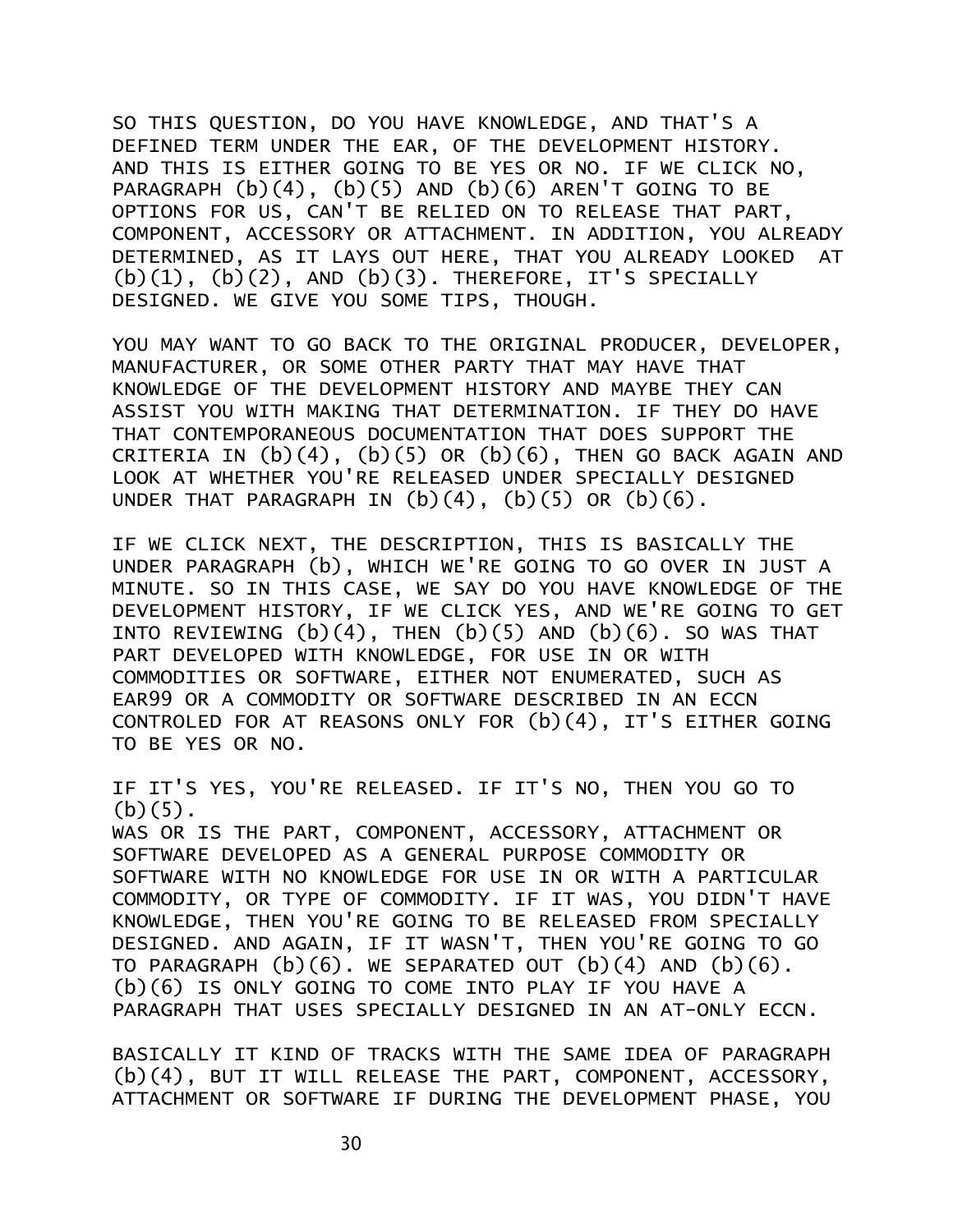SO THIS QUESTION, DO YOU HAVE KNOWLEDGE, AND THAT'S A DEFINED TERM UNDER THE EAR, OF THE DEVELOPMENT HISTORY. AND THIS IS EITHER GOING TO BE YES OR NO. IF WE CLICK NO, PARAGRAPH  $(b)(4)$ ,  $(b)(5)$  AND  $(b)(6)$  AREN'T GOING TO BE OPTIONS FOR US, CAN'T BE RELIED ON TO RELEASE THAT PART, COMPONENT, ACCESSORY OR ATTACHMENT. IN ADDITION, YOU ALREADY DETERMINED, AS IT LAYS OUT HERE, THAT YOU ALREADY LOOKED AT  $(b)(1)$ ,  $(b)(2)$ , AND  $(b)(3)$ . THEREFORE, IT'S SPECIALLY DESIGNED. WE GIVE YOU SOME TIPS, THOUGH.

YOU MAY WANT TO GO BACK TO THE ORIGINAL PRODUCER, DEVELOPER, MANUFACTURER, OR SOME OTHER PARTY THAT MAY HAVE THAT KNOWLEDGE OF THE DEVELOPMENT HISTORY AND MAYBE THEY CAN ASSIST YOU WITH MAKING THAT DETERMINATION. IF THEY DO HAVE THAT CONTEMPORANEOUS DOCUMENTATION THAT DOES SUPPORT THE CRITERIA IN  $(b)(4)$ ,  $(b)(5)$  OR  $(b)(6)$ , THEN GO BACK AGAIN AND LOOK AT WHETHER YOU'RE RELEASED UNDER SPECIALLY DESIGNED UNDER THAT PARAGRAPH IN  $(b)(4)$ ,  $(b)(5)$  OR  $(b)(6)$ .

IF WE CLICK NEXT, THE DESCRIPTION, THIS IS BASICALLY THE UNDER PARAGRAPH (b), WHICH WE'RE GOING TO GO OVER IN JUST A MINUTE. SO IN THIS CASE, WE SAY DO YOU HAVE KNOWLEDGE OF THE DEVELOPMENT HISTORY, IF WE CLICK YES, AND WE'RE GOING TO GET INTO REVIEWING  $(b)(4)$ , THEN  $(b)(5)$  and  $(b)(6)$ . SO WAS THAT PART DEVELOPED WITH KNOWLEDGE, FOR USE IN OR WITH COMMODITIES OR SOFTWARE, EITHER NOT ENUMERATED, SUCH AS EAR99 OR A COMMODITY OR SOFTWARE DESCRIBED IN AN ECCN CONTROLED FOR AT REASONS ONLY FOR (b)(4), IT'S EITHER GOING TO BE YES OR NO.

IF IT'S YES, YOU'RE RELEASED. IF IT'S NO, THEN YOU GO TO  $(b)(5)$ . WAS OR IS THE PART, COMPONENT, ACCESSORY, ATTACHMENT OR SOFTWARE DEVELOPED AS A GENERAL PURPOSE COMMODITY OR SOFTWARE WITH NO KNOWLEDGE FOR USE IN OR WITH A PARTICULAR COMMODITY, OR TYPE OF COMMODITY. IF IT WAS, YOU DIDN'T HAVE KNOWLEDGE, THEN YOU'RE GOING TO BE RELEASED FROM SPECIALLY DESIGNED. AND AGAIN, IF IT WASN'T, THEN YOU'RE GOING TO GO TO PARAGRAPH  $(b)(6)$ . WE SEPARATED OUT  $(b)(4)$  and  $(b)(6)$ . (b)(6) IS ONLY GOING TO COME INTO PLAY IF YOU HAVE A PARAGRAPH THAT USES SPECIALLY DESIGNED IN AN AT-ONLY ECCN.

BASICALLY IT KIND OF TRACKS WITH THE SAME IDEA OF PARAGRAPH (b)(4), BUT IT WILL RELEASE THE PART, COMPONENT, ACCESSORY, ATTACHMENT OR SOFTWARE IF DURING THE DEVELOPMENT PHASE, YOU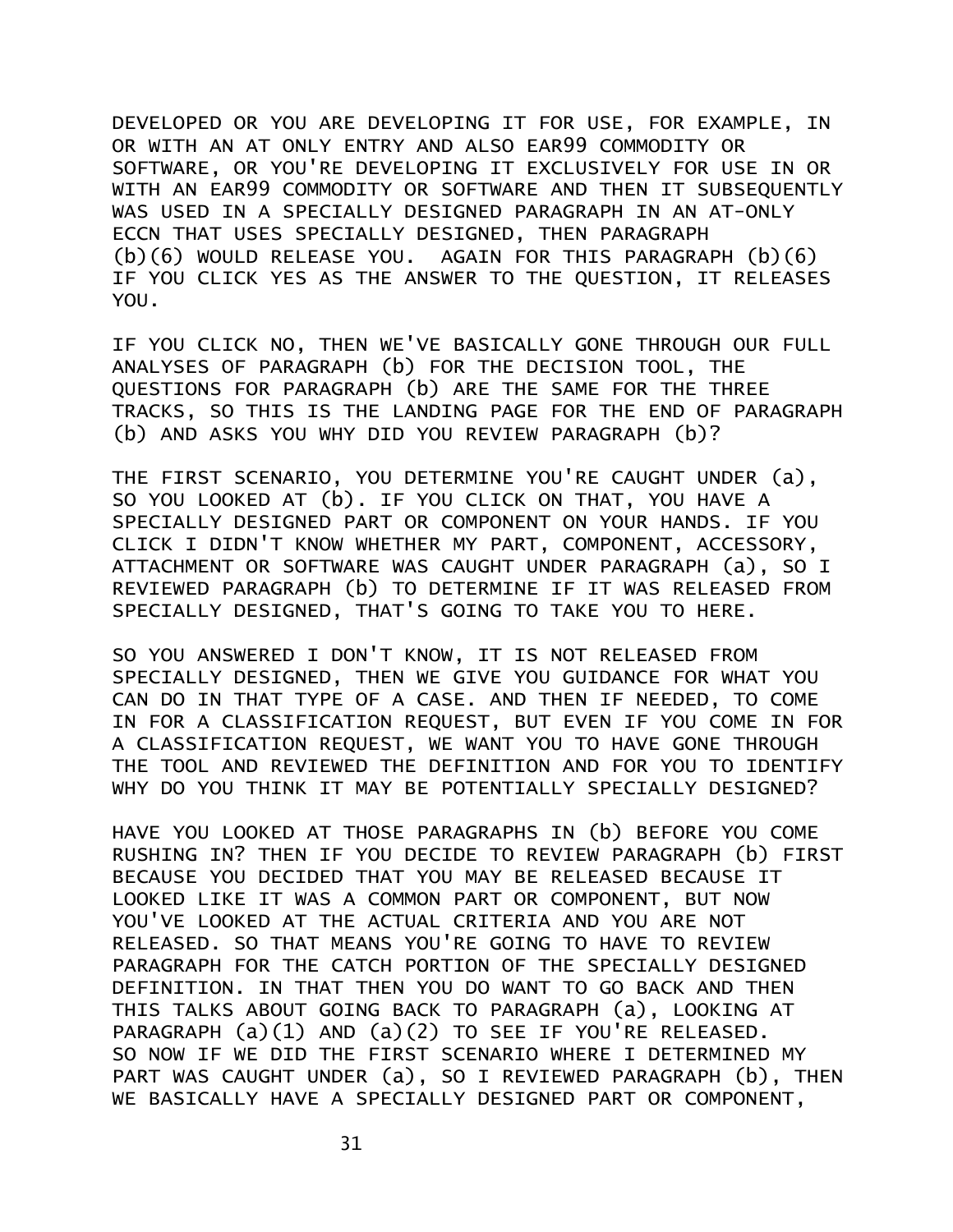DEVELOPED OR YOU ARE DEVELOPING IT FOR USE, FOR EXAMPLE, IN OR WITH AN AT ONLY ENTRY AND ALSO EAR99 COMMODITY OR SOFTWARE, OR YOU'RE DEVELOPING IT EXCLUSIVELY FOR USE IN OR WITH AN EAR99 COMMODITY OR SOFTWARE AND THEN IT SUBSEQUENTLY WAS USED IN A SPECIALLY DESIGNED PARAGRAPH IN AN AT-ONLY ECCN THAT USES SPECIALLY DESIGNED, THEN PARAGRAPH (b)(6) WOULD RELEASE YOU. AGAIN FOR THIS PARAGRAPH (b)(6) IF YOU CLICK YES AS THE ANSWER TO THE QUESTION, IT RELEASES YOU.

IF YOU CLICK NO, THEN WE'VE BASICALLY GONE THROUGH OUR FULL ANALYSES OF PARAGRAPH (b) FOR THE DECISION TOOL, THE QUESTIONS FOR PARAGRAPH (b) ARE THE SAME FOR THE THREE TRACKS, SO THIS IS THE LANDING PAGE FOR THE END OF PARAGRAPH (b) AND ASKS YOU WHY DID YOU REVIEW PARAGRAPH (b)?

THE FIRST SCENARIO, YOU DETERMINE YOU'RE CAUGHT UNDER (a), SO YOU LOOKED AT (b). IF YOU CLICK ON THAT, YOU HAVE A SPECIALLY DESIGNED PART OR COMPONENT ON YOUR HANDS. IF YOU CLICK I DIDN'T KNOW WHETHER MY PART, COMPONENT, ACCESSORY, ATTACHMENT OR SOFTWARE WAS CAUGHT UNDER PARAGRAPH (a), SO I REVIEWED PARAGRAPH (b) TO DETERMINE IF IT WAS RELEASED FROM SPECIALLY DESIGNED, THAT'S GOING TO TAKE YOU TO HERE.

SO YOU ANSWERED I DON'T KNOW, IT IS NOT RELEASED FROM SPECIALLY DESIGNED, THEN WE GIVE YOU GUIDANCE FOR WHAT YOU CAN DO IN THAT TYPE OF A CASE. AND THEN IF NEEDED, TO COME IN FOR A CLASSIFICATION REQUEST, BUT EVEN IF YOU COME IN FOR A CLASSIFICATION REQUEST, WE WANT YOU TO HAVE GONE THROUGH THE TOOL AND REVIEWED THE DEFINITION AND FOR YOU TO IDENTIFY WHY DO YOU THINK IT MAY BE POTENTIALLY SPECIALLY DESIGNED?

HAVE YOU LOOKED AT THOSE PARAGRAPHS IN (b) BEFORE YOU COME RUSHING IN? THEN IF YOU DECIDE TO REVIEW PARAGRAPH (b) FIRST BECAUSE YOU DECIDED THAT YOU MAY BE RELEASED BECAUSE IT LOOKED LIKE IT WAS A COMMON PART OR COMPONENT, BUT NOW YOU'VE LOOKED AT THE ACTUAL CRITERIA AND YOU ARE NOT RELEASED. SO THAT MEANS YOU'RE GOING TO HAVE TO REVIEW PARAGRAPH FOR THE CATCH PORTION OF THE SPECIALLY DESIGNED DEFINITION. IN THAT THEN YOU DO WANT TO GO BACK AND THEN THIS TALKS ABOUT GOING BACK TO PARAGRAPH (a), LOOKING AT PARAGRAPH (a)(1) AND (a)(2) TO SEE IF YOU'RE RELEASED. SO NOW IF WE DID THE FIRST SCENARIO WHERE I DETERMINED MY PART WAS CAUGHT UNDER (a), SO I REVIEWED PARAGRAPH (b), THEN WE BASICALLY HAVE A SPECIALLY DESIGNED PART OR COMPONENT,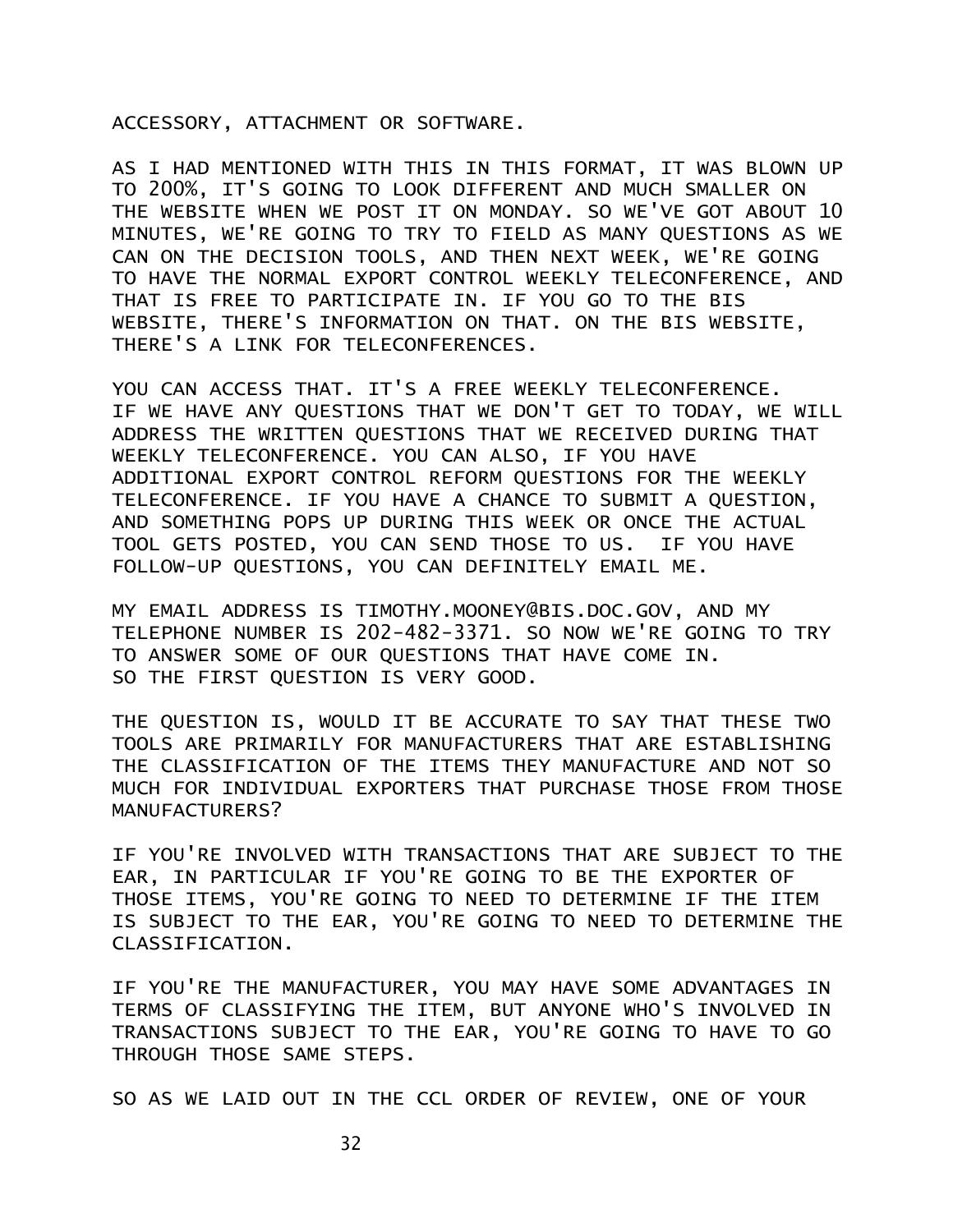ACCESSORY, ATTACHMENT OR SOFTWARE.

AS I HAD MENTIONED WITH THIS IN THIS FORMAT, IT WAS BLOWN UP TO 200%, IT'S GOING TO LOOK DIFFERENT AND MUCH SMALLER ON THE WEBSITE WHEN WE POST IT ON MONDAY. SO WE'VE GOT ABOUT 10 MINUTES, WE'RE GOING TO TRY TO FIELD AS MANY QUESTIONS AS WE CAN ON THE DECISION TOOLS, AND THEN NEXT WEEK, WE'RE GOING TO HAVE THE NORMAL EXPORT CONTROL WEEKLY TELECONFERENCE, AND THAT IS FREE TO PARTICIPATE IN. IF YOU GO TO THE BIS WEBSITE, THERE'S INFORMATION ON THAT. ON THE BIS WEBSITE, THERE'S A LINK FOR TELECONFERENCES.

YOU CAN ACCESS THAT. IT'S A FREE WEEKLY TELECONFERENCE. IF WE HAVE ANY QUESTIONS THAT WE DON'T GET TO TODAY, WE WILL ADDRESS THE WRITTEN QUESTIONS THAT WE RECEIVED DURING THAT WEEKLY TELECONFERENCE. YOU CAN ALSO, IF YOU HAVE ADDITIONAL EXPORT CONTROL REFORM QUESTIONS FOR THE WEEKLY TELECONFERENCE. IF YOU HAVE A CHANCE TO SUBMIT A QUESTION, AND SOMETHING POPS UP DURING THIS WEEK OR ONCE THE ACTUAL TOOL GETS POSTED, YOU CAN SEND THOSE TO US. IF YOU HAVE FOLLOW-UP QUESTIONS, YOU CAN DEFINITELY EMAIL ME.

MY EMAIL ADDRESS IS TIMOTHY.MOONEY@BIS.DOC.GOV, AND MY TELEPHONE NUMBER IS 202-482-3371. SO NOW WE'RE GOING TO TRY TO ANSWER SOME OF OUR QUESTIONS THAT HAVE COME IN. SO THE FIRST QUESTION IS VERY GOOD.

THE QUESTION IS, WOULD IT BE ACCURATE TO SAY THAT THESE TWO TOOLS ARE PRIMARILY FOR MANUFACTURERS THAT ARE ESTABLISHING THE CLASSIFICATION OF THE ITEMS THEY MANUFACTURE AND NOT SO MUCH FOR INDIVIDUAL EXPORTERS THAT PURCHASE THOSE FROM THOSE MANUFACTURERS?

IF YOU'RE INVOLVED WITH TRANSACTIONS THAT ARE SUBJECT TO THE EAR, IN PARTICULAR IF YOU'RE GOING TO BE THE EXPORTER OF THOSE ITEMS, YOU'RE GOING TO NEED TO DETERMINE IF THE ITEM IS SUBJECT TO THE EAR, YOU'RE GOING TO NEED TO DETERMINE THE CLASSIFICATION.

IF YOU'RE THE MANUFACTURER, YOU MAY HAVE SOME ADVANTAGES IN TERMS OF CLASSIFYING THE ITEM, BUT ANYONE WHO'S INVOLVED IN TRANSACTIONS SUBJECT TO THE EAR, YOU'RE GOING TO HAVE TO GO THROUGH THOSE SAME STEPS.

SO AS WE LAID OUT IN THE CCL ORDER OF REVIEW, ONE OF YOUR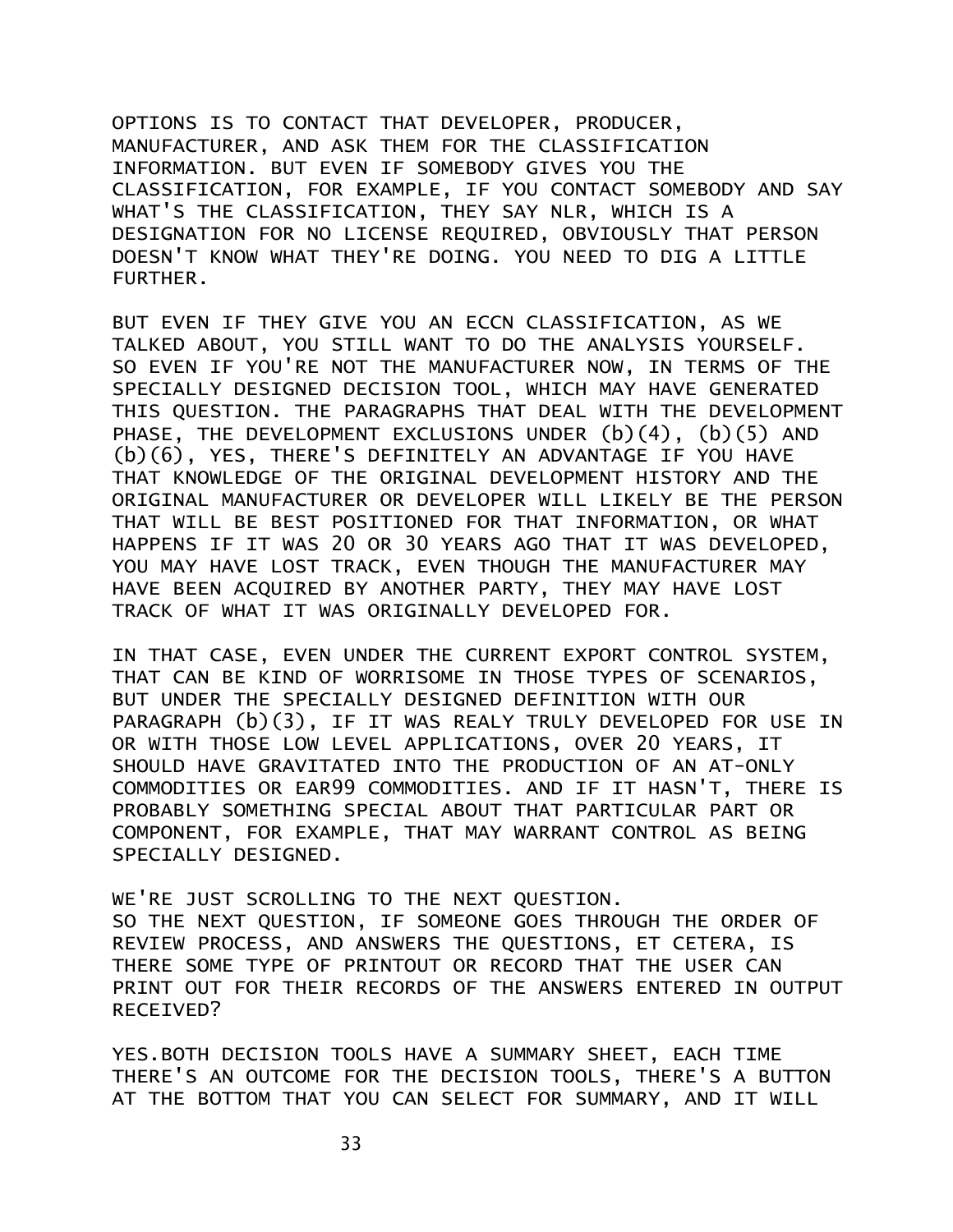OPTIONS IS TO CONTACT THAT DEVELOPER, PRODUCER, MANUFACTURER, AND ASK THEM FOR THE CLASSIFICATION INFORMATION. BUT EVEN IF SOMEBODY GIVES YOU THE CLASSIFICATION, FOR EXAMPLE, IF YOU CONTACT SOMEBODY AND SAY WHAT'S THE CLASSIFICATION, THEY SAY NLR, WHICH IS A DESIGNATION FOR NO LICENSE REQUIRED, OBVIOUSLY THAT PERSON DOESN'T KNOW WHAT THEY'RE DOING. YOU NEED TO DIG A LITTLE FURTHER.

BUT EVEN IF THEY GIVE YOU AN ECCN CLASSIFICATION, AS WE TALKED ABOUT, YOU STILL WANT TO DO THE ANALYSIS YOURSELF. SO EVEN IF YOU'RE NOT THE MANUFACTURER NOW, IN TERMS OF THE SPECIALLY DESIGNED DECISION TOOL, WHICH MAY HAVE GENERATED THIS QUESTION. THE PARAGRAPHS THAT DEAL WITH THE DEVELOPMENT PHASE, THE DEVELOPMENT EXCLUSIONS UNDER (b)(4), (b)(5) AND (b)(6), YES, THERE'S DEFINITELY AN ADVANTAGE IF YOU HAVE THAT KNOWLEDGE OF THE ORIGINAL DEVELOPMENT HISTORY AND THE ORIGINAL MANUFACTURER OR DEVELOPER WILL LIKELY BE THE PERSON THAT WILL BE BEST POSITIONED FOR THAT INFORMATION, OR WHAT HAPPENS IF IT WAS 20 OR 30 YEARS AGO THAT IT WAS DEVELOPED, YOU MAY HAVE LOST TRACK, EVEN THOUGH THE MANUFACTURER MAY HAVE BEEN ACQUIRED BY ANOTHER PARTY, THEY MAY HAVE LOST TRACK OF WHAT IT WAS ORIGINALLY DEVELOPED FOR.

IN THAT CASE, EVEN UNDER THE CURRENT EXPORT CONTROL SYSTEM, THAT CAN BE KIND OF WORRISOME IN THOSE TYPES OF SCENARIOS, BUT UNDER THE SPECIALLY DESIGNED DEFINITION WITH OUR PARAGRAPH (b)(3), IF IT WAS REALY TRULY DEVELOPED FOR USE IN OR WITH THOSE LOW LEVEL APPLICATIONS, OVER 20 YEARS, IT SHOULD HAVE GRAVITATED INTO THE PRODUCTION OF AN AT-ONLY COMMODITIES OR EAR99 COMMODITIES. AND IF IT HASN'T, THERE IS PROBABLY SOMETHING SPECIAL ABOUT THAT PARTICULAR PART OR COMPONENT, FOR EXAMPLE, THAT MAY WARRANT CONTROL AS BEING SPECIALLY DESIGNED.

WE'RE JUST SCROLLING TO THE NEXT QUESTION. SO THE NEXT QUESTION, IF SOMEONE GOES THROUGH THE ORDER OF REVIEW PROCESS, AND ANSWERS THE QUESTIONS, ET CETERA, IS THERE SOME TYPE OF PRINTOUT OR RECORD THAT THE USER CAN PRINT OUT FOR THEIR RECORDS OF THE ANSWERS ENTERED IN OUTPUT RECEIVED?

YES.BOTH DECISION TOOLS HAVE A SUMMARY SHEET, EACH TIME THERE'S AN OUTCOME FOR THE DECISION TOOLS, THERE'S A BUTTON AT THE BOTTOM THAT YOU CAN SELECT FOR SUMMARY, AND IT WILL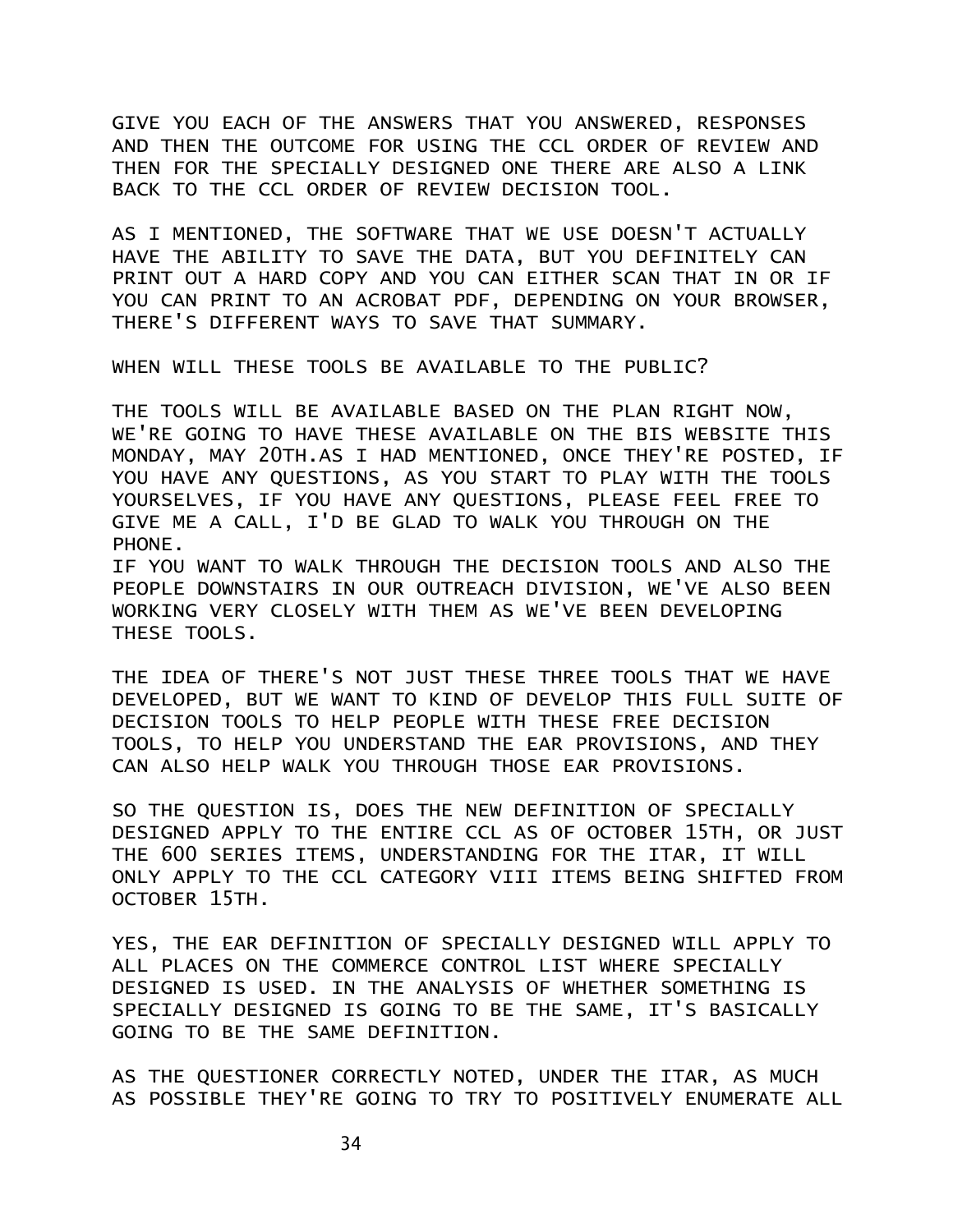GIVE YOU EACH OF THE ANSWERS THAT YOU ANSWERED, RESPONSES AND THEN THE OUTCOME FOR USING THE CCL ORDER OF REVIEW AND THEN FOR THE SPECIALLY DESIGNED ONE THERE ARE ALSO A LINK BACK TO THE CCL ORDER OF REVIEW DECISION TOOL.

AS I MENTIONED, THE SOFTWARE THAT WE USE DOESN'T ACTUALLY HAVE THE ABILITY TO SAVE THE DATA, BUT YOU DEFINITELY CAN PRINT OUT A HARD COPY AND YOU CAN EITHER SCAN THAT IN OR IF YOU CAN PRINT TO AN ACROBAT PDF, DEPENDING ON YOUR BROWSER, THERE'S DIFFERENT WAYS TO SAVE THAT SUMMARY.

WHEN WILL THESE TOOLS BE AVAILABLE TO THE PUBLIC?

THE TOOLS WILL BE AVAILABLE BASED ON THE PLAN RIGHT NOW, WE'RE GOING TO HAVE THESE AVAILABLE ON THE BIS WEBSITE THIS MONDAY, MAY 20TH.AS I HAD MENTIONED, ONCE THEY'RE POSTED, IF YOU HAVE ANY QUESTIONS, AS YOU START TO PLAY WITH THE TOOLS YOURSELVES, IF YOU HAVE ANY QUESTIONS, PLEASE FEEL FREE TO GIVE ME A CALL, I'D BE GLAD TO WALK YOU THROUGH ON THE PHONE.

IF YOU WANT TO WALK THROUGH THE DECISION TOOLS AND ALSO THE PEOPLE DOWNSTAIRS IN OUR OUTREACH DIVISION, WE'VE ALSO BEEN WORKING VERY CLOSELY WITH THEM AS WE'VE BEEN DEVELOPING THESE TOOLS.

THE IDEA OF THERE'S NOT JUST THESE THREE TOOLS THAT WE HAVE DEVELOPED, BUT WE WANT TO KIND OF DEVELOP THIS FULL SUITE OF DECISION TOOLS TO HELP PEOPLE WITH THESE FREE DECISION TOOLS, TO HELP YOU UNDERSTAND THE EAR PROVISIONS, AND THEY CAN ALSO HELP WALK YOU THROUGH THOSE EAR PROVISIONS.

SO THE QUESTION IS, DOES THE NEW DEFINITION OF SPECIALLY DESIGNED APPLY TO THE ENTIRE CCL AS OF OCTOBER 15TH, OR JUST THE 600 SERIES ITEMS, UNDERSTANDING FOR THE ITAR, IT WILL ONLY APPLY TO THE CCL CATEGORY VIII ITEMS BEING SHIFTED FROM OCTOBER 15TH.

YES, THE EAR DEFINITION OF SPECIALLY DESIGNED WILL APPLY TO ALL PLACES ON THE COMMERCE CONTROL LIST WHERE SPECIALLY DESIGNED IS USED. IN THE ANALYSIS OF WHETHER SOMETHING IS SPECIALLY DESIGNED IS GOING TO BE THE SAME, IT'S BASICALLY GOING TO BE THE SAME DEFINITION.

AS THE QUESTIONER CORRECTLY NOTED, UNDER THE ITAR, AS MUCH AS POSSIBLE THEY'RE GOING TO TRY TO POSITIVELY ENUMERATE ALL